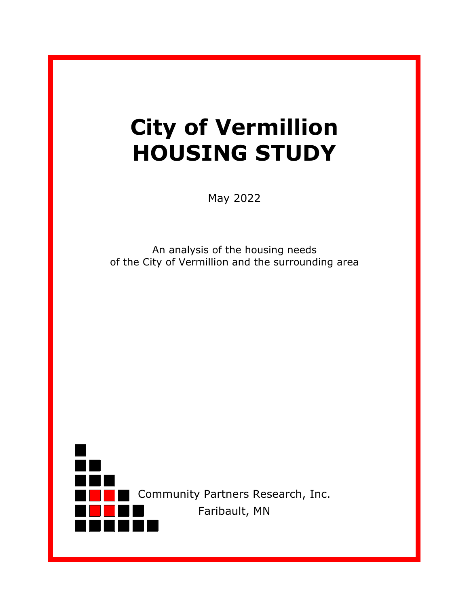# **City of Vermillion HOUSING STUDY**

May 2022

An analysis of the housing needs of the City of Vermillion and the surrounding area

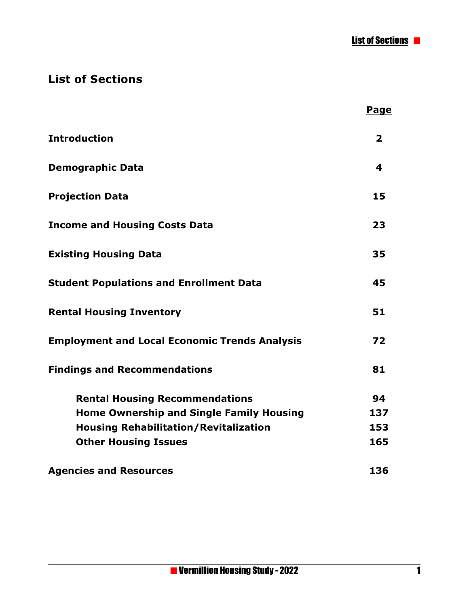List of Sections

## **List of Sections**

|                                                      | <b>Page</b>             |
|------------------------------------------------------|-------------------------|
| <b>Introduction</b>                                  | $\overline{\mathbf{2}}$ |
| <b>Demographic Data</b>                              | 4                       |
| <b>Projection Data</b>                               | 15                      |
| <b>Income and Housing Costs Data</b>                 | 23                      |
| <b>Existing Housing Data</b>                         | 35                      |
| <b>Student Populations and Enrollment Data</b>       | 45                      |
| <b>Rental Housing Inventory</b>                      | 51                      |
| <b>Employment and Local Economic Trends Analysis</b> | 72                      |
| <b>Findings and Recommendations</b>                  | 81                      |
| <b>Rental Housing Recommendations</b>                | 94                      |
| <b>Home Ownership and Single Family Housing</b>      | 137                     |
| <b>Housing Rehabilitation/Revitalization</b>         | 153                     |
| <b>Other Housing Issues</b>                          | 165                     |
| <b>Agencies and Resources</b>                        | 136                     |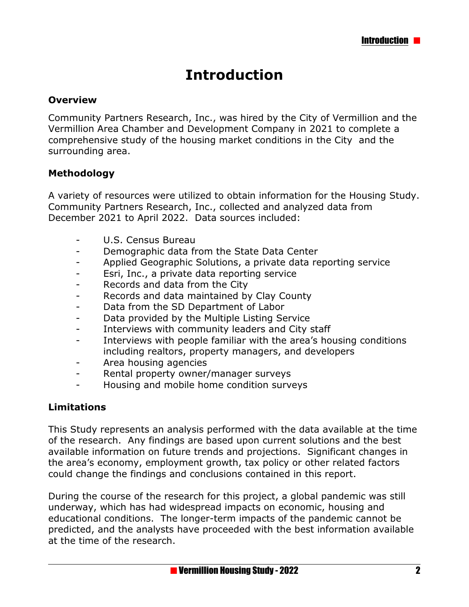## **Introduction**

#### **Overview**

Community Partners Research, Inc., was hired by the City of Vermillion and the Vermillion Area Chamber and Development Company in 2021 to complete a comprehensive study of the housing market conditions in the City and the surrounding area.

#### **Methodology**

A variety of resources were utilized to obtain information for the Housing Study. Community Partners Research, Inc., collected and analyzed data from December 2021 to April 2022. Data sources included:

- U.S. Census Bureau
- Demographic data from the State Data Center
- Applied Geographic Solutions, a private data reporting service
- Esri, Inc., a private data reporting service
- Records and data from the City
- Records and data maintained by Clay County
- Data from the SD Department of Labor
- Data provided by the Multiple Listing Service
- Interviews with community leaders and City staff
- Interviews with people familiar with the area's housing conditions including realtors, property managers, and developers
- Area housing agencies
- Rental property owner/manager surveys
- Housing and mobile home condition surveys

#### **Limitations**

This Study represents an analysis performed with the data available at the time of the research. Any findings are based upon current solutions and the best available information on future trends and projections. Significant changes in the area's economy, employment growth, tax policy or other related factors could change the findings and conclusions contained in this report.

During the course of the research for this project, a global pandemic was still underway, which has had widespread impacts on economic, housing and educational conditions. The longer-term impacts of the pandemic cannot be predicted, and the analysts have proceeded with the best information available at the time of the research.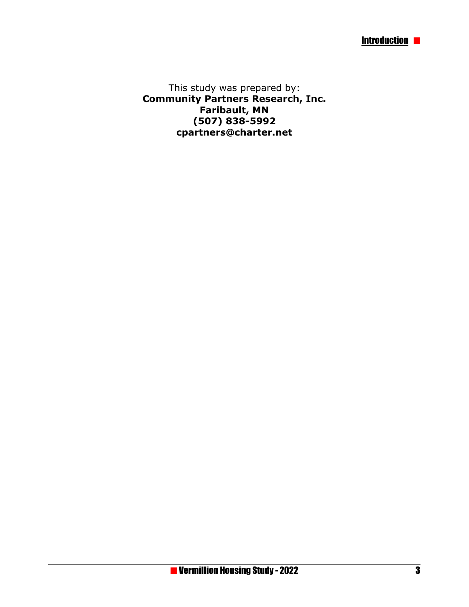This study was prepared by: **Community Partners Research, Inc. Faribault, MN (507) 838-5992 cpartners@charter.net**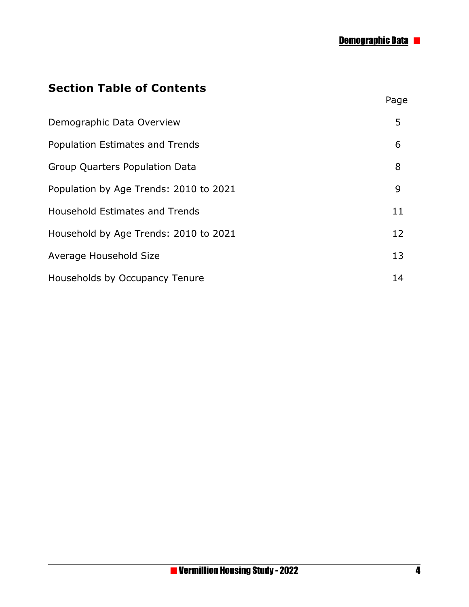Page

## **Section Table of Contents**

| Demographic Data Overview              | 5  |
|----------------------------------------|----|
| <b>Population Estimates and Trends</b> | 6  |
| <b>Group Quarters Population Data</b>  | 8  |
| Population by Age Trends: 2010 to 2021 | 9  |
| <b>Household Estimates and Trends</b>  | 11 |
| Household by Age Trends: 2010 to 2021  | 12 |
| Average Household Size                 | 13 |
| <b>Households by Occupancy Tenure</b>  | 14 |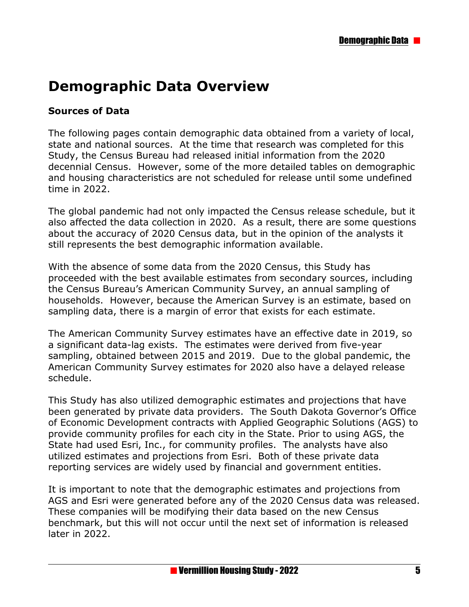# **Demographic Data Overview**

#### **Sources of Data**

The following pages contain demographic data obtained from a variety of local, state and national sources. At the time that research was completed for this Study, the Census Bureau had released initial information from the 2020 decennial Census. However, some of the more detailed tables on demographic and housing characteristics are not scheduled for release until some undefined time in 2022.

The global pandemic had not only impacted the Census release schedule, but it also affected the data collection in 2020. As a result, there are some questions about the accuracy of 2020 Census data, but in the opinion of the analysts it still represents the best demographic information available.

With the absence of some data from the 2020 Census, this Study has proceeded with the best available estimates from secondary sources, including the Census Bureau's American Community Survey, an annual sampling of households. However, because the American Survey is an estimate, based on sampling data, there is a margin of error that exists for each estimate.

The American Community Survey estimates have an effective date in 2019, so a significant data-lag exists. The estimates were derived from five-year sampling, obtained between 2015 and 2019. Due to the global pandemic, the American Community Survey estimates for 2020 also have a delayed release schedule.

This Study has also utilized demographic estimates and projections that have been generated by private data providers. The South Dakota Governor's Office of Economic Development contracts with Applied Geographic Solutions (AGS) to provide community profiles for each city in the State. Prior to using AGS, the State had used Esri, Inc., for community profiles. The analysts have also utilized estimates and projections from Esri. Both of these private data reporting services are widely used by financial and government entities.

It is important to note that the demographic estimates and projections from AGS and Esri were generated before any of the 2020 Census data was released. These companies will be modifying their data based on the new Census benchmark, but this will not occur until the next set of information is released later in 2022.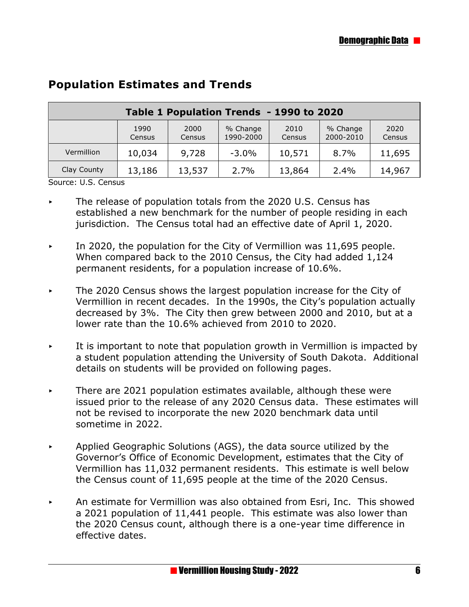| Table 1 Population Trends - 1990 to 2020                                                                               |        |        |          |        |      |        |  |
|------------------------------------------------------------------------------------------------------------------------|--------|--------|----------|--------|------|--------|--|
| 1990<br>2000<br>% Change<br>2010<br>% Change<br>2020<br>2000-2010<br>1990-2000<br>Census<br>Census<br>Census<br>Census |        |        |          |        |      |        |  |
| Vermillion                                                                                                             | 10,034 | 9,728  | $-3.0\%$ | 10,571 | 8.7% | 11,695 |  |
| Clay County                                                                                                            | 13,186 | 13,537 | 2.7%     | 13,864 | 2.4% | 14,967 |  |

#### **Population Estimates and Trends**

Source: U.S. Census

- $\triangleright$  The release of population totals from the 2020 U.S. Census has established a new benchmark for the number of people residing in each jurisdiction. The Census total had an effective date of April 1, 2020.
- In 2020, the population for the City of Vermillion was 11,695 people. When compared back to the 2010 Census, the City had added 1,124 permanent residents, for a population increase of 10.6%.
- $\triangleright$  The 2020 Census shows the largest population increase for the City of Vermillion in recent decades. In the 1990s, the City's population actually decreased by 3%. The City then grew between 2000 and 2010, but at a lower rate than the 10.6% achieved from 2010 to 2020.
- It is important to note that population growth in Vermillion is impacted by a student population attending the University of South Dakota. Additional details on students will be provided on following pages.
- < There are 2021 population estimates available, although these were issued prior to the release of any 2020 Census data. These estimates will not be revised to incorporate the new 2020 benchmark data until sometime in 2022.
- < Applied Geographic Solutions (AGS), the data source utilized by the Governor's Office of Economic Development, estimates that the City of Vermillion has 11,032 permanent residents. This estimate is well below the Census count of 11,695 people at the time of the 2020 Census.
- An estimate for Vermillion was also obtained from Esri, Inc. This showed a 2021 population of 11,441 people. This estimate was also lower than the 2020 Census count, although there is a one-year time difference in effective dates.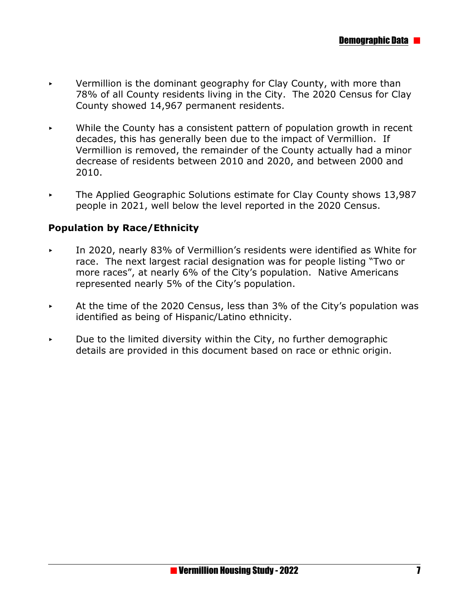- Vermillion is the dominant geography for Clay County, with more than 78% of all County residents living in the City. The 2020 Census for Clay County showed 14,967 permanent residents.
- While the County has a consistent pattern of population growth in recent decades, this has generally been due to the impact of Vermillion. If Vermillion is removed, the remainder of the County actually had a minor decrease of residents between 2010 and 2020, and between 2000 and 2010.
- $\triangleright$  The Applied Geographic Solutions estimate for Clay County shows 13,987 people in 2021, well below the level reported in the 2020 Census.

#### **Population by Race/Ethnicity**

- < In 2020, nearly 83% of Vermillion's residents were identified as White for race. The next largest racial designation was for people listing "Two or more races", at nearly 6% of the City's population. Native Americans represented nearly 5% of the City's population.
- $\blacktriangleright$  At the time of the 2020 Census, less than 3% of the City's population was identified as being of Hispanic/Latino ethnicity.
- Due to the limited diversity within the City, no further demographic details are provided in this document based on race or ethnic origin.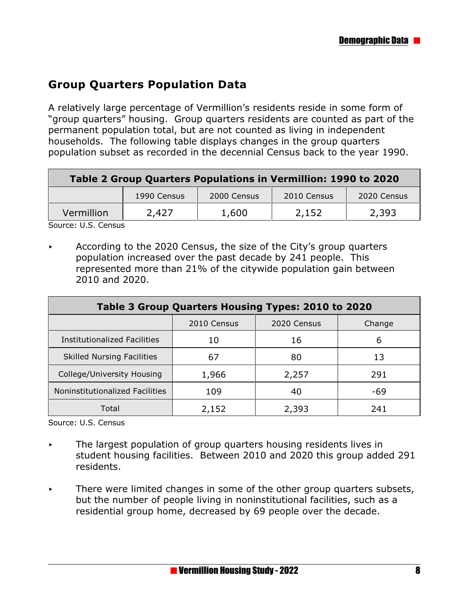#### **Group Quarters Population Data**

A relatively large percentage of Vermillion's residents reside in some form of "group quarters" housing. Group quarters residents are counted as part of the permanent population total, but are not counted as living in independent households. The following table displays changes in the group quarters population subset as recorded in the decennial Census back to the year 1990.

| 2010 Census<br>2000 Census<br>1990 Census      | Table 2 Group Quarters Populations in Vermillion: 1990 to 2020 |  |  |  |             |  |  |
|------------------------------------------------|----------------------------------------------------------------|--|--|--|-------------|--|--|
|                                                |                                                                |  |  |  | 2020 Census |  |  |
| Vermillion<br>2,393<br>2,152<br>2,427<br>1,600 |                                                                |  |  |  |             |  |  |

Source: U.S. Census

 $\triangleright$  According to the 2020 Census, the size of the City's group quarters population increased over the past decade by 241 people. This represented more than 21% of the citywide population gain between 2010 and 2020.

| Table 3 Group Quarters Housing Types: 2010 to 2020 |       |       |     |  |  |  |
|----------------------------------------------------|-------|-------|-----|--|--|--|
| 2010 Census<br>2020 Census<br>Change               |       |       |     |  |  |  |
| Institutionalized Facilities                       | 10    | 16    | 6   |  |  |  |
| <b>Skilled Nursing Facilities</b>                  | 67    | 80    | 13  |  |  |  |
| College/University Housing                         | 1,966 | 2,257 | 291 |  |  |  |
| Noninstitutionalized Facilities                    | 109   | 40    | -69 |  |  |  |
| Total                                              | 2,152 | 2,393 | 241 |  |  |  |

Source: U.S. Census

- $\overline{\phantom{a}}$  The largest population of group quarters housing residents lives in student housing facilities. Between 2010 and 2020 this group added 291 residents.
- There were limited changes in some of the other group quarters subsets, but the number of people living in noninstitutional facilities, such as a residential group home, decreased by 69 people over the decade.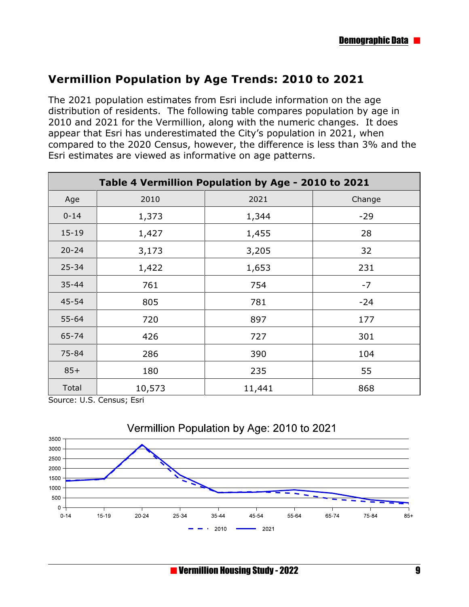#### **Vermillion Population by Age Trends: 2010 to 2021**

The 2021 population estimates from Esri include information on the age distribution of residents. The following table compares population by age in 2010 and 2021 for the Vermillion, along with the numeric changes. It does appear that Esri has underestimated the City's population in 2021, when compared to the 2020 Census, however, the difference is less than 3% and the Esri estimates are viewed as informative on age patterns.

| Table 4 Vermillion Population by Age - 2010 to 2021 |        |        |        |  |  |
|-----------------------------------------------------|--------|--------|--------|--|--|
| Age                                                 | 2010   | 2021   | Change |  |  |
| $0 - 14$                                            | 1,373  | 1,344  | $-29$  |  |  |
| $15 - 19$                                           | 1,427  | 1,455  | 28     |  |  |
| $20 - 24$                                           | 3,173  | 3,205  | 32     |  |  |
| $25 - 34$                                           | 1,422  | 1,653  | 231    |  |  |
| $35 - 44$                                           | 761    | 754    | $-7$   |  |  |
| 45-54                                               | 805    | 781    | $-24$  |  |  |
| 55-64                                               | 720    | 897    | 177    |  |  |
| 65-74                                               | 426    | 727    | 301    |  |  |
| 75-84                                               | 286    | 390    | 104    |  |  |
| $85+$                                               | 180    | 235    | 55     |  |  |
| Total                                               | 10,573 | 11,441 | 868    |  |  |

Source: U.S. Census; Esri



## Vermillion Population by Age: 2010 to 2021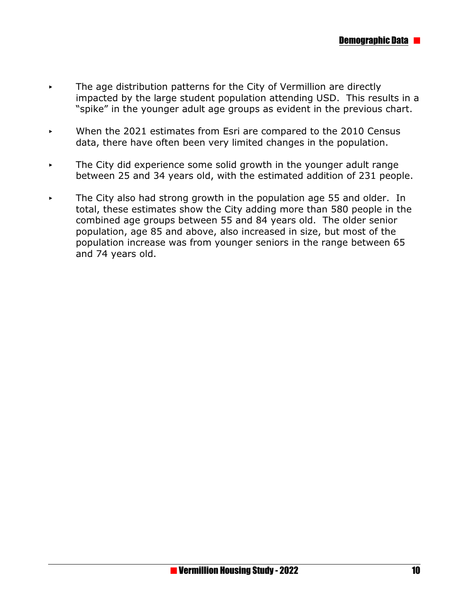- < The age distribution patterns for the City of Vermillion are directly impacted by the large student population attending USD. This results in a "spike" in the younger adult age groups as evident in the previous chart.
- When the 2021 estimates from Esri are compared to the 2010 Census data, there have often been very limited changes in the population.
- The City did experience some solid growth in the younger adult range between 25 and 34 years old, with the estimated addition of 231 people.
- The City also had strong growth in the population age 55 and older. In total, these estimates show the City adding more than 580 people in the combined age groups between 55 and 84 years old. The older senior population, age 85 and above, also increased in size, but most of the population increase was from younger seniors in the range between 65 and 74 years old.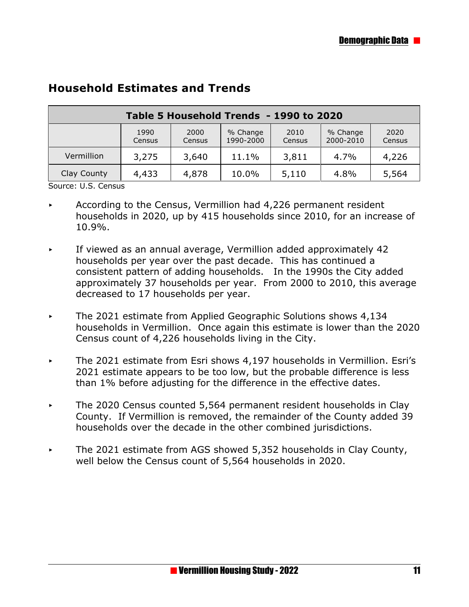| Table 5 Household Trends - 1990 to 2020                                                                                |       |       |       |       |      |       |  |
|------------------------------------------------------------------------------------------------------------------------|-------|-------|-------|-------|------|-------|--|
| 2020<br>2000<br>2010<br>% Change<br>1990<br>% Change<br>1990-2000<br>2000-2010<br>Census<br>Census<br>Census<br>Census |       |       |       |       |      |       |  |
| Vermillion                                                                                                             | 3,275 | 3,640 | 11.1% | 3,811 | 4.7% | 4,226 |  |
| Clay County<br>4,433<br>4,878<br>10.0%<br>5,110<br>4.8%<br>5,564                                                       |       |       |       |       |      |       |  |

#### **Household Estimates and Trends**

Source: U.S. Census

- < According to the Census, Vermillion had 4,226 permanent resident households in 2020, up by 415 households since 2010, for an increase of 10.9%.
- $\triangleright$  If viewed as an annual average, Vermillion added approximately 42 households per year over the past decade. This has continued a consistent pattern of adding households. In the 1990s the City added approximately 37 households per year. From 2000 to 2010, this average decreased to 17 households per year.
- $\blacktriangleright$  The 2021 estimate from Applied Geographic Solutions shows 4,134 households in Vermillion. Once again this estimate is lower than the 2020 Census count of 4,226 households living in the City.
- $\blacktriangleright$  The 2021 estimate from Esri shows 4,197 households in Vermillion. Esri's 2021 estimate appears to be too low, but the probable difference is less than 1% before adjusting for the difference in the effective dates.
- $\sim$  The 2020 Census counted 5,564 permanent resident households in Clay County. If Vermillion is removed, the remainder of the County added 39 households over the decade in the other combined jurisdictions.
- $\triangleright$  The 2021 estimate from AGS showed 5,352 households in Clay County, well below the Census count of 5,564 households in 2020.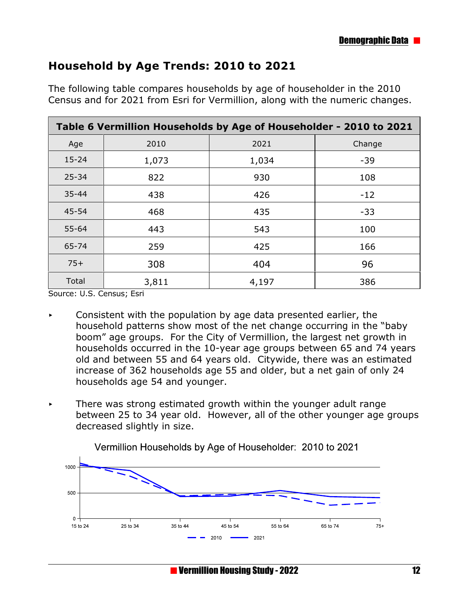#### **Household by Age Trends: 2010 to 2021**

| Table 6 Vermillion Households by Age of Householder - 2010 to 2021 |       |       |        |  |  |
|--------------------------------------------------------------------|-------|-------|--------|--|--|
| Age                                                                | 2010  | 2021  | Change |  |  |
| $15 - 24$                                                          | 1,073 | 1,034 | $-39$  |  |  |
| $25 - 34$                                                          | 822   | 930   | 108    |  |  |
| $35 - 44$                                                          | 438   | 426   | $-12$  |  |  |
| $45 - 54$                                                          | 468   | 435   | $-33$  |  |  |
| $55 - 64$                                                          | 443   | 543   | 100    |  |  |
| 65-74                                                              | 259   | 425   | 166    |  |  |
| $75+$                                                              | 308   | 404   | 96     |  |  |
| Total                                                              | 3,811 | 4,197 | 386    |  |  |

The following table compares households by age of householder in the 2010 Census and for 2021 from Esri for Vermillion, along with the numeric changes.

Source: U.S. Census; Esri

- < Consistent with the population by age data presented earlier, the household patterns show most of the net change occurring in the "baby boom" age groups. For the City of Vermillion, the largest net growth in households occurred in the 10-year age groups between 65 and 74 years old and between 55 and 64 years old. Citywide, there was an estimated increase of 362 households age 55 and older, but a net gain of only 24 households age 54 and younger.
- $\overline{\phantom{a}}$  There was strong estimated growth within the younger adult range between 25 to 34 year old. However, all of the other younger age groups decreased slightly in size.



Vermillion Households by Age of Householder: 2010 to 2021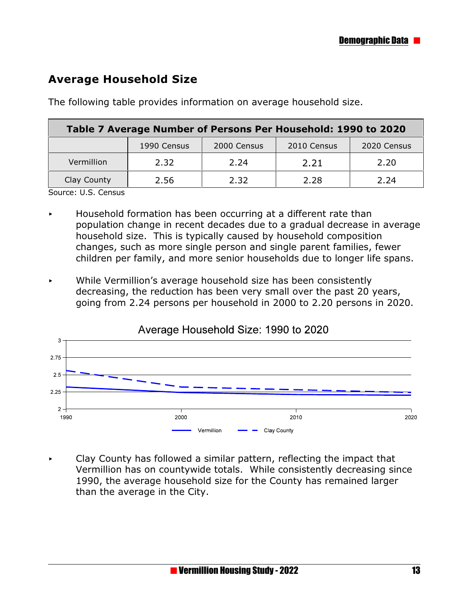#### **Average Household Size**

The following table provides information on average household size.

| Table 7 Average Number of Persons Per Household: 1990 to 2020 |      |      |      |      |  |  |  |
|---------------------------------------------------------------|------|------|------|------|--|--|--|
| 2010 Census<br>1990 Census<br>2000 Census<br>2020 Census      |      |      |      |      |  |  |  |
| Vermillion                                                    | 2.32 | 2.24 | 2.21 | 2.20 |  |  |  |
| Clay County                                                   | 2.56 | 2.32 | 2.28 | 2.24 |  |  |  |

Source: U.S. Census

- < Household formation has been occurring at a different rate than population change in recent decades due to a gradual decrease in average household size. This is typically caused by household composition changes, such as more single person and single parent families, fewer children per family, and more senior households due to longer life spans.
- < While Vermillion's average household size has been consistently decreasing, the reduction has been very small over the past 20 years, going from 2.24 persons per household in 2000 to 2.20 persons in 2020.



 $\triangleright$  Clay County has followed a similar pattern, reflecting the impact that Vermillion has on countywide totals. While consistently decreasing since 1990, the average household size for the County has remained larger than the average in the City.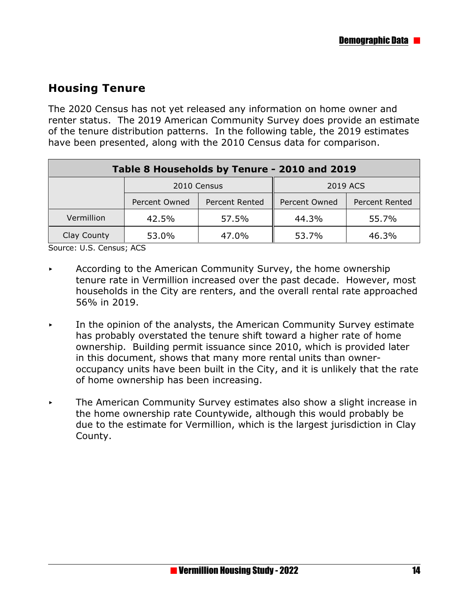#### **Housing Tenure**

The 2020 Census has not yet released any information on home owner and renter status. The 2019 American Community Survey does provide an estimate of the tenure distribution patterns. In the following table, the 2019 estimates have been presented, along with the 2010 Census data for comparison.

| Table 8 Households by Tenure - 2010 and 2019 |               |                |               |                |  |  |
|----------------------------------------------|---------------|----------------|---------------|----------------|--|--|
|                                              | 2010 Census   |                | 2019 ACS      |                |  |  |
|                                              | Percent Owned | Percent Rented | Percent Owned | Percent Rented |  |  |
| Vermillion                                   | 42.5%         | 57.5%          | 44.3%         | 55.7%          |  |  |
| Clay County                                  | 53.0%         | 47.0%          | 53.7%         | 46.3%          |  |  |

Source: U.S. Census; ACS

- According to the American Community Survey, the home ownership tenure rate in Vermillion increased over the past decade. However, most households in the City are renters, and the overall rental rate approached 56% in 2019.
- < In the opinion of the analysts, the American Community Survey estimate has probably overstated the tenure shift toward a higher rate of home ownership. Building permit issuance since 2010, which is provided later in this document, shows that many more rental units than owneroccupancy units have been built in the City, and it is unlikely that the rate of home ownership has been increasing.
- The American Community Survey estimates also show a slight increase in the home ownership rate Countywide, although this would probably be due to the estimate for Vermillion, which is the largest jurisdiction in Clay County.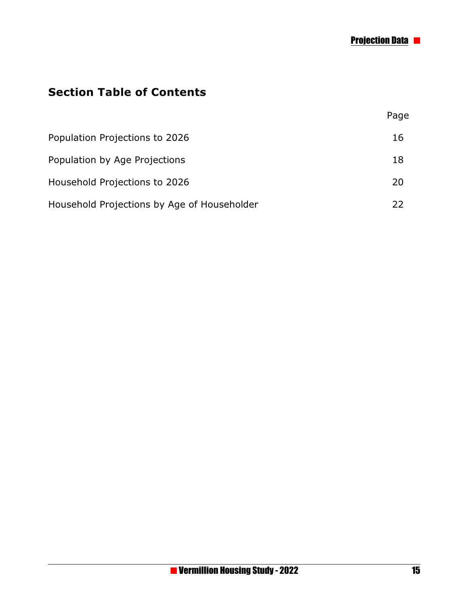## **Section Table of Contents**

|                                             | Page |
|---------------------------------------------|------|
| Population Projections to 2026              | 16   |
| Population by Age Projections               | 18   |
| Household Projections to 2026               | 20   |
| Household Projections by Age of Householder | 22   |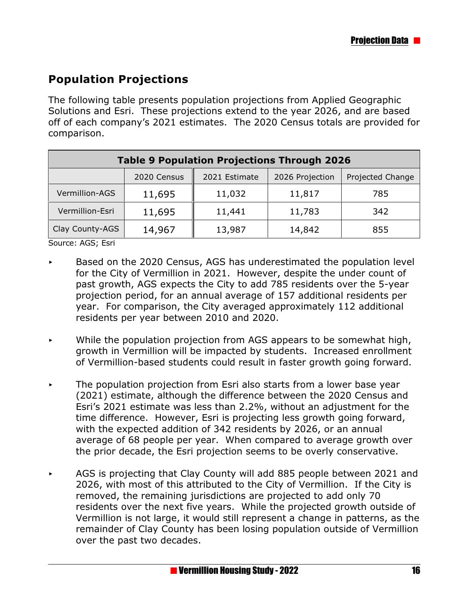## **Population Projections**

The following table presents population projections from Applied Geographic Solutions and Esri. These projections extend to the year 2026, and are based off of each company's 2021 estimates. The 2020 Census totals are provided for comparison.

| <b>Table 9 Population Projections Through 2026</b>                  |        |        |        |     |  |  |
|---------------------------------------------------------------------|--------|--------|--------|-----|--|--|
| 2020 Census<br>2021 Estimate<br>2026 Projection<br>Projected Change |        |        |        |     |  |  |
| Vermillion-AGS                                                      | 11,695 | 11,032 | 11,817 | 785 |  |  |
| Vermillion-Esri                                                     | 11,695 | 11,441 | 11,783 | 342 |  |  |
| Clay County-AGS                                                     | 14,967 | 13,987 | 14,842 | 855 |  |  |

Source: AGS; Esri

- < Based on the 2020 Census, AGS has underestimated the population level for the City of Vermillion in 2021. However, despite the under count of past growth, AGS expects the City to add 785 residents over the 5-year projection period, for an annual average of 157 additional residents per year. For comparison, the City averaged approximately 112 additional residents per year between 2010 and 2020.
- $\triangleright$  While the population projection from AGS appears to be somewhat high, growth in Vermillion will be impacted by students. Increased enrollment of Vermillion-based students could result in faster growth going forward.
- $\triangleright$  The population projection from Esri also starts from a lower base year (2021) estimate, although the difference between the 2020 Census and Esri's 2021 estimate was less than 2.2%, without an adjustment for the time difference. However, Esri is projecting less growth going forward, with the expected addition of 342 residents by 2026, or an annual average of 68 people per year. When compared to average growth over the prior decade, the Esri projection seems to be overly conservative.
- $\sim$  AGS is projecting that Clay County will add 885 people between 2021 and 2026, with most of this attributed to the City of Vermillion. If the City is removed, the remaining jurisdictions are projected to add only 70 residents over the next five years. While the projected growth outside of Vermillion is not large, it would still represent a change in patterns, as the remainder of Clay County has been losing population outside of Vermillion over the past two decades.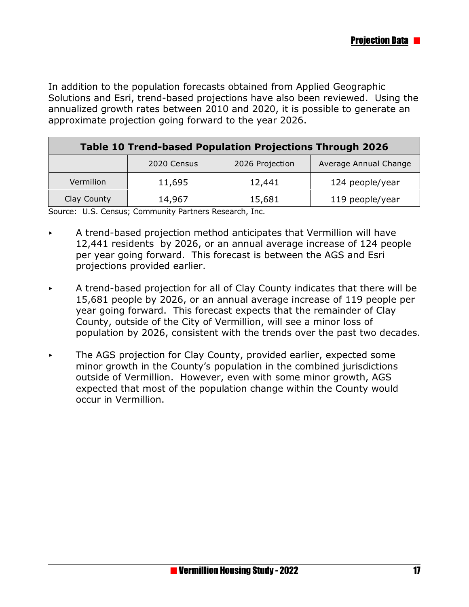In addition to the population forecasts obtained from Applied Geographic Solutions and Esri, trend-based projections have also been reviewed. Using the annualized growth rates between 2010 and 2020, it is possible to generate an approximate projection going forward to the year 2026.

| <b>Table 10 Trend-based Population Projections Through 2026</b> |        |        |                 |  |  |  |
|-----------------------------------------------------------------|--------|--------|-----------------|--|--|--|
| Average Annual Change<br>2026 Projection<br>2020 Census         |        |        |                 |  |  |  |
| Vermilion                                                       | 11,695 | 12,441 | 124 people/year |  |  |  |
| Clay County<br>119 people/year<br>15,681<br>14,967              |        |        |                 |  |  |  |

Source: U.S. Census; Community Partners Research, Inc.

- $\triangleright$  A trend-based projection method anticipates that Vermillion will have 12,441 residents by 2026, or an annual average increase of 124 people per year going forward. This forecast is between the AGS and Esri projections provided earlier.
- $\blacktriangleright$  A trend-based projection for all of Clay County indicates that there will be 15,681 people by 2026, or an annual average increase of 119 people per year going forward. This forecast expects that the remainder of Clay County, outside of the City of Vermillion, will see a minor loss of population by 2026, consistent with the trends over the past two decades.
- The AGS projection for Clay County, provided earlier, expected some minor growth in the County's population in the combined jurisdictions outside of Vermillion. However, even with some minor growth, AGS expected that most of the population change within the County would occur in Vermillion.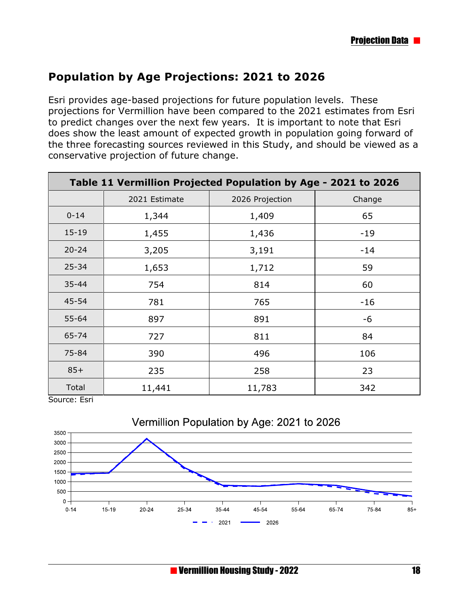#### **Population by Age Projections: 2021 to 2026**

Esri provides age-based projections for future population levels. These projections for Vermillion have been compared to the 2021 estimates from Esri to predict changes over the next few years. It is important to note that Esri does show the least amount of expected growth in population going forward of the three forecasting sources reviewed in this Study, and should be viewed as a conservative projection of future change.

| Table 11 Vermillion Projected Population by Age - 2021 to 2026 |               |                 |        |  |
|----------------------------------------------------------------|---------------|-----------------|--------|--|
|                                                                | 2021 Estimate | 2026 Projection | Change |  |
| $0 - 14$                                                       | 1,344         | 1,409           | 65     |  |
| $15 - 19$                                                      | 1,455         | 1,436           | $-19$  |  |
| $20 - 24$                                                      | 3,205         | 3,191           | $-14$  |  |
| $25 - 34$                                                      | 1,653         | 1,712           | 59     |  |
| $35 - 44$                                                      | 754           | 814             | 60     |  |
| 45-54                                                          | 781           | 765             | $-16$  |  |
| $55 - 64$                                                      | 897           | 891             | -6     |  |
| 65-74                                                          | 727           | 811             | 84     |  |
| 75-84                                                          | 390           | 496             | 106    |  |
| $85+$                                                          | 235           | 258             | 23     |  |
| Total                                                          | 11,441        | 11,783          | 342    |  |

Source: Esri

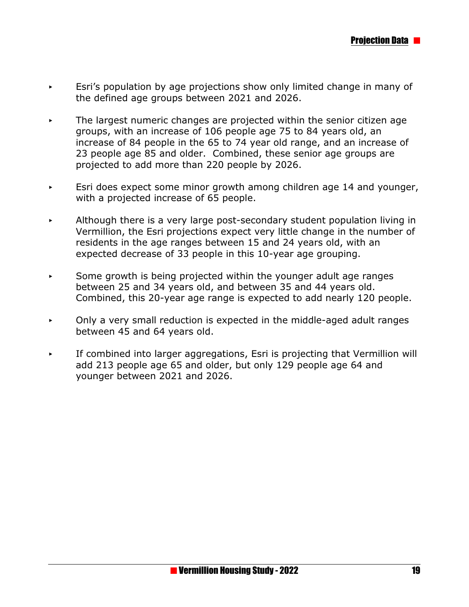- < Esri's population by age projections show only limited change in many of the defined age groups between 2021 and 2026.
- The largest numeric changes are projected within the senior citizen age groups, with an increase of 106 people age 75 to 84 years old, an increase of 84 people in the 65 to 74 year old range, and an increase of 23 people age 85 and older. Combined, these senior age groups are projected to add more than 220 people by 2026.
- $\overline{\phantom{a}}$  Esri does expect some minor growth among children age 14 and younger, with a projected increase of 65 people.
- Although there is a very large post-secondary student population living in Vermillion, the Esri projections expect very little change in the number of residents in the age ranges between 15 and 24 years old, with an expected decrease of 33 people in this 10-year age grouping.
- $\overline{\phantom{a}}$  Some growth is being projected within the younger adult age ranges between 25 and 34 years old, and between 35 and 44 years old. Combined, this 20-year age range is expected to add nearly 120 people.
- $\triangleright$  Only a very small reduction is expected in the middle-aged adult ranges between 45 and 64 years old.
- $\cdot$  If combined into larger aggregations, Esri is projecting that Vermillion will add 213 people age 65 and older, but only 129 people age 64 and younger between 2021 and 2026.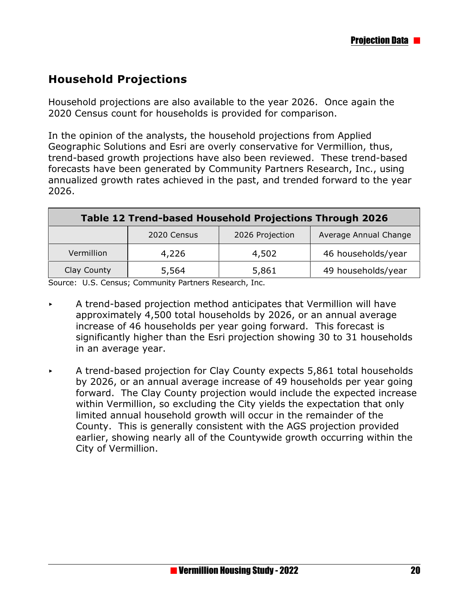#### **Household Projections**

Household projections are also available to the year 2026. Once again the 2020 Census count for households is provided for comparison.

In the opinion of the analysts, the household projections from Applied Geographic Solutions and Esri are overly conservative for Vermillion, thus, trend-based growth projections have also been reviewed. These trend-based forecasts have been generated by Community Partners Research, Inc., using annualized growth rates achieved in the past, and trended forward to the year 2026.

| Table 12 Trend-based Household Projections Through 2026 |       |       |                    |  |  |  |
|---------------------------------------------------------|-------|-------|--------------------|--|--|--|
| Average Annual Change<br>2026 Projection<br>2020 Census |       |       |                    |  |  |  |
| Vermillion                                              | 4,226 | 4,502 | 46 households/year |  |  |  |
| Clay County                                             | 5,564 | 5,861 | 49 households/year |  |  |  |

Source: U.S. Census; Community Partners Research, Inc.

- $\blacktriangleright$  A trend-based projection method anticipates that Vermillion will have approximately 4,500 total households by 2026, or an annual average increase of 46 households per year going forward. This forecast is significantly higher than the Esri projection showing 30 to 31 households in an average year.
- < A trend-based projection for Clay County expects 5,861 total households by 2026, or an annual average increase of 49 households per year going forward. The Clay County projection would include the expected increase within Vermillion, so excluding the City yields the expectation that only limited annual household growth will occur in the remainder of the County. This is generally consistent with the AGS projection provided earlier, showing nearly all of the Countywide growth occurring within the City of Vermillion.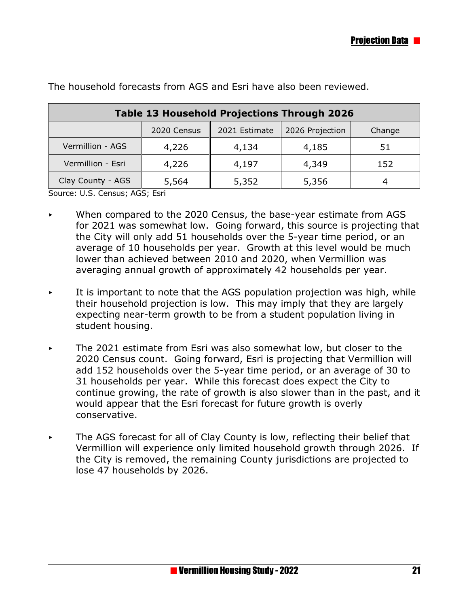| <b>Table 13 Household Projections Through 2026</b>        |       |       |       |     |  |  |  |
|-----------------------------------------------------------|-------|-------|-------|-----|--|--|--|
| 2021 Estimate<br>2026 Projection<br>2020 Census<br>Change |       |       |       |     |  |  |  |
| Vermillion - AGS                                          | 4,226 | 4,134 | 4,185 | 51  |  |  |  |
| Vermillion - Esri                                         | 4,226 | 4,197 | 4,349 | 152 |  |  |  |
| Clay County - AGS                                         | 5,564 | 5,352 | 5,356 |     |  |  |  |

The household forecasts from AGS and Esri have also been reviewed.

Source: U.S. Census; AGS; Esri

- $\triangleright$  When compared to the 2020 Census, the base-year estimate from AGS for 2021 was somewhat low. Going forward, this source is projecting that the City will only add 51 households over the 5-year time period, or an average of 10 households per year. Growth at this level would be much lower than achieved between 2010 and 2020, when Vermillion was averaging annual growth of approximately 42 households per year.
- It is important to note that the AGS population projection was high, while their household projection is low. This may imply that they are largely expecting near-term growth to be from a student population living in student housing.
- < The 2021 estimate from Esri was also somewhat low, but closer to the 2020 Census count. Going forward, Esri is projecting that Vermillion will add 152 households over the 5-year time period, or an average of 30 to 31 households per year. While this forecast does expect the City to continue growing, the rate of growth is also slower than in the past, and it would appear that the Esri forecast for future growth is overly conservative.
- $\triangleright$  The AGS forecast for all of Clay County is low, reflecting their belief that Vermillion will experience only limited household growth through 2026. If the City is removed, the remaining County jurisdictions are projected to lose 47 households by 2026.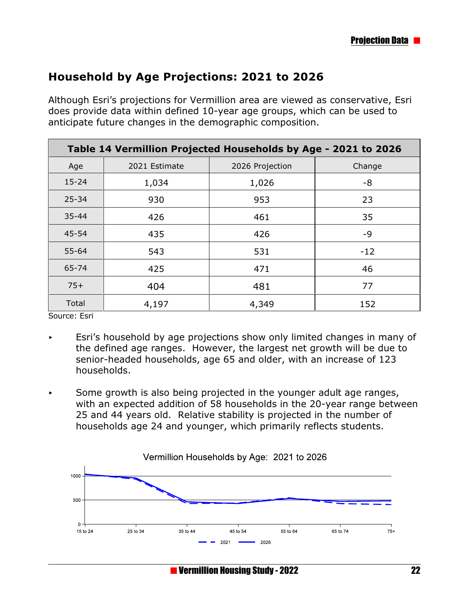#### **Household by Age Projections: 2021 to 2026**

Although Esri's projections for Vermillion area are viewed as conservative, Esri does provide data within defined 10-year age groups, which can be used to anticipate future changes in the demographic composition.

| Table 14 Vermillion Projected Households by Age - 2021 to 2026 |               |                 |        |  |  |
|----------------------------------------------------------------|---------------|-----------------|--------|--|--|
| Age                                                            | 2021 Estimate | 2026 Projection | Change |  |  |
| $15 - 24$                                                      | 1,034         | 1,026           | -8     |  |  |
| $25 - 34$                                                      | 930           | 953             | 23     |  |  |
| $35 - 44$                                                      | 426           | 461             | 35     |  |  |
| $45 - 54$                                                      | 435           | 426             | -9     |  |  |
| 55-64                                                          | 543           | 531             | $-12$  |  |  |
| 65-74                                                          | 425           | 471             | 46     |  |  |
| $75+$                                                          | 404           | 481             | 77     |  |  |
| Total                                                          | 4,197         | 4,349           | 152    |  |  |

Source: Esri

- $\overline{\phantom{a}}$  Esri's household by age projections show only limited changes in many of the defined age ranges. However, the largest net growth will be due to senior-headed households, age 65 and older, with an increase of 123 households.
- $\overline{\phantom{a}}$  Some growth is also being projected in the younger adult age ranges, with an expected addition of 58 households in the 20-year range between 25 and 44 years old. Relative stability is projected in the number of households age 24 and younger, which primarily reflects students.

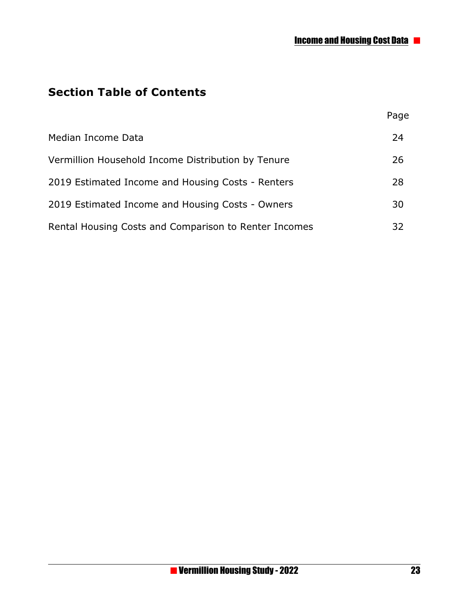Page

## **Section Table of Contents**

| Median Income Data                                    | 24 |
|-------------------------------------------------------|----|
| Vermillion Household Income Distribution by Tenure    | 26 |
| 2019 Estimated Income and Housing Costs - Renters     | 28 |
| 2019 Estimated Income and Housing Costs - Owners      | 30 |
| Rental Housing Costs and Comparison to Renter Incomes | 32 |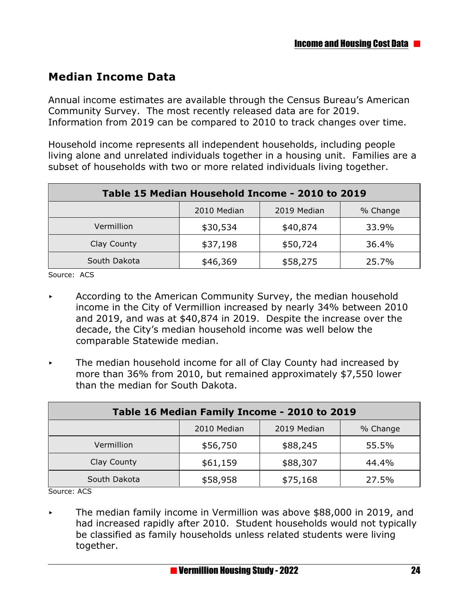#### **Median Income Data**

Annual income estimates are available through the Census Bureau's American Community Survey. The most recently released data are for 2019. Information from 2019 can be compared to 2010 to track changes over time.

Household income represents all independent households, including people living alone and unrelated individuals together in a housing unit. Families are a subset of households with two or more related individuals living together.

| Table 15 Median Household Income - 2010 to 2019 |                               |          |       |  |  |  |
|-------------------------------------------------|-------------------------------|----------|-------|--|--|--|
| 2019 Median<br>2010 Median<br>% Change          |                               |          |       |  |  |  |
| Vermillion                                      | \$30,534                      | \$40,874 | 33.9% |  |  |  |
| Clay County                                     | \$37,198                      | \$50,724 | 36.4% |  |  |  |
| South Dakota                                    | \$46,369<br>\$58,275<br>25.7% |          |       |  |  |  |

Source: ACS

- $\triangleright$  According to the American Community Survey, the median household income in the City of Vermillion increased by nearly 34% between 2010 and 2019, and was at \$40,874 in 2019. Despite the increase over the decade, the City's median household income was well below the comparable Statewide median.
- $\triangleright$  The median household income for all of Clay County had increased by more than 36% from 2010, but remained approximately \$7,550 lower than the median for South Dakota.

| Table 16 Median Family Income - 2010 to 2019 |                               |          |       |  |  |  |
|----------------------------------------------|-------------------------------|----------|-------|--|--|--|
| 2019 Median<br>2010 Median<br>% Change       |                               |          |       |  |  |  |
| Vermillion                                   | \$56,750                      | \$88,245 | 55.5% |  |  |  |
| Clay County                                  | \$61,159                      | \$88,307 | 44.4% |  |  |  |
| South Dakota                                 | \$58,958<br>\$75,168<br>27.5% |          |       |  |  |  |

Source: ACS

< The median family income in Vermillion was above \$88,000 in 2019, and had increased rapidly after 2010. Student households would not typically be classified as family households unless related students were living together.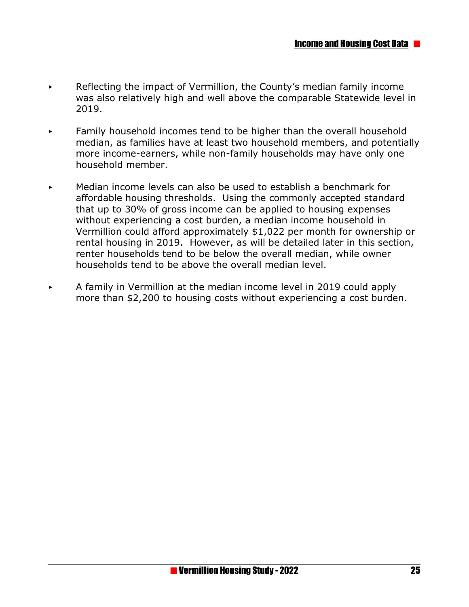- Reflecting the impact of Vermillion, the County's median family income was also relatively high and well above the comparable Statewide level in 2019.
- Family household incomes tend to be higher than the overall household median, as families have at least two household members, and potentially more income-earners, while non-family households may have only one household member.
- < Median income levels can also be used to establish a benchmark for affordable housing thresholds. Using the commonly accepted standard that up to 30% of gross income can be applied to housing expenses without experiencing a cost burden, a median income household in Vermillion could afford approximately \$1,022 per month for ownership or rental housing in 2019. However, as will be detailed later in this section, renter households tend to be below the overall median, while owner households tend to be above the overall median level.
- < A family in Vermillion at the median income level in 2019 could apply more than \$2,200 to housing costs without experiencing a cost burden.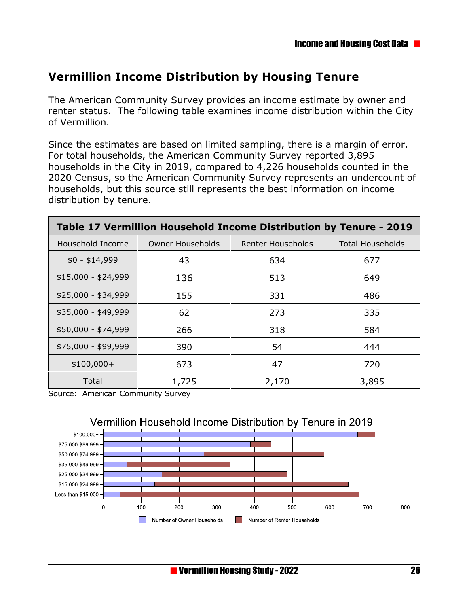## **Vermillion Income Distribution by Housing Tenure**

The American Community Survey provides an income estimate by owner and renter status. The following table examines income distribution within the City of Vermillion.

Since the estimates are based on limited sampling, there is a margin of error. For total households, the American Community Survey reported 3,895 households in the City in 2019, compared to 4,226 households counted in the 2020 Census, so the American Community Survey represents an undercount of households, but this source still represents the best information on income distribution by tenure.

| Table 17 Vermillion Household Income Distribution by Tenure - 2019 |                         |                          |                         |  |  |
|--------------------------------------------------------------------|-------------------------|--------------------------|-------------------------|--|--|
| Household Income                                                   | <b>Owner Households</b> | <b>Renter Households</b> | <b>Total Households</b> |  |  |
| $$0 - $14,999$                                                     | 43                      | 634                      | 677                     |  |  |
| $$15,000 - $24,999$                                                | 136                     | 513                      | 649                     |  |  |
| \$25,000 - \$34,999                                                | 155                     | 331                      | 486                     |  |  |
| \$35,000 - \$49,999                                                | 62                      | 273                      | 335                     |  |  |
| \$50,000 - \$74,999                                                | 266                     | 318                      | 584                     |  |  |
| \$75,000 - \$99,999                                                | 390                     | 54                       | 444                     |  |  |
| $$100,000+$                                                        | 673                     | 47                       | 720                     |  |  |
| Total                                                              | 1,725                   | 2,170                    | 3,895                   |  |  |

Source: American Community Survey

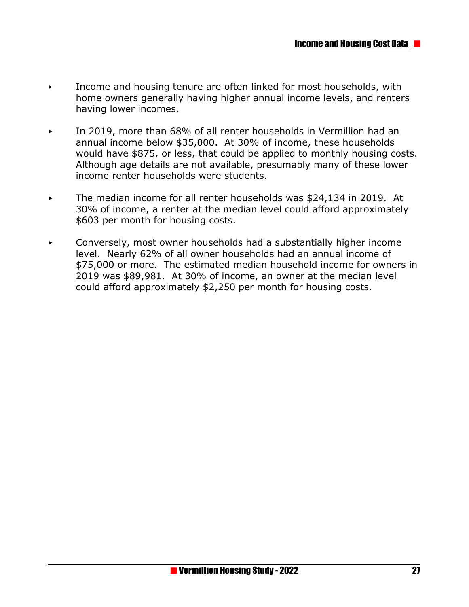- < Income and housing tenure are often linked for most households, with home owners generally having higher annual income levels, and renters having lower incomes.
- < In 2019, more than 68% of all renter households in Vermillion had an annual income below \$35,000. At 30% of income, these households would have \$875, or less, that could be applied to monthly housing costs. Although age details are not available, presumably many of these lower income renter households were students.
- < The median income for all renter households was \$24,134 in 2019. At 30% of income, a renter at the median level could afford approximately \$603 per month for housing costs.
- $\triangleright$  Conversely, most owner households had a substantially higher income level. Nearly 62% of all owner households had an annual income of \$75,000 or more. The estimated median household income for owners in 2019 was \$89,981. At 30% of income, an owner at the median level could afford approximately \$2,250 per month for housing costs.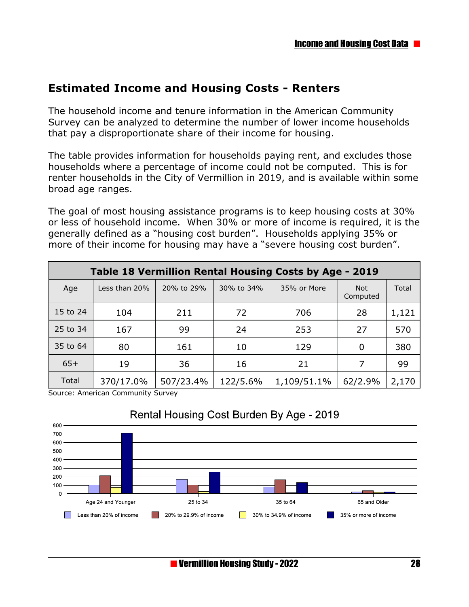#### **Estimated Income and Housing Costs - Renters**

The household income and tenure information in the American Community Survey can be analyzed to determine the number of lower income households that pay a disproportionate share of their income for housing.

The table provides information for households paying rent, and excludes those households where a percentage of income could not be computed. This is for renter households in the City of Vermillion in 2019, and is available within some broad age ranges.

The goal of most housing assistance programs is to keep housing costs at 30% or less of household income. When 30% or more of income is required, it is the generally defined as a "housing cost burden". Households applying 35% or more of their income for housing may have a "severe housing cost burden".

|          | Table 18 Vermillion Rental Housing Costs by Age - 2019 |            |            |             |                        |       |  |
|----------|--------------------------------------------------------|------------|------------|-------------|------------------------|-------|--|
| Age      | Less than 20%                                          | 20% to 29% | 30% to 34% | 35% or More | <b>Not</b><br>Computed | Total |  |
| 15 to 24 | 104                                                    | 211        | 72         | 706         | 28                     | 1,121 |  |
| 25 to 34 | 167                                                    | 99         | 24         | 253         | 27                     | 570   |  |
| 35 to 64 | 80                                                     | 161        | 10         | 129         | 0                      | 380   |  |
| $65+$    | 19                                                     | 36         | 16         | 21          | 7                      | 99    |  |
| Total    | 370/17.0%                                              | 507/23.4%  | 122/5.6%   | 1,109/51.1% | 62/2.9%                | 2,170 |  |

Source: American Community Survey



#### Rental Housing Cost Burden By Age - 2019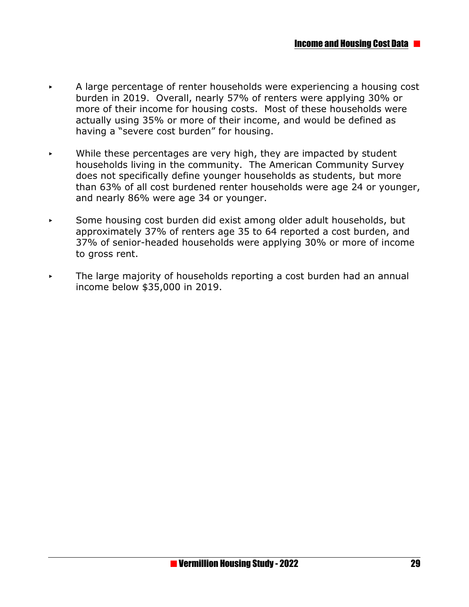- < A large percentage of renter households were experiencing a housing cost burden in 2019. Overall, nearly 57% of renters were applying 30% or more of their income for housing costs. Most of these households were actually using 35% or more of their income, and would be defined as having a "severe cost burden" for housing.
- While these percentages are very high, they are impacted by student households living in the community. The American Community Survey does not specifically define younger households as students, but more than 63% of all cost burdened renter households were age 24 or younger, and nearly 86% were age 34 or younger.
- Some housing cost burden did exist among older adult households, but approximately 37% of renters age 35 to 64 reported a cost burden, and 37% of senior-headed households were applying 30% or more of income to gross rent.
- $\triangleright$  The large majority of households reporting a cost burden had an annual income below \$35,000 in 2019.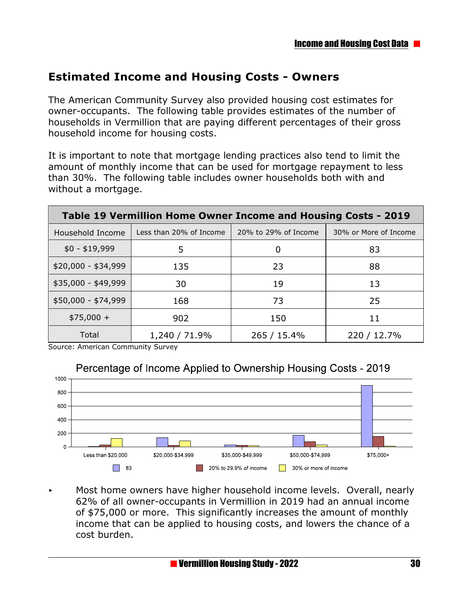#### **Estimated Income and Housing Costs - Owners**

The American Community Survey also provided housing cost estimates for owner-occupants. The following table provides estimates of the number of households in Vermillion that are paying different percentages of their gross household income for housing costs.

It is important to note that mortgage lending practices also tend to limit the amount of monthly income that can be used for mortgage repayment to less than 30%. The following table includes owner households both with and without a mortgage.

| Table 19 Vermillion Home Owner Income and Housing Costs - 2019 |                         |                      |                       |  |  |
|----------------------------------------------------------------|-------------------------|----------------------|-----------------------|--|--|
| Household Income                                               | Less than 20% of Income | 20% to 29% of Income | 30% or More of Income |  |  |
| $$0 - $19,999$                                                 | 5                       | 0                    | 83                    |  |  |
| $$20,000 - $34,999$                                            | 135                     | 23                   | 88                    |  |  |
| \$35,000 - \$49,999                                            | 30                      | 19                   | 13                    |  |  |
| $$50,000 - $74,999$                                            | 168                     | 73                   | 25                    |  |  |
| $$75,000 +$                                                    | 902                     | 150                  | 11                    |  |  |
| Total                                                          | 1,240 / 71.9%           | 265 / 15.4%          | 220 / 12.7%           |  |  |

Source: American Community Survey

#### Percentage of Income Applied to Ownership Housing Costs - 2019



 $\triangleright$  Most home owners have higher household income levels. Overall, nearly 62% of all owner-occupants in Vermillion in 2019 had an annual income of \$75,000 or more. This significantly increases the amount of monthly income that can be applied to housing costs, and lowers the chance of a cost burden.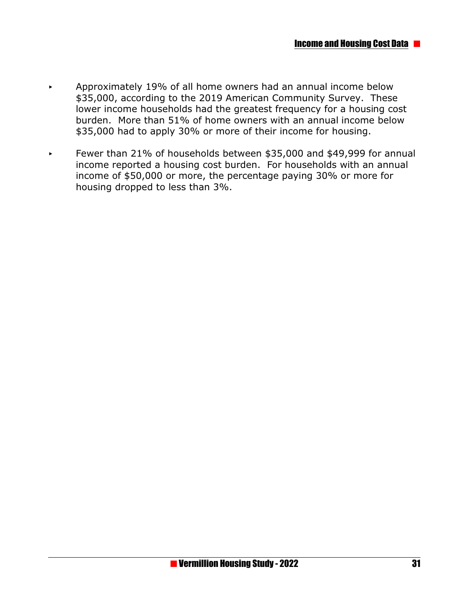- $\blacktriangleright$  Approximately 19% of all home owners had an annual income below \$35,000, according to the 2019 American Community Survey. These lower income households had the greatest frequency for a housing cost burden. More than 51% of home owners with an annual income below \$35,000 had to apply 30% or more of their income for housing.
- ► Fewer than 21% of households between \$35,000 and \$49,999 for annual income reported a housing cost burden. For households with an annual income of \$50,000 or more, the percentage paying 30% or more for housing dropped to less than 3%.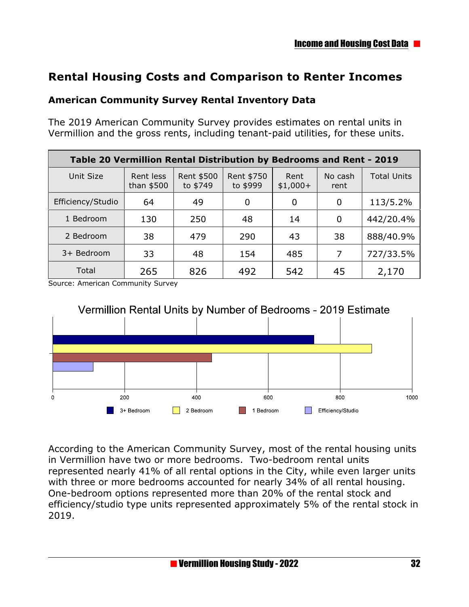#### **Rental Housing Costs and Comparison to Renter Incomes**

#### **American Community Survey Rental Inventory Data**

The 2019 American Community Survey provides estimates on rental units in Vermillion and the gross rents, including tenant-paid utilities, for these units.

| Table 20 Vermillion Rental Distribution by Bedrooms and Rent - 2019 |                         |                        |                        |                   |                 |                    |
|---------------------------------------------------------------------|-------------------------|------------------------|------------------------|-------------------|-----------------|--------------------|
| Unit Size                                                           | Rent less<br>than \$500 | Rent \$500<br>to \$749 | Rent \$750<br>to \$999 | Rent<br>$$1,000+$ | No cash<br>rent | <b>Total Units</b> |
| Efficiency/Studio                                                   | 64                      | 49                     | 0                      | 0                 | 0               | 113/5.2%           |
| 1 Bedroom                                                           | 130                     | 250                    | 48                     | 14                | 0               | 442/20.4%          |
| 2 Bedroom                                                           | 38                      | 479                    | 290                    | 43                | 38              | 888/40.9%          |
| 3+ Bedroom                                                          | 33                      | 48                     | 154                    | 485               | 7               | 727/33.5%          |
| Total                                                               | 265                     | 826                    | 492                    | 542               | 45              | 2,170              |

Source: American Community Survey



According to the American Community Survey, most of the rental housing units in Vermillion have two or more bedrooms. Two-bedroom rental units represented nearly 41% of all rental options in the City, while even larger units with three or more bedrooms accounted for nearly 34% of all rental housing. One-bedroom options represented more than 20% of the rental stock and efficiency/studio type units represented approximately 5% of the rental stock in 2019.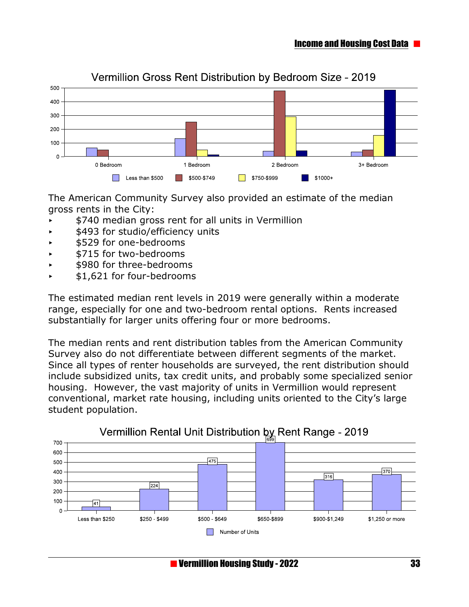

#### Vermillion Gross Rent Distribution by Bedroom Size - 2019

The American Community Survey also provided an estimate of the median gross rents in the City:

- \$740 median gross rent for all units in Vermillion
- < \$493 for studio/efficiency units
- < \$529 for one-bedrooms
- < \$715 for two-bedrooms
- \$980 for three-bedrooms
- < \$1,621 for four-bedrooms

The estimated median rent levels in 2019 were generally within a moderate range, especially for one and two-bedroom rental options. Rents increased substantially for larger units offering four or more bedrooms.

The median rents and rent distribution tables from the American Community Survey also do not differentiate between different segments of the market. Since all types of renter households are surveyed, the rent distribution should include subsidized units, tax credit units, and probably some specialized senior housing. However, the vast majority of units in Vermillion would represent conventional, market rate housing, including units oriented to the City's large student population.

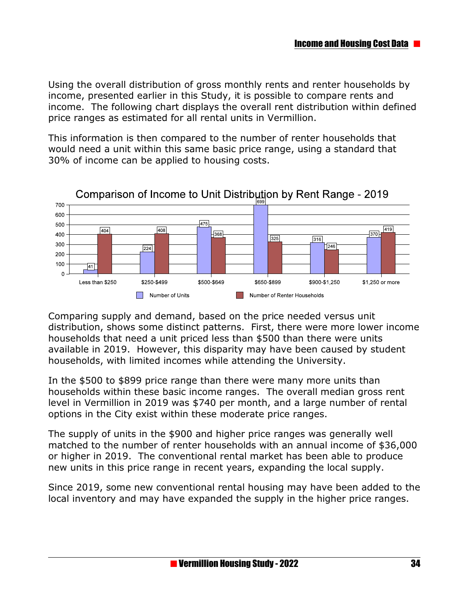Using the overall distribution of gross monthly rents and renter households by income, presented earlier in this Study, it is possible to compare rents and income. The following chart displays the overall rent distribution within defined price ranges as estimated for all rental units in Vermillion.

This information is then compared to the number of renter households that would need a unit within this same basic price range, using a standard that 30% of income can be applied to housing costs.



Comparison of Income to Unit Distribution by Rent Range - 2019

Comparing supply and demand, based on the price needed versus unit distribution, shows some distinct patterns. First, there were more lower income households that need a unit priced less than \$500 than there were units available in 2019. However, this disparity may have been caused by student households, with limited incomes while attending the University.

In the \$500 to \$899 price range than there were many more units than households within these basic income ranges. The overall median gross rent level in Vermillion in 2019 was \$740 per month, and a large number of rental options in the City exist within these moderate price ranges.

The supply of units in the \$900 and higher price ranges was generally well matched to the number of renter households with an annual income of \$36,000 or higher in 2019. The conventional rental market has been able to produce new units in this price range in recent years, expanding the local supply.

Since 2019, some new conventional rental housing may have been added to the local inventory and may have expanded the supply in the higher price ranges.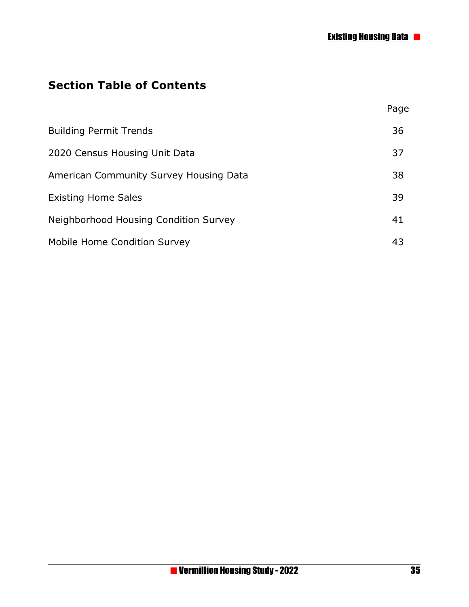## **Section Table of Contents**

|                                        | Page |
|----------------------------------------|------|
| <b>Building Permit Trends</b>          | 36   |
| 2020 Census Housing Unit Data          | 37   |
| American Community Survey Housing Data | 38   |
| <b>Existing Home Sales</b>             | 39   |
| Neighborhood Housing Condition Survey  | 41   |
| Mobile Home Condition Survey           | 43   |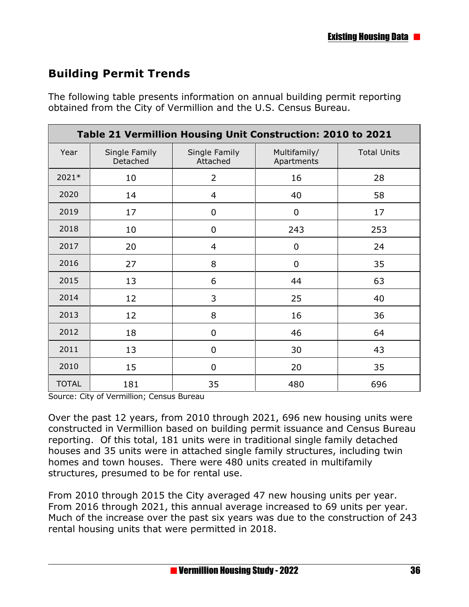# **Building Permit Trends**

The following table presents information on annual building permit reporting obtained from the City of Vermillion and the U.S. Census Bureau.

| Table 21 Vermillion Housing Unit Construction: 2010 to 2021 |                           |                           |                            |                    |  |  |  |
|-------------------------------------------------------------|---------------------------|---------------------------|----------------------------|--------------------|--|--|--|
| Year                                                        | Single Family<br>Detached | Single Family<br>Attached | Multifamily/<br>Apartments | <b>Total Units</b> |  |  |  |
| 2021*                                                       | 10                        | $\overline{2}$            | 16                         | 28                 |  |  |  |
| 2020                                                        | 14                        | 4                         | 40                         | 58                 |  |  |  |
| 2019                                                        | 17                        | 0                         | $\mathbf 0$                | 17                 |  |  |  |
| 2018                                                        | 10                        | 0                         | 243                        | 253                |  |  |  |
| 2017                                                        | 20                        | $\overline{4}$            | $\overline{0}$             | 24                 |  |  |  |
| 2016                                                        | 27                        | 8                         | $\overline{0}$             | 35                 |  |  |  |
| 2015                                                        | 13                        | 6                         | 44                         | 63                 |  |  |  |
| 2014                                                        | 12                        | 3                         | 25                         | 40                 |  |  |  |
| 2013                                                        | 12                        | 8                         | 16                         | 36                 |  |  |  |
| 2012                                                        | 18                        | 0                         | 46                         | 64                 |  |  |  |
| 2011                                                        | 13                        | 0                         | 30                         | 43                 |  |  |  |
| 2010                                                        | 15                        | $\overline{0}$            | 20                         | 35                 |  |  |  |
| <b>TOTAL</b>                                                | 181                       | 35                        | 480                        | 696                |  |  |  |

Source: City of Vermillion; Census Bureau

Over the past 12 years, from 2010 through 2021, 696 new housing units were constructed in Vermillion based on building permit issuance and Census Bureau reporting. Of this total, 181 units were in traditional single family detached houses and 35 units were in attached single family structures, including twin homes and town houses. There were 480 units created in multifamily structures, presumed to be for rental use.

From 2010 through 2015 the City averaged 47 new housing units per year. From 2016 through 2021, this annual average increased to 69 units per year. Much of the increase over the past six years was due to the construction of 243 rental housing units that were permitted in 2018.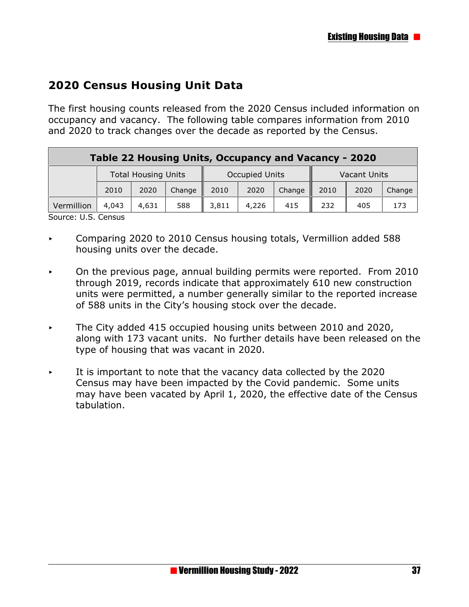## **2020 Census Housing Unit Data**

The first housing counts released from the 2020 Census included information on occupancy and vacancy. The following table compares information from 2010 and 2020 to track changes over the decade as reported by the Census.

| Table 22 Housing Units, Occupancy and Vacancy - 2020 |                            |       |        |                       |       |        |              |      |        |
|------------------------------------------------------|----------------------------|-------|--------|-----------------------|-------|--------|--------------|------|--------|
|                                                      | <b>Total Housing Units</b> |       |        | <b>Occupied Units</b> |       |        | Vacant Units |      |        |
| 2010                                                 |                            | 2020  | Change | 2010                  | 2020  | Change | 2010         | 2020 | Change |
| Vermillion                                           | 4,043                      | 4,631 | 588    | 3,811                 | 4,226 | 415    | 232          | 405  | 173    |

Source: U.S. Census

- < Comparing 2020 to 2010 Census housing totals, Vermillion added 588 housing units over the decade.
- $\sim$  On the previous page, annual building permits were reported. From 2010 through 2019, records indicate that approximately 610 new construction units were permitted, a number generally similar to the reported increase of 588 units in the City's housing stock over the decade.
- < The City added 415 occupied housing units between 2010 and 2020, along with 173 vacant units. No further details have been released on the type of housing that was vacant in 2020.
- It is important to note that the vacancy data collected by the 2020 Census may have been impacted by the Covid pandemic. Some units may have been vacated by April 1, 2020, the effective date of the Census tabulation.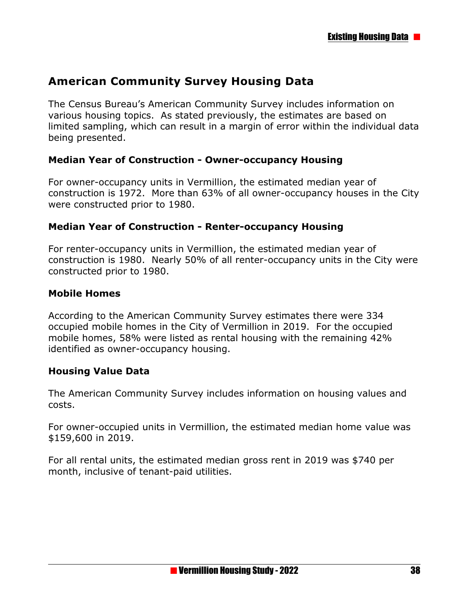### **American Community Survey Housing Data**

The Census Bureau's American Community Survey includes information on various housing topics. As stated previously, the estimates are based on limited sampling, which can result in a margin of error within the individual data being presented.

#### **Median Year of Construction - Owner-occupancy Housing**

For owner-occupancy units in Vermillion, the estimated median year of construction is 1972. More than 63% of all owner-occupancy houses in the City were constructed prior to 1980.

#### **Median Year of Construction - Renter-occupancy Housing**

For renter-occupancy units in Vermillion, the estimated median year of construction is 1980. Nearly 50% of all renter-occupancy units in the City were constructed prior to 1980.

#### **Mobile Homes**

According to the American Community Survey estimates there were 334 occupied mobile homes in the City of Vermillion in 2019. For the occupied mobile homes, 58% were listed as rental housing with the remaining 42% identified as owner-occupancy housing.

#### **Housing Value Data**

The American Community Survey includes information on housing values and costs.

For owner-occupied units in Vermillion, the estimated median home value was \$159,600 in 2019.

For all rental units, the estimated median gross rent in 2019 was \$740 per month, inclusive of tenant-paid utilities.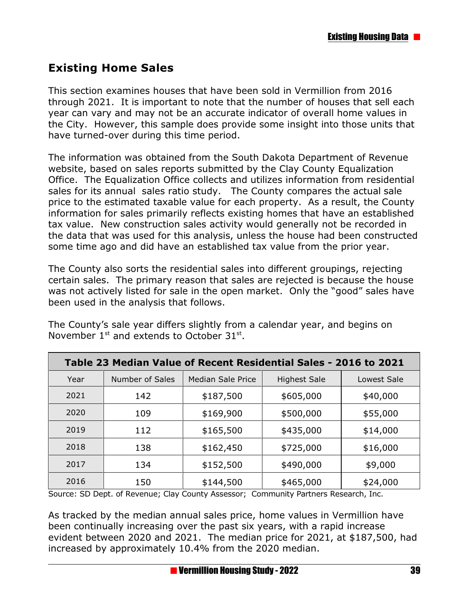# **Existing Home Sales**

This section examines houses that have been sold in Vermillion from 2016 through 2021. It is important to note that the number of houses that sell each year can vary and may not be an accurate indicator of overall home values in the City. However, this sample does provide some insight into those units that have turned-over during this time period.

The information was obtained from the South Dakota Department of Revenue website, based on sales reports submitted by the Clay County Equalization Office. The Equalization Office collects and utilizes information from residential sales for its annual sales ratio study. The County compares the actual sale price to the estimated taxable value for each property. As a result, the County information for sales primarily reflects existing homes that have an established tax value. New construction sales activity would generally not be recorded in the data that was used for this analysis, unless the house had been constructed some time ago and did have an established tax value from the prior year.

The County also sorts the residential sales into different groupings, rejecting certain sales. The primary reason that sales are rejected is because the house was not actively listed for sale in the open market. Only the "good" sales have been used in the analysis that follows.

| Table 23 Median Value of Recent Residential Sales - 2016 to 2021 |                 |                          |                     |             |  |  |  |
|------------------------------------------------------------------|-----------------|--------------------------|---------------------|-------------|--|--|--|
| Year                                                             | Number of Sales | <b>Median Sale Price</b> | <b>Highest Sale</b> | Lowest Sale |  |  |  |
| 2021                                                             | 142             | \$187,500                | \$605,000           | \$40,000    |  |  |  |
| 2020                                                             | 109             | \$169,900                | \$500,000           | \$55,000    |  |  |  |
| 2019                                                             | 112             | \$165,500                | \$435,000           | \$14,000    |  |  |  |
| 2018                                                             | 138             | \$162,450                | \$725,000           | \$16,000    |  |  |  |
| 2017                                                             | 134             | \$152,500                | \$490,000           | \$9,000     |  |  |  |
| 2016                                                             | 150             | \$144,500                | \$465,000           | \$24,000    |  |  |  |

The County's sale year differs slightly from a calendar year, and begins on November  $1^{st}$  and extends to October 31 $^{st}$ .

Source: SD Dept. of Revenue; Clay County Assessor; Community Partners Research, Inc.

As tracked by the median annual sales price, home values in Vermillion have been continually increasing over the past six years, with a rapid increase evident between 2020 and 2021. The median price for 2021, at \$187,500, had increased by approximately 10.4% from the 2020 median.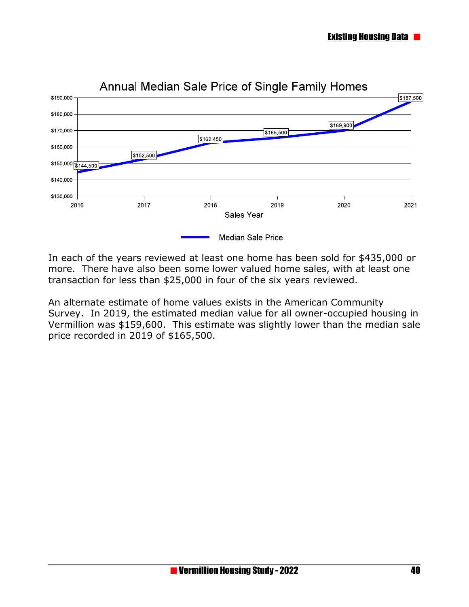

In each of the years reviewed at least one home has been sold for \$435,000 or more. There have also been some lower valued home sales, with at least one transaction for less than \$25,000 in four of the six years reviewed.

An alternate estimate of home values exists in the American Community Survey. In 2019, the estimated median value for all owner-occupied housing in Vermillion was \$159,600. This estimate was slightly lower than the median sale price recorded in 2019 of \$165,500.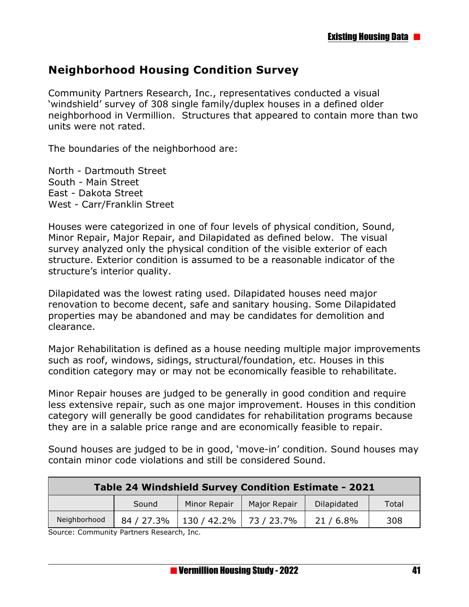### **Neighborhood Housing Condition Survey**

Community Partners Research, Inc., representatives conducted a visual 'windshield' survey of 308 single family/duplex houses in a defined older neighborhood in Vermillion. Structures that appeared to contain more than two units were not rated.

The boundaries of the neighborhood are:

North - Dartmouth Street South - Main Street East - Dakota Street West - Carr/Franklin Street

Houses were categorized in one of four levels of physical condition, Sound, Minor Repair, Major Repair, and Dilapidated as defined below. The visual survey analyzed only the physical condition of the visible exterior of each structure. Exterior condition is assumed to be a reasonable indicator of the structure's interior quality.

Dilapidated was the lowest rating used. Dilapidated houses need major renovation to become decent, safe and sanitary housing. Some Dilapidated properties may be abandoned and may be candidates for demolition and clearance.

Major Rehabilitation is defined as a house needing multiple major improvements such as roof, windows, sidings, structural/foundation, etc. Houses in this condition category may or may not be economically feasible to rehabilitate.

Minor Repair houses are judged to be generally in good condition and require less extensive repair, such as one major improvement. Houses in this condition category will generally be good candidates for rehabilitation programs because they are in a salable price range and are economically feasible to repair.

Sound houses are judged to be in good, 'move-in' condition. Sound houses may contain minor code violations and still be considered Sound.

| Table 24 Windshield Survey Condition Estimate - 2021 |       |                                       |              |             |       |  |
|------------------------------------------------------|-------|---------------------------------------|--------------|-------------|-------|--|
|                                                      | Sound | Minor Repair                          | Major Repair | Dilapidated | Total |  |
| Neighborhood                                         |       | 84 / 27.3%   130 / 42.2%   73 / 23.7% |              | 21 / 6.8%   | 308   |  |

Source: Community Partners Research, Inc.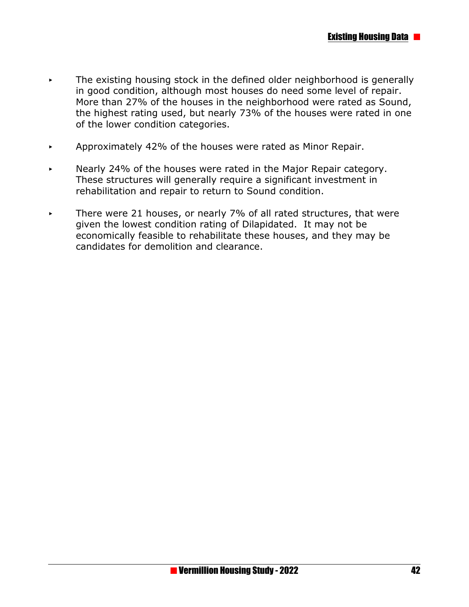- $\triangleright$  The existing housing stock in the defined older neighborhood is generally in good condition, although most houses do need some level of repair. More than 27% of the houses in the neighborhood were rated as Sound, the highest rating used, but nearly 73% of the houses were rated in one of the lower condition categories.
- $\blacktriangleright$  Approximately 42% of the houses were rated as Minor Repair.
- $\triangleright$  Nearly 24% of the houses were rated in the Major Repair category. These structures will generally require a significant investment in rehabilitation and repair to return to Sound condition.
- < There were 21 houses, or nearly 7% of all rated structures, that were given the lowest condition rating of Dilapidated. It may not be economically feasible to rehabilitate these houses, and they may be candidates for demolition and clearance.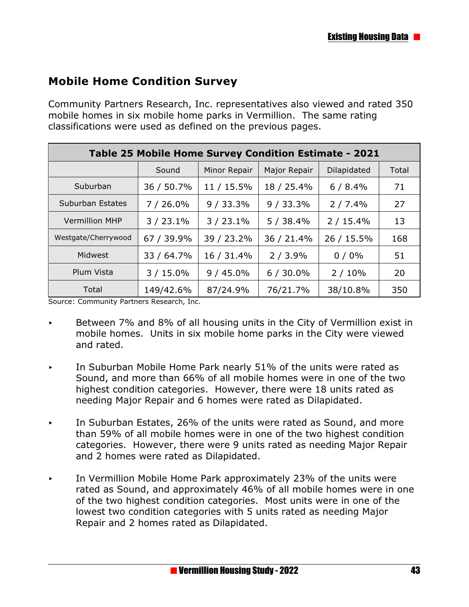## **Mobile Home Condition Survey**

Community Partners Research, Inc. representatives also viewed and rated 350 mobile homes in six mobile home parks in Vermillion. The same rating classifications were used as defined on the previous pages.

| Table 25 Mobile Home Survey Condition Estimate - 2021 |            |              |              |             |       |  |  |  |
|-------------------------------------------------------|------------|--------------|--------------|-------------|-------|--|--|--|
|                                                       | Sound      | Minor Repair | Major Repair | Dilapidated | Total |  |  |  |
| Suburban                                              | 36 / 50.7% | 11 / 15.5%   | 18 / 25.4%   | 6/8.4%      | 71    |  |  |  |
| Suburban Estates                                      | $7/26.0\%$ | 9/33.3%      | 9/33.3%      | 2/7.4%      | 27    |  |  |  |
| <b>Vermillion MHP</b>                                 | 3/23.1%    | $3/23.1\%$   | 5/38.4%      | 2/15.4%     | 13    |  |  |  |
| Westgate/Cherrywood                                   | 67 / 39.9% | 39 / 23.2%   | 36 / 21.4%   | 26 / 15.5%  | 168   |  |  |  |
| Midwest                                               | 33 / 64.7% | 16 / 31.4%   | 2/3.9%       | $0/0\%$     | 51    |  |  |  |
| Plum Vista                                            | $3/15.0\%$ | $9/45.0\%$   | $6/30.0\%$   | 2/10%       | 20    |  |  |  |
| Total                                                 | 149/42.6%  | 87/24.9%     | 76/21.7%     | 38/10.8%    | 350   |  |  |  |

Source: Community Partners Research, Inc.

- $\sim$  Between 7% and 8% of all housing units in the City of Vermillion exist in mobile homes. Units in six mobile home parks in the City were viewed and rated.
- < In Suburban Mobile Home Park nearly 51% of the units were rated as Sound, and more than 66% of all mobile homes were in one of the two highest condition categories. However, there were 18 units rated as needing Major Repair and 6 homes were rated as Dilapidated.
- In Suburban Estates, 26% of the units were rated as Sound, and more than 59% of all mobile homes were in one of the two highest condition categories. However, there were 9 units rated as needing Major Repair and 2 homes were rated as Dilapidated.
- $\sim$  In Vermillion Mobile Home Park approximately 23% of the units were rated as Sound, and approximately 46% of all mobile homes were in one of the two highest condition categories. Most units were in one of the lowest two condition categories with 5 units rated as needing Major Repair and 2 homes rated as Dilapidated.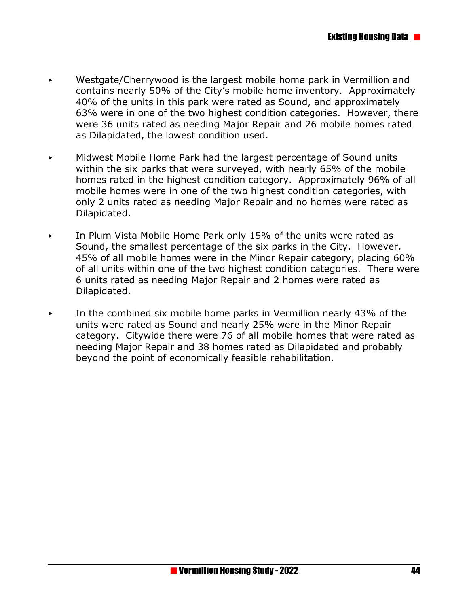- < Westgate/Cherrywood is the largest mobile home park in Vermillion and contains nearly 50% of the City's mobile home inventory. Approximately 40% of the units in this park were rated as Sound, and approximately 63% were in one of the two highest condition categories. However, there were 36 units rated as needing Major Repair and 26 mobile homes rated as Dilapidated, the lowest condition used.
- **Midwest Mobile Home Park had the largest percentage of Sound units** within the six parks that were surveyed, with nearly 65% of the mobile homes rated in the highest condition category. Approximately 96% of all mobile homes were in one of the two highest condition categories, with only 2 units rated as needing Major Repair and no homes were rated as Dilapidated.
- $\triangleright$  In Plum Vista Mobile Home Park only 15% of the units were rated as Sound, the smallest percentage of the six parks in the City. However, 45% of all mobile homes were in the Minor Repair category, placing 60% of all units within one of the two highest condition categories. There were 6 units rated as needing Major Repair and 2 homes were rated as Dilapidated.
- In the combined six mobile home parks in Vermillion nearly 43% of the units were rated as Sound and nearly 25% were in the Minor Repair category. Citywide there were 76 of all mobile homes that were rated as needing Major Repair and 38 homes rated as Dilapidated and probably beyond the point of economically feasible rehabilitation.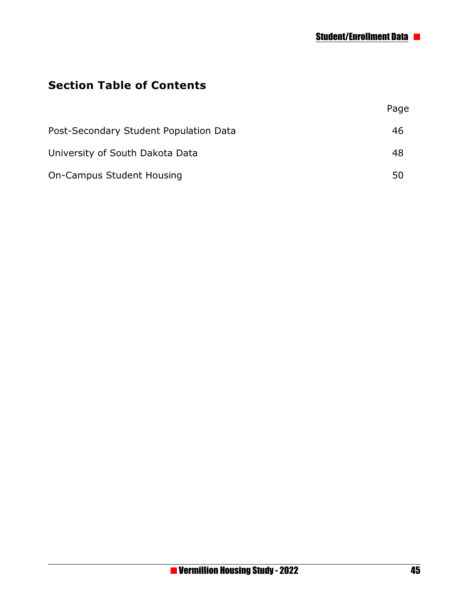## **Section Table of Contents**

|                                        | Page |
|----------------------------------------|------|
| Post-Secondary Student Population Data | 46   |
| University of South Dakota Data        | 48   |
| <b>On-Campus Student Housing</b>       | 50   |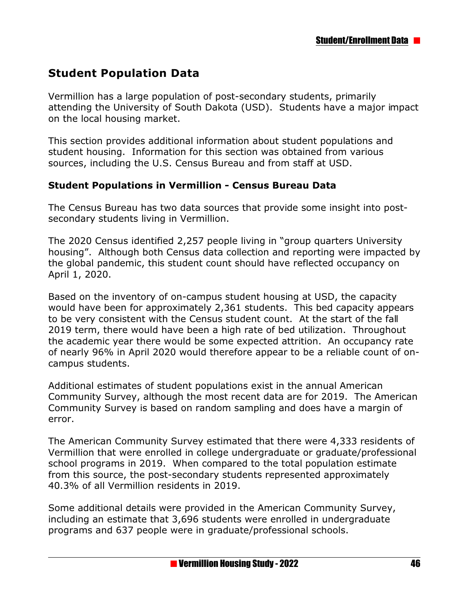### **Student Population Data**

Vermillion has a large population of post-secondary students, primarily attending the University of South Dakota (USD). Students have a major impact on the local housing market.

This section provides additional information about student populations and student housing. Information for this section was obtained from various sources, including the U.S. Census Bureau and from staff at USD.

#### **Student Populations in Vermillion - Census Bureau Data**

The Census Bureau has two data sources that provide some insight into postsecondary students living in Vermillion.

The 2020 Census identified 2,257 people living in "group quarters University housing". Although both Census data collection and reporting were impacted by the global pandemic, this student count should have reflected occupancy on April 1, 2020.

Based on the inventory of on-campus student housing at USD, the capacity would have been for approximately 2,361 students. This bed capacity appears to be very consistent with the Census student count. At the start of the fall 2019 term, there would have been a high rate of bed utilization. Throughout the academic year there would be some expected attrition. An occupancy rate of nearly 96% in April 2020 would therefore appear to be a reliable count of oncampus students.

Additional estimates of student populations exist in the annual American Community Survey, although the most recent data are for 2019. The American Community Survey is based on random sampling and does have a margin of error.

The American Community Survey estimated that there were 4,333 residents of Vermillion that were enrolled in college undergraduate or graduate/professional school programs in 2019. When compared to the total population estimate from this source, the post-secondary students represented approximately 40.3% of all Vermillion residents in 2019.

Some additional details were provided in the American Community Survey, including an estimate that 3,696 students were enrolled in undergraduate programs and 637 people were in graduate/professional schools.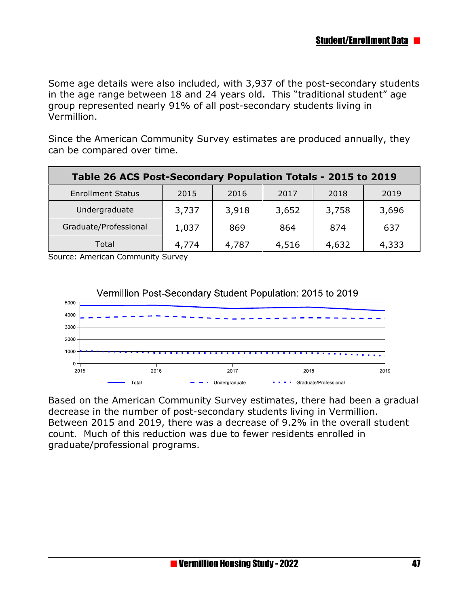Some age details were also included, with 3,937 of the post-secondary students in the age range between 18 and 24 years old. This "traditional student" age group represented nearly 91% of all post-secondary students living in Vermillion.

Since the American Community Survey estimates are produced annually, they can be compared over time.

| Table 26 ACS Post-Secondary Population Totals - 2015 to 2019 |       |       |       |       |       |  |  |
|--------------------------------------------------------------|-------|-------|-------|-------|-------|--|--|
| <b>Enrollment Status</b>                                     | 2015  | 2016  | 2017  | 2018  | 2019  |  |  |
| Undergraduate                                                | 3,737 | 3,918 | 3,652 | 3,758 | 3,696 |  |  |
| Graduate/Professional                                        | 1,037 | 869   | 864   | 874   | 637   |  |  |
| Total                                                        | 4,774 | 4,787 | 4,516 | 4,632 | 4,333 |  |  |

Source: American Community Survey



Based on the American Community Survey estimates, there had been a gradual decrease in the number of post-secondary students living in Vermillion. Between 2015 and 2019, there was a decrease of 9.2% in the overall student count. Much of this reduction was due to fewer residents enrolled in graduate/professional programs.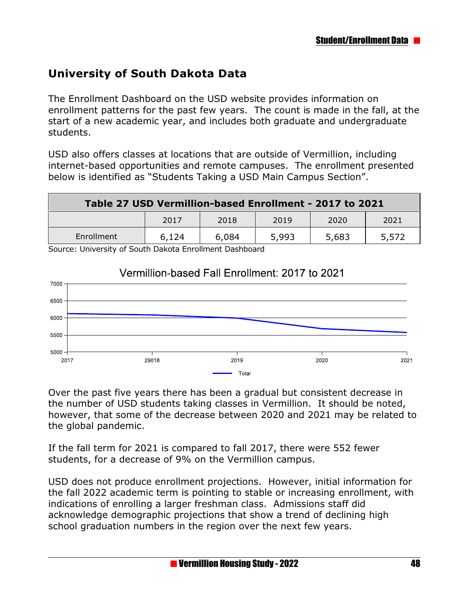# **University of South Dakota Data**

The Enrollment Dashboard on the USD website provides information on enrollment patterns for the past few years. The count is made in the fall, at the start of a new academic year, and includes both graduate and undergraduate students.

USD also offers classes at locations that are outside of Vermillion, including internet-based opportunities and remote campuses. The enrollment presented below is identified as "Students Taking a USD Main Campus Section".

| Table 27 USD Vermillion-based Enrollment - 2017 to 2021 |       |       |       |       |       |  |  |
|---------------------------------------------------------|-------|-------|-------|-------|-------|--|--|
|                                                         | 2017  | 2018  | 2019  | 2020  | 2021  |  |  |
| Enrollment                                              | 6,124 | 6,084 | 5,993 | 5,683 | 5,572 |  |  |

Source: University of South Dakota Enrollment Dashboard



### Vermillion-based Fall Enrollment: 2017 to 2021

Over the past five years there has been a gradual but consistent decrease in the number of USD students taking classes in Vermillion. It should be noted, however, that some of the decrease between 2020 and 2021 may be related to the global pandemic.

If the fall term for 2021 is compared to fall 2017, there were 552 fewer students, for a decrease of 9% on the Vermillion campus.

USD does not produce enrollment projections. However, initial information for the fall 2022 academic term is pointing to stable or increasing enrollment, with indications of enrolling a larger freshman class. Admissions staff did acknowledge demographic projections that show a trend of declining high school graduation numbers in the region over the next few years.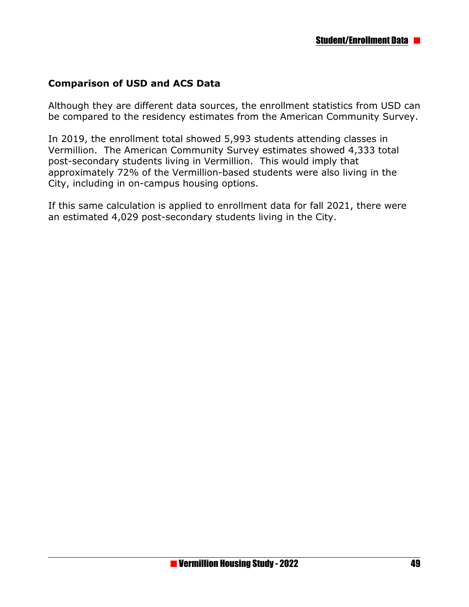### **Comparison of USD and ACS Data**

Although they are different data sources, the enrollment statistics from USD can be compared to the residency estimates from the American Community Survey.

In 2019, the enrollment total showed 5,993 students attending classes in Vermillion. The American Community Survey estimates showed 4,333 total post-secondary students living in Vermillion. This would imply that approximately 72% of the Vermillion-based students were also living in the City, including in on-campus housing options.

If this same calculation is applied to enrollment data for fall 2021, there were an estimated 4,029 post-secondary students living in the City.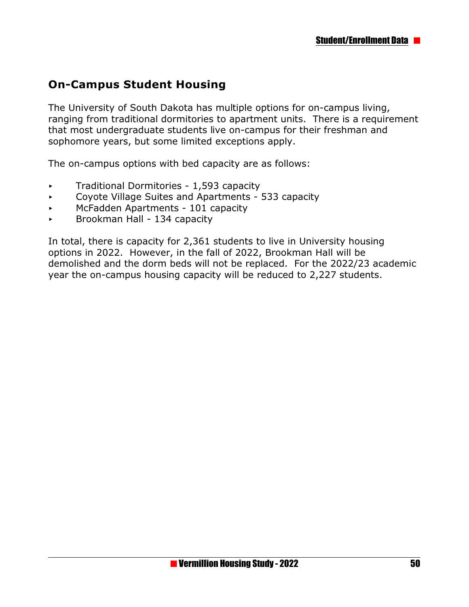## **On-Campus Student Housing**

The University of South Dakota has multiple options for on-campus living, ranging from traditional dormitories to apartment units. There is a requirement that most undergraduate students live on-campus for their freshman and sophomore years, but some limited exceptions apply.

The on-campus options with bed capacity are as follows:

- $\triangleright$  Traditional Dormitories 1,593 capacity
- $\triangleright$  Coyote Village Suites and Apartments 533 capacity
- **McFadden Apartments 101 capacity**
- $\triangleright$  Brookman Hall 134 capacity

In total, there is capacity for 2,361 students to live in University housing options in 2022. However, in the fall of 2022, Brookman Hall will be demolished and the dorm beds will not be replaced. For the 2022/23 academic year the on-campus housing capacity will be reduced to 2,227 students.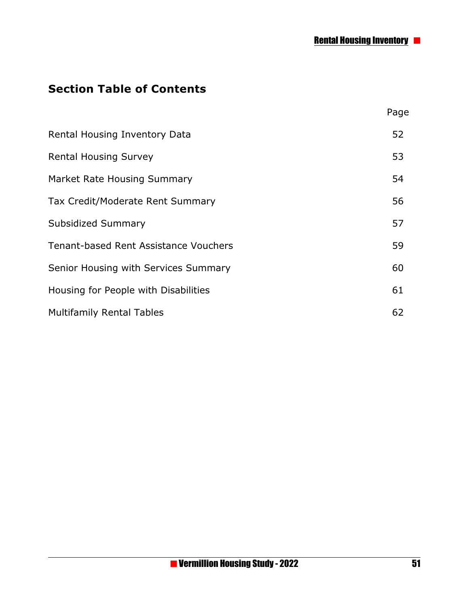# **Section Table of Contents**

|                                       | Page |
|---------------------------------------|------|
| Rental Housing Inventory Data         | 52   |
| <b>Rental Housing Survey</b>          | 53   |
| Market Rate Housing Summary           | 54   |
| Tax Credit/Moderate Rent Summary      | 56   |
| Subsidized Summary                    | 57   |
| Tenant-based Rent Assistance Vouchers | 59   |
| Senior Housing with Services Summary  | 60   |
| Housing for People with Disabilities  | 61   |
| <b>Multifamily Rental Tables</b>      | 62   |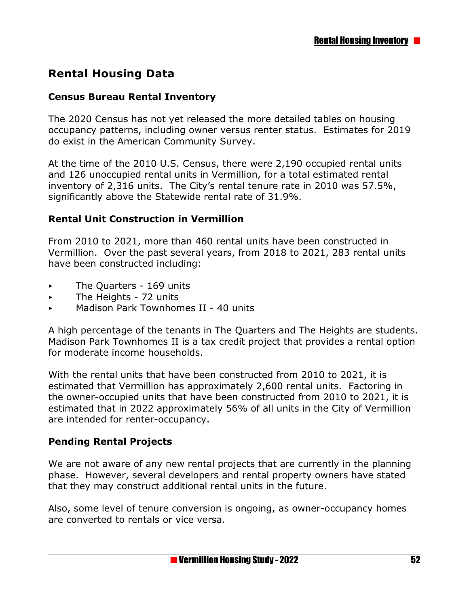## **Rental Housing Data**

#### **Census Bureau Rental Inventory**

The 2020 Census has not yet released the more detailed tables on housing occupancy patterns, including owner versus renter status. Estimates for 2019 do exist in the American Community Survey.

At the time of the 2010 U.S. Census, there were 2,190 occupied rental units and 126 unoccupied rental units in Vermillion, for a total estimated rental inventory of 2,316 units. The City's rental tenure rate in 2010 was 57.5%, significantly above the Statewide rental rate of 31.9%.

#### **Rental Unit Construction in Vermillion**

From 2010 to 2021, more than 460 rental units have been constructed in Vermillion. Over the past several years, from 2018 to 2021, 283 rental units have been constructed including:

- **EXECUTE:** The Quarters 169 units
- The Heights 72 units
- < Madison Park Townhomes II 40 units

A high percentage of the tenants in The Quarters and The Heights are students. Madison Park Townhomes II is a tax credit project that provides a rental option for moderate income households.

With the rental units that have been constructed from 2010 to 2021, it is estimated that Vermillion has approximately 2,600 rental units. Factoring in the owner-occupied units that have been constructed from 2010 to 2021, it is estimated that in 2022 approximately 56% of all units in the City of Vermillion are intended for renter-occupancy.

### **Pending Rental Projects**

We are not aware of any new rental projects that are currently in the planning phase. However, several developers and rental property owners have stated that they may construct additional rental units in the future.

Also, some level of tenure conversion is ongoing, as owner-occupancy homes are converted to rentals or vice versa.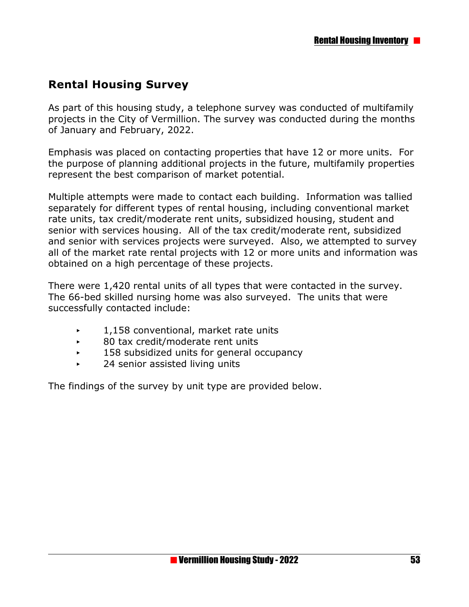## **Rental Housing Survey**

As part of this housing study, a telephone survey was conducted of multifamily projects in the City of Vermillion. The survey was conducted during the months of January and February, 2022.

Emphasis was placed on contacting properties that have 12 or more units. For the purpose of planning additional projects in the future, multifamily properties represent the best comparison of market potential.

Multiple attempts were made to contact each building. Information was tallied separately for different types of rental housing, including conventional market rate units, tax credit/moderate rent units, subsidized housing, student and senior with services housing. All of the tax credit/moderate rent, subsidized and senior with services projects were surveyed. Also, we attempted to survey all of the market rate rental projects with 12 or more units and information was obtained on a high percentage of these projects.

There were 1,420 rental units of all types that were contacted in the survey. The 66-bed skilled nursing home was also surveyed. The units that were successfully contacted include:

- $\sim 1,158$  conventional, market rate units
- 80 tax credit/moderate rent units
- $\sim$  158 subsidized units for general occupancy
- 24 senior assisted living units

The findings of the survey by unit type are provided below.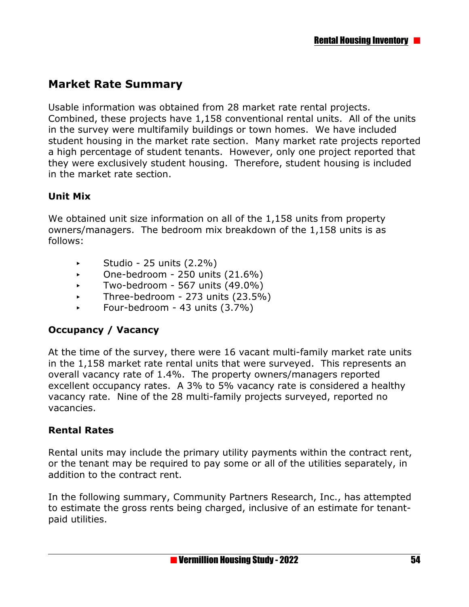## **Market Rate Summary**

Usable information was obtained from 28 market rate rental projects. Combined, these projects have 1,158 conventional rental units. All of the units in the survey were multifamily buildings or town homes. We have included student housing in the market rate section. Many market rate projects reported a high percentage of student tenants. However, only one project reported that they were exclusively student housing. Therefore, student housing is included in the market rate section.

### **Unit Mix**

We obtained unit size information on all of the 1,158 units from property owners/managers. The bedroom mix breakdown of the 1,158 units is as follows:

- $\blacktriangleright$  Studio 25 units (2.2%)
- $\sim$  One-bedroom 250 units (21.6%)
- $\sim$  Two-bedroom 567 units (49.0%)
- $\blacktriangleright$  Three-bedroom 273 units (23.5%)
- < Four-bedroom 43 units (3.7%)

### **Occupancy / Vacancy**

At the time of the survey, there were 16 vacant multi-family market rate units in the 1,158 market rate rental units that were surveyed. This represents an overall vacancy rate of 1.4%. The property owners/managers reported excellent occupancy rates. A 3% to 5% vacancy rate is considered a healthy vacancy rate. Nine of the 28 multi-family projects surveyed, reported no vacancies.

### **Rental Rates**

Rental units may include the primary utility payments within the contract rent, or the tenant may be required to pay some or all of the utilities separately, in addition to the contract rent.

In the following summary, Community Partners Research, Inc., has attempted to estimate the gross rents being charged, inclusive of an estimate for tenantpaid utilities.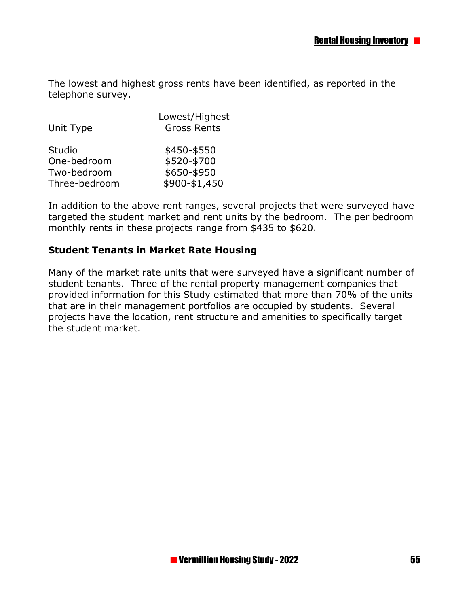The lowest and highest gross rents have been identified, as reported in the telephone survey.

| Unit Type                                             | Lowest/Highest<br><b>Gross Rents</b>                       |  |
|-------------------------------------------------------|------------------------------------------------------------|--|
| Studio<br>One-bedroom<br>Two-bedroom<br>Three-bedroom | \$450-\$550<br>\$520-\$700<br>\$650-\$950<br>\$900-\$1,450 |  |

In addition to the above rent ranges, several projects that were surveyed have targeted the student market and rent units by the bedroom. The per bedroom monthly rents in these projects range from \$435 to \$620.

#### **Student Tenants in Market Rate Housing**

Many of the market rate units that were surveyed have a significant number of student tenants. Three of the rental property management companies that provided information for this Study estimated that more than 70% of the units that are in their management portfolios are occupied by students. Several projects have the location, rent structure and amenities to specifically target the student market.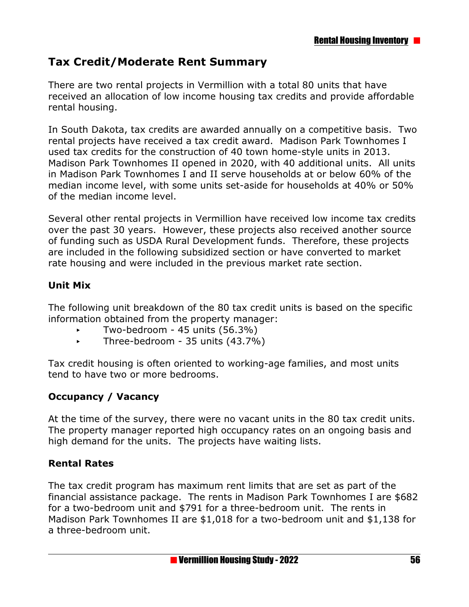### **Tax Credit/Moderate Rent Summary**

There are two rental projects in Vermillion with a total 80 units that have received an allocation of low income housing tax credits and provide affordable rental housing.

In South Dakota, tax credits are awarded annually on a competitive basis. Two rental projects have received a tax credit award. Madison Park Townhomes I used tax credits for the construction of 40 town home-style units in 2013. Madison Park Townhomes II opened in 2020, with 40 additional units. All units in Madison Park Townhomes I and II serve households at or below 60% of the median income level, with some units set-aside for households at 40% or 50% of the median income level.

Several other rental projects in Vermillion have received low income tax credits over the past 30 years. However, these projects also received another source of funding such as USDA Rural Development funds. Therefore, these projects are included in the following subsidized section or have converted to market rate housing and were included in the previous market rate section.

### **Unit Mix**

The following unit breakdown of the 80 tax credit units is based on the specific information obtained from the property manager:

- < Two-bedroom 45 units (56.3%)
- < Three-bedroom 35 units (43.7%)

Tax credit housing is often oriented to working-age families, and most units tend to have two or more bedrooms.

### **Occupancy / Vacancy**

At the time of the survey, there were no vacant units in the 80 tax credit units. The property manager reported high occupancy rates on an ongoing basis and high demand for the units. The projects have waiting lists.

### **Rental Rates**

The tax credit program has maximum rent limits that are set as part of the financial assistance package. The rents in Madison Park Townhomes I are \$682 for a two-bedroom unit and \$791 for a three-bedroom unit. The rents in Madison Park Townhomes II are \$1,018 for a two-bedroom unit and \$1,138 for a three-bedroom unit.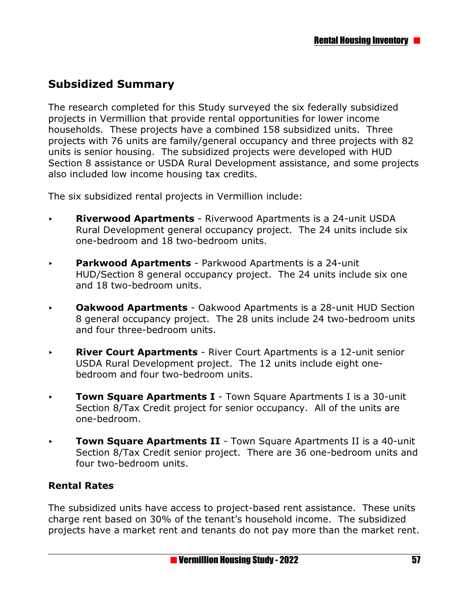## **Subsidized Summary**

The research completed for this Study surveyed the six federally subsidized projects in Vermillion that provide rental opportunities for lower income households. These projects have a combined 158 subsidized units. Three projects with 76 units are family/general occupancy and three projects with 82 units is senior housing. The subsidized projects were developed with HUD Section 8 assistance or USDA Rural Development assistance, and some projects also included low income housing tax credits.

The six subsidized rental projects in Vermillion include:

- < **Riverwood Apartments**  Riverwood Apartments is a 24-unit USDA Rural Development general occupancy project. The 24 units include six one-bedroom and 18 two-bedroom units.
- **EXAY** Parkwood Apartments Parkwood Apartments is a 24-unit HUD/Section 8 general occupancy project. The 24 units include six one and 18 two-bedroom units.
- < **Oakwood Apartments**  Oakwood Apartments is a 28-unit HUD Section 8 general occupancy project. The 28 units include 24 two-bedroom units and four three-bedroom units.
- **River Court Apartments** River Court Apartments is a 12-unit senior USDA Rural Development project. The 12 units include eight onebedroom and four two-bedroom units.
- **Town Square Apartments I** Town Square Apartments I is a 30-unit Section 8/Tax Credit project for senior occupancy. All of the units are one-bedroom.
- **Town Square Apartments II** Town Square Apartments II is a 40-unit Section 8/Tax Credit senior project. There are 36 one-bedroom units and four two-bedroom units.

### **Rental Rates**

The subsidized units have access to project-based rent assistance. These units charge rent based on 30% of the tenant's household income. The subsidized projects have a market rent and tenants do not pay more than the market rent.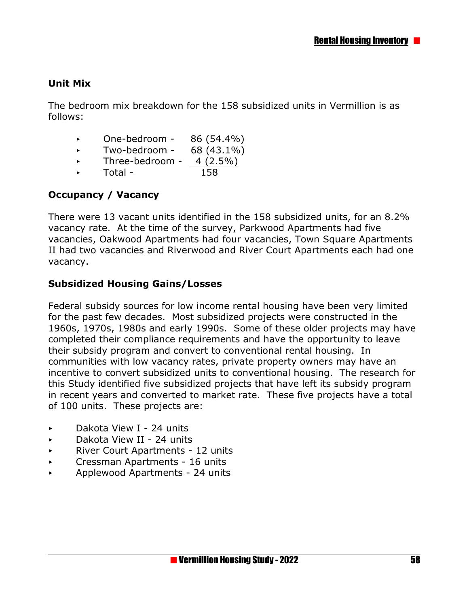### **Unit Mix**

The bedroom mix breakdown for the 158 subsidized units in Vermillion is as follows:

- $\sim$  One-bedroom 86 (54.4%)
- $\blacktriangleright$  Two-bedroom 68 (43.1%)
- Three-bedroom  $4(2.5\%)$
- $\triangleright$  Total 158

### **Occupancy / Vacancy**

There were 13 vacant units identified in the 158 subsidized units, for an 8.2% vacancy rate. At the time of the survey, Parkwood Apartments had five vacancies, Oakwood Apartments had four vacancies, Town Square Apartments II had two vacancies and Riverwood and River Court Apartments each had one vacancy.

#### **Subsidized Housing Gains/Losses**

Federal subsidy sources for low income rental housing have been very limited for the past few decades. Most subsidized projects were constructed in the 1960s, 1970s, 1980s and early 1990s. Some of these older projects may have completed their compliance requirements and have the opportunity to leave their subsidy program and convert to conventional rental housing. In communities with low vacancy rates, private property owners may have an incentive to convert subsidized units to conventional housing. The research for this Study identified five subsidized projects that have left its subsidy program in recent years and converted to market rate. These five projects have a total of 100 units. These projects are:

- < Dakota View I 24 units
- < Dakota View II 24 units
- ▶ River Court Apartments 12 units
- **EXECT:** Cressman Apartments 16 units
- < Applewood Apartments 24 units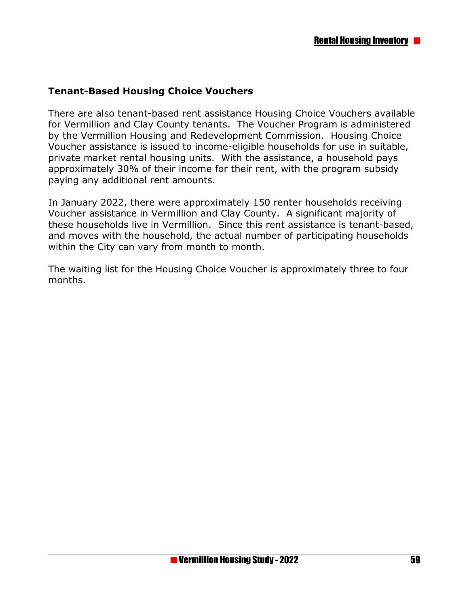### **Tenant-Based Housing Choice Vouchers**

There are also tenant-based rent assistance Housing Choice Vouchers available for Vermillion and Clay County tenants. The Voucher Program is administered by the Vermillion Housing and Redevelopment Commission. Housing Choice Voucher assistance is issued to income-eligible households for use in suitable, private market rental housing units. With the assistance, a household pays approximately 30% of their income for their rent, with the program subsidy paying any additional rent amounts.

In January 2022, there were approximately 150 renter households receiving Voucher assistance in Vermillion and Clay County. A significant majority of these households live in Vermillion. Since this rent assistance is tenant-based, and moves with the household, the actual number of participating households within the City can vary from month to month.

The waiting list for the Housing Choice Voucher is approximately three to four months.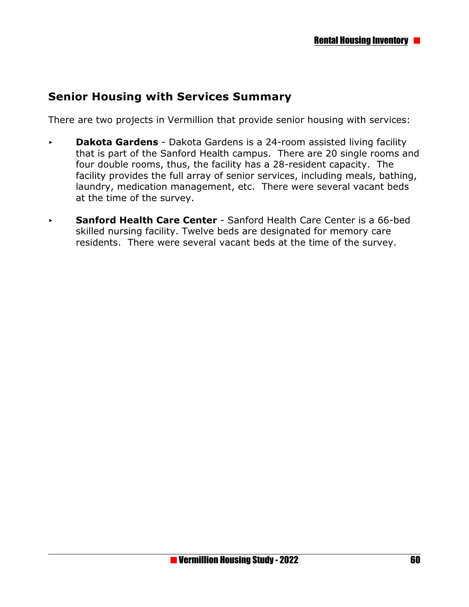### **Senior Housing with Services Summary**

There are two projects in Vermillion that provide senior housing with services:

- **Dakota Gardens** Dakota Gardens is a 24-room assisted living facility that is part of the Sanford Health campus. There are 20 single rooms and four double rooms, thus, the facility has a 28-resident capacity. The facility provides the full array of senior services, including meals, bathing, laundry, medication management, etc. There were several vacant beds at the time of the survey.
- **Sanford Health Care Center** Sanford Health Care Center is a 66-bed skilled nursing facility. Twelve beds are designated for memory care residents. There were several vacant beds at the time of the survey.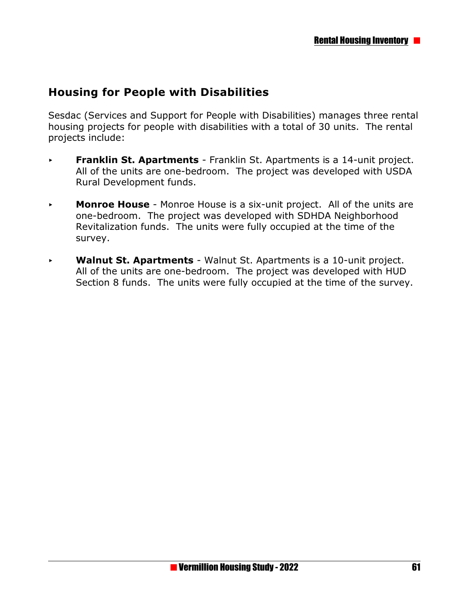### **Housing for People with Disabilities**

Sesdac (Services and Support for People with Disabilities) manages three rental housing projects for people with disabilities with a total of 30 units. The rental projects include:

- **Franklin St. Apartments** Franklin St. Apartments is a 14-unit project. All of the units are one-bedroom. The project was developed with USDA Rural Development funds.
- **Monroe House** Monroe House is a six-unit project. All of the units are one-bedroom. The project was developed with SDHDA Neighborhood Revitalization funds. The units were fully occupied at the time of the survey.
- < **Walnut St. Apartments** Walnut St. Apartments is a 10-unit project. All of the units are one-bedroom. The project was developed with HUD Section 8 funds. The units were fully occupied at the time of the survey.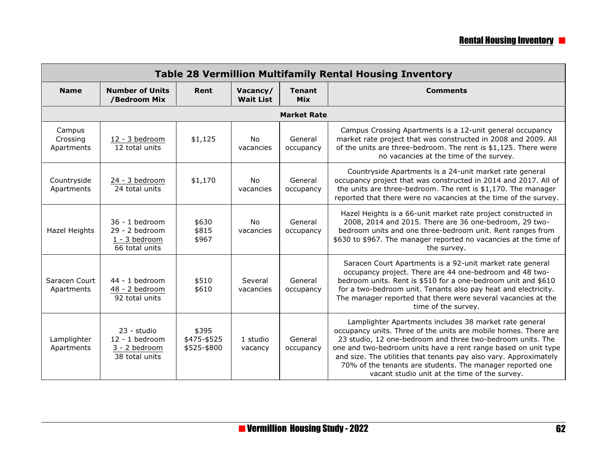| <b>Table 28 Vermillion Multifamily Rental Housing Inventory</b> |                                                                         |                                     |                              |                             |                                                                                                                                                                                                                                                                                                                                                                                                                                              |  |  |  |  |
|-----------------------------------------------------------------|-------------------------------------------------------------------------|-------------------------------------|------------------------------|-----------------------------|----------------------------------------------------------------------------------------------------------------------------------------------------------------------------------------------------------------------------------------------------------------------------------------------------------------------------------------------------------------------------------------------------------------------------------------------|--|--|--|--|
| <b>Name</b>                                                     | <b>Number of Units</b><br>/Bedroom Mix                                  | Rent                                | Vacancy/<br><b>Wait List</b> | <b>Tenant</b><br><b>Mix</b> | <b>Comments</b>                                                                                                                                                                                                                                                                                                                                                                                                                              |  |  |  |  |
|                                                                 | <b>Market Rate</b>                                                      |                                     |                              |                             |                                                                                                                                                                                                                                                                                                                                                                                                                                              |  |  |  |  |
| Campus<br>Crossing<br>Apartments                                | 12 - 3 bedroom<br>12 total units                                        | \$1,125                             | <b>No</b><br>vacancies       | General<br>occupancy        | Campus Crossing Apartments is a 12-unit general occupancy<br>market rate project that was constructed in 2008 and 2009. All<br>of the units are three-bedroom. The rent is \$1,125. There were<br>no vacancies at the time of the survey.                                                                                                                                                                                                    |  |  |  |  |
| Countryside<br>Apartments                                       | 24 - 3 bedroom<br>24 total units                                        | \$1,170                             | No<br>vacancies              | General<br>occupancy        | Countryside Apartments is a 24-unit market rate general<br>occupancy project that was constructed in 2014 and 2017. All of<br>the units are three-bedroom. The rent is \$1,170. The manager<br>reported that there were no vacancies at the time of the survey.                                                                                                                                                                              |  |  |  |  |
| <b>Hazel Heights</b>                                            | $36 - 1$ bedroom<br>$29 - 2$ bedroom<br>1 - 3 bedroom<br>66 total units | \$630<br>\$815<br>\$967             | <b>No</b><br>vacancies       | General<br>occupancy        | Hazel Heights is a 66-unit market rate project constructed in<br>2008, 2014 and 2015. There are 36 one-bedroom, 29 two-<br>bedroom units and one three-bedroom unit. Rent ranges from<br>\$630 to \$967. The manager reported no vacancies at the time of<br>the survey.                                                                                                                                                                     |  |  |  |  |
| Saracen Court<br>Apartments                                     | 44 - 1 bedroom<br>48 - 2 bedroom<br>92 total units                      | \$510<br>\$610                      | Several<br>vacancies         | General<br>occupancy        | Saracen Court Apartments is a 92-unit market rate general<br>occupancy project. There are 44 one-bedroom and 48 two-<br>bedroom units. Rent is \$510 for a one-bedroom unit and \$610<br>for a two-bedroom unit. Tenants also pay heat and electricity.<br>The manager reported that there were several vacancies at the<br>time of the survey.                                                                                              |  |  |  |  |
| Lamplighter<br>Apartments                                       | 23 - studio<br>12 - 1 bedroom<br>3 - 2 bedroom<br>38 total units        | \$395<br>\$475-\$525<br>\$525-\$800 | 1 studio<br>vacancy          | General<br>occupancy        | Lamplighter Apartments includes 38 market rate general<br>occupancy units. Three of the units are mobile homes. There are<br>23 studio, 12 one-bedroom and three two-bedroom units. The<br>one and two-bedroom units have a rent range based on unit type<br>and size. The utilities that tenants pay also vary. Approximately<br>70% of the tenants are students. The manager reported one<br>vacant studio unit at the time of the survey. |  |  |  |  |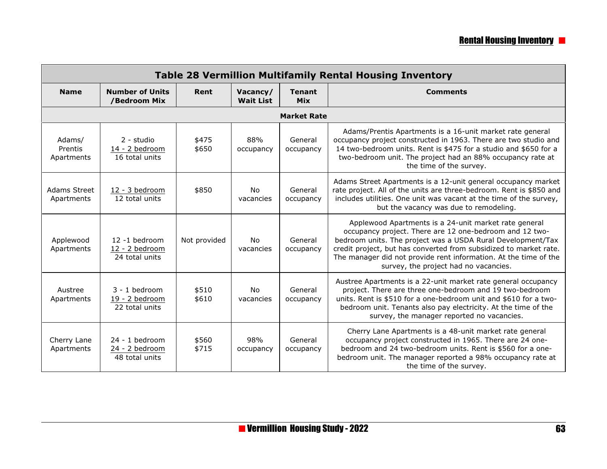| <b>Table 28 Vermillion Multifamily Rental Housing Inventory</b> |                                                      |                |                              |                             |                                                                                                                                                                                                                                                                                                                                                                   |  |  |
|-----------------------------------------------------------------|------------------------------------------------------|----------------|------------------------------|-----------------------------|-------------------------------------------------------------------------------------------------------------------------------------------------------------------------------------------------------------------------------------------------------------------------------------------------------------------------------------------------------------------|--|--|
| <b>Name</b>                                                     | <b>Number of Units</b><br>/Bedroom Mix               | Rent           | Vacancy/<br><b>Wait List</b> | <b>Tenant</b><br><b>Mix</b> | <b>Comments</b>                                                                                                                                                                                                                                                                                                                                                   |  |  |
|                                                                 |                                                      |                |                              | <b>Market Rate</b>          |                                                                                                                                                                                                                                                                                                                                                                   |  |  |
| Adams/<br>Prentis<br>Apartments                                 | 2 - studio<br>14 - 2 bedroom<br>16 total units       | \$475<br>\$650 | 88%<br>occupancy             | General<br>occupancy        | Adams/Prentis Apartments is a 16-unit market rate general<br>occupancy project constructed in 1963. There are two studio and<br>14 two-bedroom units. Rent is \$475 for a studio and \$650 for a<br>two-bedroom unit. The project had an 88% occupancy rate at<br>the time of the survey.                                                                         |  |  |
| Adams Street<br>Apartments                                      | 12 - 3 bedroom<br>12 total units                     | \$850          | No<br>vacancies              | General<br>occupancy        | Adams Street Apartments is a 12-unit general occupancy market<br>rate project. All of the units are three-bedroom. Rent is \$850 and<br>includes utilities. One unit was vacant at the time of the survey,<br>but the vacancy was due to remodeling.                                                                                                              |  |  |
| Applewood<br>Apartments                                         | $12 - 1$ bedroom<br>12 - 2 bedroom<br>24 total units | Not provided   | No<br>vacancies              | General<br>occupancy        | Applewood Apartments is a 24-unit market rate general<br>occupancy project. There are 12 one-bedroom and 12 two-<br>bedroom units. The project was a USDA Rural Development/Tax<br>credit project, but has converted from subsidized to market rate.<br>The manager did not provide rent information. At the time of the<br>survey, the project had no vacancies. |  |  |
| Austree<br>Apartments                                           | $3 - 1$ bedroom<br>19 - 2 bedroom<br>22 total units  | \$510<br>\$610 | <b>No</b><br>vacancies       | General<br>occupancy        | Austree Apartments is a 22-unit market rate general occupancy<br>project. There are three one-bedroom and 19 two-bedroom<br>units. Rent is \$510 for a one-bedroom unit and \$610 for a two-<br>bedroom unit. Tenants also pay electricity. At the time of the<br>survey, the manager reported no vacancies.                                                      |  |  |
| Cherry Lane<br>Apartments                                       | $24 - 1$ bedroom<br>24 - 2 bedroom<br>48 total units | \$560<br>\$715 | 98%<br>occupancy             | General<br>occupancy        | Cherry Lane Apartments is a 48-unit market rate general<br>occupancy project constructed in 1965. There are 24 one-<br>bedroom and 24 two-bedroom units. Rent is \$560 for a one-<br>bedroom unit. The manager reported a 98% occupancy rate at<br>the time of the survey.                                                                                        |  |  |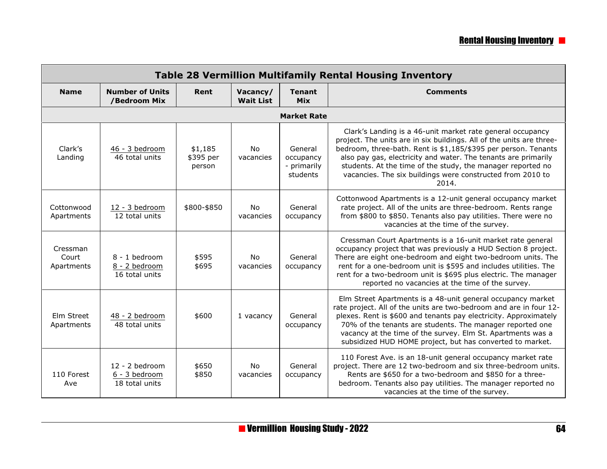|                                 | <b>Table 28 Vermillion Multifamily Rental Housing Inventory</b> |                                |                              |                                                 |                                                                                                                                                                                                                                                                                                                                                                                                              |  |  |  |  |  |
|---------------------------------|-----------------------------------------------------------------|--------------------------------|------------------------------|-------------------------------------------------|--------------------------------------------------------------------------------------------------------------------------------------------------------------------------------------------------------------------------------------------------------------------------------------------------------------------------------------------------------------------------------------------------------------|--|--|--|--|--|
| <b>Name</b>                     | <b>Number of Units</b><br>/Bedroom Mix                          | Rent                           | Vacancy/<br><b>Wait List</b> | <b>Tenant</b><br><b>Mix</b>                     | <b>Comments</b>                                                                                                                                                                                                                                                                                                                                                                                              |  |  |  |  |  |
|                                 |                                                                 |                                |                              | <b>Market Rate</b>                              |                                                                                                                                                                                                                                                                                                                                                                                                              |  |  |  |  |  |
| Clark's<br>Landing              | 46 - 3 bedroom<br>46 total units                                | \$1,185<br>\$395 per<br>person | <b>No</b><br>vacancies       | General<br>occupancy<br>- primarily<br>students | Clark's Landing is a 46-unit market rate general occupancy<br>project. The units are in six buildings. All of the units are three-<br>bedroom, three-bath. Rent is \$1,185/\$395 per person. Tenants<br>also pay gas, electricity and water. The tenants are primarily<br>students. At the time of the study, the manager reported no<br>vacancies. The six buildings were constructed from 2010 to<br>2014. |  |  |  |  |  |
| Cottonwood<br>Apartments        | 12 - 3 bedroom<br>12 total units                                | \$800-\$850                    | No<br>vacancies              | General<br>occupancy                            | Cottonwood Apartments is a 12-unit general occupancy market<br>rate project. All of the units are three-bedroom. Rents range<br>from \$800 to \$850. Tenants also pay utilities. There were no<br>vacancies at the time of the survey.                                                                                                                                                                       |  |  |  |  |  |
| Cressman<br>Court<br>Apartments | $8 - 1$ bedroom<br>8 - 2 bedroom<br>16 total units              | \$595<br>\$695                 | No<br>vacancies              | General<br>occupancy                            | Cressman Court Apartments is a 16-unit market rate general<br>occupancy project that was previously a HUD Section 8 project.<br>There are eight one-bedroom and eight two-bedroom units. The<br>rent for a one-bedroom unit is \$595 and includes utilities. The<br>rent for a two-bedroom unit is \$695 plus electric. The manager<br>reported no vacancies at the time of the survey.                      |  |  |  |  |  |
| Elm Street<br>Apartments        | 48 - 2 bedroom<br>48 total units                                | \$600                          | 1 vacancy                    | General<br>occupancy                            | Elm Street Apartments is a 48-unit general occupancy market<br>rate project. All of the units are two-bedroom and are in four 12-<br>plexes. Rent is \$600 and tenants pay electricity. Approximately<br>70% of the tenants are students. The manager reported one<br>vacancy at the time of the survey. Elm St. Apartments was a<br>subsidized HUD HOME project, but has converted to market.               |  |  |  |  |  |
| 110 Forest<br>Ave               | $12 - 2$ bedroom<br>6 - 3 bedroom<br>18 total units             | \$650<br>\$850                 | <b>No</b><br>vacancies       | General<br>occupancy                            | 110 Forest Ave. is an 18-unit general occupancy market rate<br>project. There are 12 two-bedroom and six three-bedroom units.<br>Rents are \$650 for a two-bedroom and \$850 for a three-<br>bedroom. Tenants also pay utilities. The manager reported no<br>vacancies at the time of the survey.                                                                                                            |  |  |  |  |  |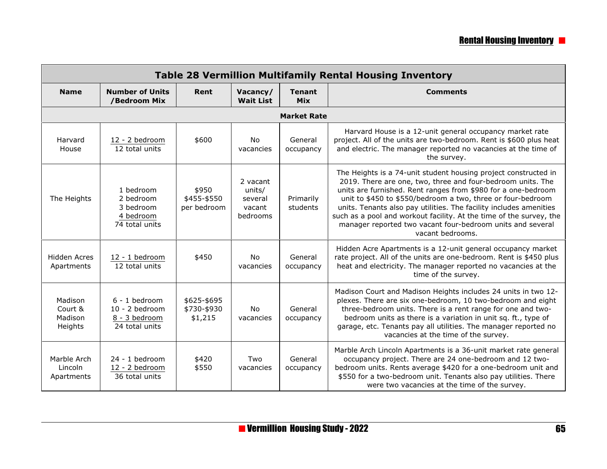| <b>Table 28 Vermillion Multifamily Rental Housing Inventory</b> |                                                                        |                                       |                                                     |                             |                                                                                                                                                                                                                                                                                                                                                                                                                                                                                               |  |  |  |
|-----------------------------------------------------------------|------------------------------------------------------------------------|---------------------------------------|-----------------------------------------------------|-----------------------------|-----------------------------------------------------------------------------------------------------------------------------------------------------------------------------------------------------------------------------------------------------------------------------------------------------------------------------------------------------------------------------------------------------------------------------------------------------------------------------------------------|--|--|--|
| <b>Name</b>                                                     | <b>Number of Units</b><br>/Bedroom Mix                                 | Rent                                  | Vacancy/<br><b>Wait List</b>                        | <b>Tenant</b><br><b>Mix</b> | <b>Comments</b>                                                                                                                                                                                                                                                                                                                                                                                                                                                                               |  |  |  |
| <b>Market Rate</b>                                              |                                                                        |                                       |                                                     |                             |                                                                                                                                                                                                                                                                                                                                                                                                                                                                                               |  |  |  |
| Harvard<br>House                                                | 12 - 2 bedroom<br>12 total units                                       | \$600                                 | <b>No</b><br>vacancies                              | General<br>occupancy        | Harvard House is a 12-unit general occupancy market rate<br>project. All of the units are two-bedroom. Rent is \$600 plus heat<br>and electric. The manager reported no vacancies at the time of<br>the survey.                                                                                                                                                                                                                                                                               |  |  |  |
| The Heights                                                     | 1 bedroom<br>2 bedroom<br>3 bedroom<br>4 bedroom<br>74 total units     | \$950<br>\$455-\$550<br>per bedroom   | 2 vacant<br>units/<br>several<br>vacant<br>bedrooms | Primarily<br>students       | The Heights is a 74-unit student housing project constructed in<br>2019. There are one, two, three and four-bedroom units. The<br>units are furnished. Rent ranges from \$980 for a one-bedroom<br>unit to \$450 to \$550/bedroom a two, three or four-bedroom<br>units. Tenants also pay utilities. The facility includes amenities<br>such as a pool and workout facility. At the time of the survey, the<br>manager reported two vacant four-bedroom units and several<br>vacant bedrooms. |  |  |  |
| <b>Hidden Acres</b><br>Apartments                               | 12 - 1 bedroom<br>12 total units                                       | \$450                                 | No<br>vacancies                                     | General<br>occupancy        | Hidden Acre Apartments is a 12-unit general occupancy market<br>rate project. All of the units are one-bedroom. Rent is \$450 plus<br>heat and electricity. The manager reported no vacancies at the<br>time of the survey.                                                                                                                                                                                                                                                                   |  |  |  |
| Madison<br>Court &<br>Madison<br>Heights                        | $6 - 1$ bedroom<br>$10 - 2$ bedroom<br>8 - 3 bedroom<br>24 total units | \$625-\$695<br>\$730-\$930<br>\$1,215 | No<br>vacancies                                     | General<br>occupancy        | Madison Court and Madison Heights includes 24 units in two 12-<br>plexes. There are six one-bedroom, 10 two-bedroom and eight<br>three-bedroom units. There is a rent range for one and two-<br>bedroom units as there is a variation in unit sq. ft., type of<br>garage, etc. Tenants pay all utilities. The manager reported no<br>vacancies at the time of the survey.                                                                                                                     |  |  |  |
| Marble Arch<br>Lincoln<br>Apartments                            | 24 - 1 bedroom<br>12 - 2 bedroom<br>36 total units                     | \$420<br>\$550                        | Two<br>vacancies                                    | General<br>occupancy        | Marble Arch Lincoln Apartments is a 36-unit market rate general<br>occupancy project. There are 24 one-bedroom and 12 two-<br>bedroom units. Rents average \$420 for a one-bedroom unit and<br>\$550 for a two-bedroom unit. Tenants also pay utilities. There<br>were two vacancies at the time of the survey.                                                                                                                                                                               |  |  |  |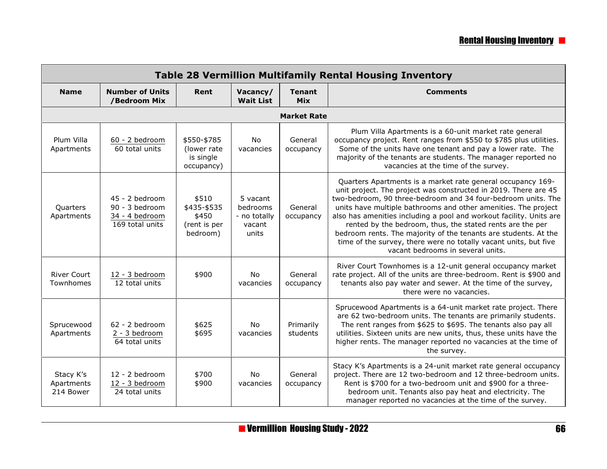| <b>Table 28 Vermillion Multifamily Rental Housing Inventory</b> |                                                                       |                                                           |                                                         |                             |                                                                                                                                                                                                                                                                                                                                                                                                                                                                                                                                                                                  |  |  |  |  |
|-----------------------------------------------------------------|-----------------------------------------------------------------------|-----------------------------------------------------------|---------------------------------------------------------|-----------------------------|----------------------------------------------------------------------------------------------------------------------------------------------------------------------------------------------------------------------------------------------------------------------------------------------------------------------------------------------------------------------------------------------------------------------------------------------------------------------------------------------------------------------------------------------------------------------------------|--|--|--|--|
| <b>Name</b>                                                     | <b>Number of Units</b><br>/Bedroom Mix                                | Rent                                                      | Vacancy/<br><b>Wait List</b>                            | <b>Tenant</b><br><b>Mix</b> | <b>Comments</b>                                                                                                                                                                                                                                                                                                                                                                                                                                                                                                                                                                  |  |  |  |  |
|                                                                 |                                                                       |                                                           |                                                         | <b>Market Rate</b>          |                                                                                                                                                                                                                                                                                                                                                                                                                                                                                                                                                                                  |  |  |  |  |
| Plum Villa<br>Apartments                                        | 60 - 2 bedroom<br>60 total units                                      | \$550-\$785<br>(lower rate<br>is single<br>occupancy)     | No<br>vacancies                                         | General<br>occupancy        | Plum Villa Apartments is a 60-unit market rate general<br>occupancy project. Rent ranges from \$550 to \$785 plus utilities.<br>Some of the units have one tenant and pay a lower rate. The<br>majority of the tenants are students. The manager reported no<br>vacancies at the time of the survey.                                                                                                                                                                                                                                                                             |  |  |  |  |
| Quarters<br>Apartments                                          | 45 - 2 bedroom<br>90 - 3 bedroom<br>34 - 4 bedroom<br>169 total units | \$510<br>\$435-\$535<br>\$450<br>(rent is per<br>bedroom) | 5 vacant<br>bedrooms<br>- no totally<br>vacant<br>units | General<br>occupancy        | Quarters Apartments is a market rate general occupancy 169-<br>unit project. The project was constructed in 2019. There are 45<br>two-bedroom, 90 three-bedroom and 34 four-bedroom units. The<br>units have multiple bathrooms and other amenities. The project<br>also has amenities including a pool and workout facility. Units are<br>rented by the bedroom, thus, the stated rents are the per<br>bedroom rents. The majority of the tenants are students. At the<br>time of the survey, there were no totally vacant units, but five<br>vacant bedrooms in several units. |  |  |  |  |
| <b>River Court</b><br>Townhomes                                 | 12 - 3 bedroom<br>12 total units                                      | \$900                                                     | No<br>vacancies                                         | General<br>occupancy        | River Court Townhomes is a 12-unit general occupancy market<br>rate project. All of the units are three-bedroom. Rent is \$900 and<br>tenants also pay water and sewer. At the time of the survey,<br>there were no vacancies.                                                                                                                                                                                                                                                                                                                                                   |  |  |  |  |
| Sprucewood<br>Apartments                                        | 62 - 2 bedroom<br>2 - 3 bedroom<br>64 total units                     | \$625<br>\$695                                            | No<br>vacancies                                         | Primarily<br>students       | Sprucewood Apartments is a 64-unit market rate project. There<br>are 62 two-bedroom units. The tenants are primarily students.<br>The rent ranges from \$625 to \$695. The tenants also pay all<br>utilities. Sixteen units are new units, thus, these units have the<br>higher rents. The manager reported no vacancies at the time of<br>the survey.                                                                                                                                                                                                                           |  |  |  |  |
| Stacy K's<br>Apartments<br>214 Bower                            | 12 - 2 bedroom<br>12 - 3 bedroom<br>24 total units                    | \$700<br>\$900                                            | No<br>vacancies                                         | General<br>occupancy        | Stacy K's Apartments is a 24-unit market rate general occupancy<br>project. There are 12 two-bedroom and 12 three-bedroom units.<br>Rent is \$700 for a two-bedroom unit and \$900 for a three-<br>bedroom unit. Tenants also pay heat and electricity. The<br>manager reported no vacancies at the time of the survey.                                                                                                                                                                                                                                                          |  |  |  |  |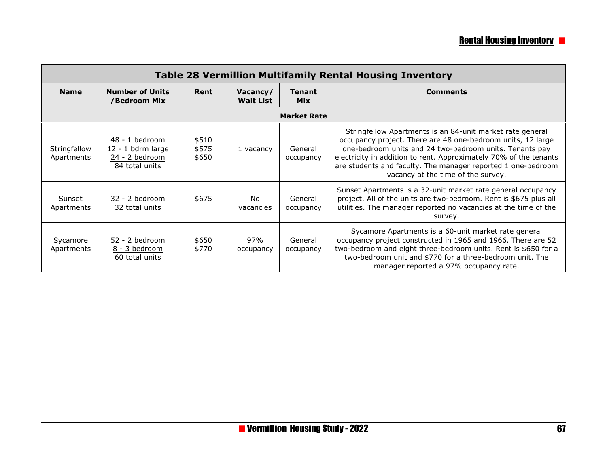| <b>Table 28 Vermillion Multifamily Rental Housing Inventory</b> |                                                                           |                         |                              |                             |                                                                                                                                                                                                                                                                                                                                                                |  |  |
|-----------------------------------------------------------------|---------------------------------------------------------------------------|-------------------------|------------------------------|-----------------------------|----------------------------------------------------------------------------------------------------------------------------------------------------------------------------------------------------------------------------------------------------------------------------------------------------------------------------------------------------------------|--|--|
| <b>Name</b>                                                     | <b>Number of Units</b><br>/Bedroom Mix                                    | Rent                    | Vacancy/<br><b>Wait List</b> | <b>Tenant</b><br><b>Mix</b> | <b>Comments</b>                                                                                                                                                                                                                                                                                                                                                |  |  |
|                                                                 |                                                                           |                         |                              | <b>Market Rate</b>          |                                                                                                                                                                                                                                                                                                                                                                |  |  |
| Stringfellow<br>Apartments                                      | $48 - 1$ bedroom<br>12 - 1 bdrm large<br>24 - 2 bedroom<br>84 total units | \$510<br>\$575<br>\$650 | 1 vacancy                    | General<br>occupancy        | Stringfellow Apartments is an 84-unit market rate general<br>occupancy project. There are 48 one-bedroom units, 12 large<br>one-bedroom units and 24 two-bedroom units. Tenants pay<br>electricity in addition to rent. Approximately 70% of the tenants<br>are students and faculty. The manager reported 1 one-bedroom<br>vacancy at the time of the survey. |  |  |
| Sunset<br>Apartments                                            | 32 - 2 bedroom<br>32 total units                                          | \$675                   | No.<br>vacancies             | General<br>occupancy        | Sunset Apartments is a 32-unit market rate general occupancy<br>project. All of the units are two-bedroom. Rent is \$675 plus all<br>utilities. The manager reported no vacancies at the time of the<br>survey.                                                                                                                                                |  |  |
| Sycamore<br>Apartments                                          | $52 - 2$ bedroom<br>8 - 3 bedroom<br>60 total units                       | \$650<br>\$770          | 97%<br>occupancy             | General<br>occupancy        | Sycamore Apartments is a 60-unit market rate general<br>occupancy project constructed in 1965 and 1966. There are 52<br>two-bedroom and eight three-bedroom units. Rent is \$650 for a<br>two-bedroom unit and \$770 for a three-bedroom unit. The<br>manager reported a 97% occupancy rate.                                                                   |  |  |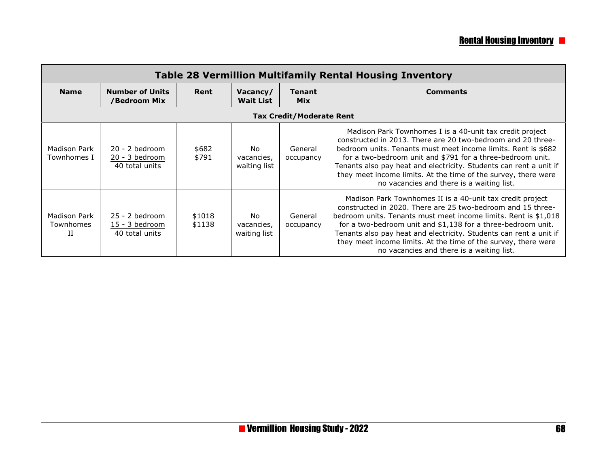## **Rental Housing Inventory <b>P**

| <b>Table 28 Vermillion Multifamily Rental Housing Inventory</b> |                                                        |                  |                                   |                             |                                                                                                                                                                                                                                                                                                                                                                                                                                                  |  |  |  |  |
|-----------------------------------------------------------------|--------------------------------------------------------|------------------|-----------------------------------|-----------------------------|--------------------------------------------------------------------------------------------------------------------------------------------------------------------------------------------------------------------------------------------------------------------------------------------------------------------------------------------------------------------------------------------------------------------------------------------------|--|--|--|--|
| <b>Name</b>                                                     | <b>Number of Units</b><br>/Bedroom Mix                 | Rent             | Vacancy/<br><b>Wait List</b>      | <b>Tenant</b><br><b>Mix</b> | <b>Comments</b>                                                                                                                                                                                                                                                                                                                                                                                                                                  |  |  |  |  |
|                                                                 | <b>Tax Credit/Moderate Rent</b>                        |                  |                                   |                             |                                                                                                                                                                                                                                                                                                                                                                                                                                                  |  |  |  |  |
| Madison Park<br>Townhomes I                                     | $20 - 2$ bedroom<br>20 - 3 bedroom<br>40 total units   | \$682<br>\$791   | No.<br>vacancies,<br>waiting list | General<br>occupancy        | Madison Park Townhomes I is a 40-unit tax credit project<br>constructed in 2013. There are 20 two-bedroom and 20 three-<br>bedroom units. Tenants must meet income limits. Rent is \$682<br>for a two-bedroom unit and \$791 for a three-bedroom unit.<br>Tenants also pay heat and electricity. Students can rent a unit if<br>they meet income limits. At the time of the survey, there were<br>no vacancies and there is a waiting list.      |  |  |  |  |
| Madison Park<br>Townhomes<br>П                                  | $25 - 2$ bedroom<br>$15 - 3$ bedroom<br>40 total units | \$1018<br>\$1138 | No<br>vacancies,<br>waiting list  | General<br>occupancy        | Madison Park Townhomes II is a 40-unit tax credit project<br>constructed in 2020. There are 25 two-bedroom and 15 three-<br>bedroom units. Tenants must meet income limits. Rent is \$1,018<br>for a two-bedroom unit and \$1,138 for a three-bedroom unit.<br>Tenants also pay heat and electricity. Students can rent a unit if<br>they meet income limits. At the time of the survey, there were<br>no vacancies and there is a waiting list. |  |  |  |  |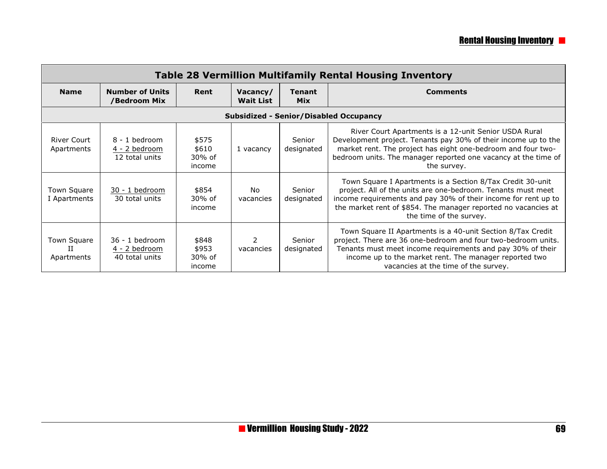| <b>Table 28 Vermillion Multifamily Rental Housing Inventory</b> |                                                    |                                    |                              |                             |                                                                                                                                                                                                                                                                                              |  |  |
|-----------------------------------------------------------------|----------------------------------------------------|------------------------------------|------------------------------|-----------------------------|----------------------------------------------------------------------------------------------------------------------------------------------------------------------------------------------------------------------------------------------------------------------------------------------|--|--|
| <b>Name</b>                                                     | <b>Number of Units</b><br>/Bedroom Mix             | Rent                               | Vacancy/<br><b>Wait List</b> | <b>Tenant</b><br><b>Mix</b> | <b>Comments</b>                                                                                                                                                                                                                                                                              |  |  |
|                                                                 |                                                    |                                    |                              |                             | <b>Subsidized - Senior/Disabled Occupancy</b>                                                                                                                                                                                                                                                |  |  |
| <b>River Court</b><br>Apartments                                | $8 - 1$ bedroom<br>4 - 2 bedroom<br>12 total units | \$575<br>\$610<br>30% of<br>income | 1 vacancy                    | Senior<br>designated        | River Court Apartments is a 12-unit Senior USDA Rural<br>Development project. Tenants pay 30% of their income up to the<br>market rent. The project has eight one-bedroom and four two-<br>bedroom units. The manager reported one vacancy at the time of<br>the survey.                     |  |  |
| Town Square<br>I Apartments                                     | 30 - 1 bedroom<br>30 total units                   | \$854<br>30% of<br>income          | No.<br>vacancies             | Senior<br>designated        | Town Square I Apartments is a Section 8/Tax Credit 30-unit<br>project. All of the units are one-bedroom. Tenants must meet<br>income requirements and pay 30% of their income for rent up to<br>the market rent of \$854. The manager reported no vacancies at<br>the time of the survey.    |  |  |
| Town Square<br>Π<br>Apartments                                  | 36 - 1 bedroom<br>4 - 2 bedroom<br>40 total units  | \$848<br>\$953<br>30% of<br>income | vacancies                    | Senior<br>designated        | Town Square II Apartments is a 40-unit Section 8/Tax Credit<br>project. There are 36 one-bedroom and four two-bedroom units.<br>Tenants must meet income requirements and pay 30% of their<br>income up to the market rent. The manager reported two<br>vacancies at the time of the survey. |  |  |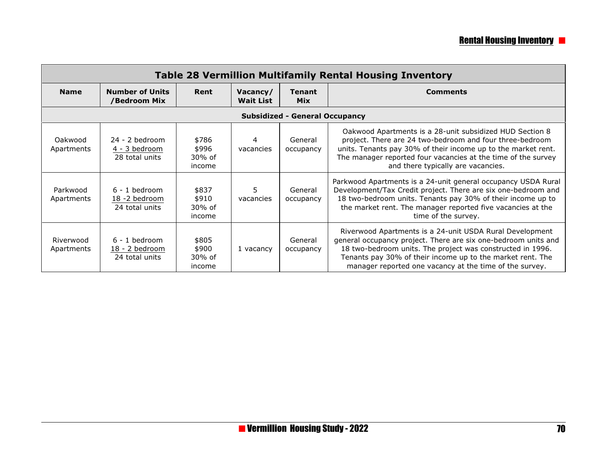| <b>Table 28 Vermillion Multifamily Rental Housing Inventory</b> |                                                       |                                    |                              |                                       |                                                                                                                                                                                                                                                                                                                   |  |  |  |
|-----------------------------------------------------------------|-------------------------------------------------------|------------------------------------|------------------------------|---------------------------------------|-------------------------------------------------------------------------------------------------------------------------------------------------------------------------------------------------------------------------------------------------------------------------------------------------------------------|--|--|--|
| <b>Name</b>                                                     | <b>Number of Units</b><br>/Bedroom Mix                | Rent                               | Vacancy/<br><b>Wait List</b> | <b>Tenant</b><br><b>Mix</b>           | <b>Comments</b>                                                                                                                                                                                                                                                                                                   |  |  |  |
|                                                                 |                                                       |                                    |                              | <b>Subsidized - General Occupancy</b> |                                                                                                                                                                                                                                                                                                                   |  |  |  |
| Oakwood<br>Apartments                                           | 24 - 2 bedroom<br>4 - 3 bedroom<br>28 total units     | \$786<br>\$996<br>30% of<br>income | 4<br>vacancies               | General<br>occupancy                  | Oakwood Apartments is a 28-unit subsidized HUD Section 8<br>project. There are 24 two-bedroom and four three-bedroom<br>units. Tenants pay 30% of their income up to the market rent.<br>The manager reported four vacancies at the time of the survey<br>and there typically are vacancies.                      |  |  |  |
| Parkwood<br>Apartments                                          | $6 - 1$ bedroom<br>18 -2 bedroom<br>24 total units    | \$837<br>\$910<br>30% of<br>income | 5<br>vacancies               | General<br>occupancy                  | Parkwood Apartments is a 24-unit general occupancy USDA Rural<br>Development/Tax Credit project. There are six one-bedroom and<br>18 two-bedroom units. Tenants pay 30% of their income up to<br>the market rent. The manager reported five vacancies at the<br>time of the survey.                               |  |  |  |
| Riverwood<br>Apartments                                         | $6 - 1$ bedroom<br>$18 - 2$ bedroom<br>24 total units | \$805<br>\$900<br>30% of<br>income | 1 vacancy                    | General<br>occupancy                  | Riverwood Apartments is a 24-unit USDA Rural Development<br>general occupancy project. There are six one-bedroom units and<br>18 two-bedroom units. The project was constructed in 1996.<br>Tenants pay 30% of their income up to the market rent. The<br>manager reported one vacancy at the time of the survey. |  |  |  |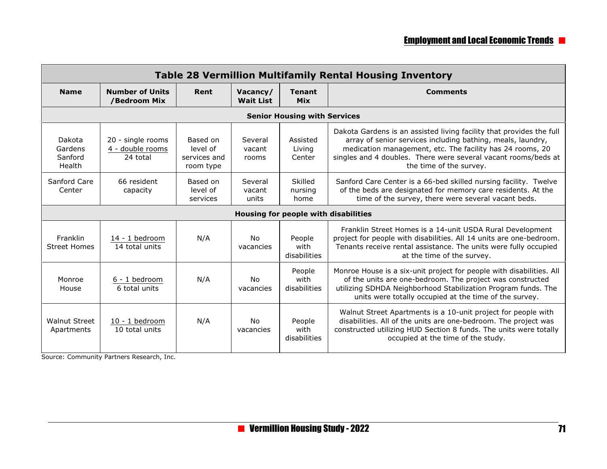| <b>Table 28 Vermillion Multifamily Rental Housing Inventory</b> |                                                   |                                                   |                              |                                      |                                                                                                                                                                                                                                                                                               |  |  |  |  |  |
|-----------------------------------------------------------------|---------------------------------------------------|---------------------------------------------------|------------------------------|--------------------------------------|-----------------------------------------------------------------------------------------------------------------------------------------------------------------------------------------------------------------------------------------------------------------------------------------------|--|--|--|--|--|
| <b>Name</b>                                                     | <b>Number of Units</b><br>/Bedroom Mix            | Rent                                              | Vacancy/<br><b>Wait List</b> | <b>Tenant</b><br><b>Mix</b>          | <b>Comments</b>                                                                                                                                                                                                                                                                               |  |  |  |  |  |
|                                                                 | <b>Senior Housing with Services</b>               |                                                   |                              |                                      |                                                                                                                                                                                                                                                                                               |  |  |  |  |  |
| Dakota<br>Gardens<br>Sanford<br>Health                          | 20 - single rooms<br>4 - double rooms<br>24 total | Based on<br>level of<br>services and<br>room type | Several<br>vacant<br>rooms   | Assisted<br>Livina<br>Center         | Dakota Gardens is an assisted living facility that provides the full<br>array of senior services including bathing, meals, laundry,<br>medication management, etc. The facility has 24 rooms, 20<br>singles and 4 doubles. There were several vacant rooms/beds at<br>the time of the survey. |  |  |  |  |  |
| Sanford Care<br>Center                                          | 66 resident<br>capacity                           | Based on<br>level of<br>services                  | Several<br>vacant<br>units   | Skilled<br>nursing<br>home           | Sanford Care Center is a 66-bed skilled nursing facility. Twelve<br>of the beds are designated for memory care residents. At the<br>time of the survey, there were several vacant beds.                                                                                                       |  |  |  |  |  |
|                                                                 |                                                   |                                                   |                              | Housing for people with disabilities |                                                                                                                                                                                                                                                                                               |  |  |  |  |  |
| Franklin<br><b>Street Homes</b>                                 | 14 - 1 bedroom<br>14 total units                  | N/A                                               | No<br>vacancies              | People<br>with<br>disabilities       | Franklin Street Homes is a 14-unit USDA Rural Development<br>project for people with disabilities. All 14 units are one-bedroom.<br>Tenants receive rental assistance. The units were fully occupied<br>at the time of the survey.                                                            |  |  |  |  |  |
| Monroe<br>House                                                 | 6 - 1 bedroom<br>6 total units                    | N/A                                               | No<br>vacancies              | People<br>with<br>disabilities       | Monroe House is a six-unit project for people with disabilities. All<br>of the units are one-bedroom. The project was constructed<br>utilizing SDHDA Neighborhood Stabilization Program funds. The<br>units were totally occupied at the time of the survey.                                  |  |  |  |  |  |
| <b>Walnut Street</b><br>Apartments                              | 10 - 1 bedroom<br>10 total units                  | N/A                                               | No<br>vacancies              | People<br>with<br>disabilities       | Walnut Street Apartments is a 10-unit project for people with<br>disabilities. All of the units are one-bedroom. The project was<br>constructed utilizing HUD Section 8 funds. The units were totally<br>occupied at the time of the study.                                                   |  |  |  |  |  |

Source: Community Partners Research, Inc.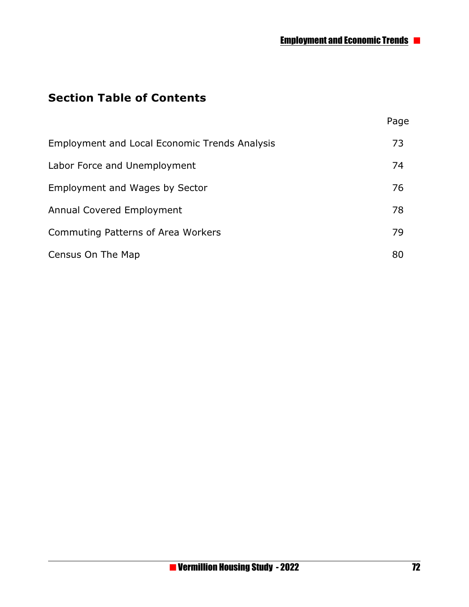Page

## **Section Table of Contents**

| <b>Employment and Local Economic Trends Analysis</b> | 73 |
|------------------------------------------------------|----|
| Labor Force and Unemployment                         | 74 |
| <b>Employment and Wages by Sector</b>                | 76 |
| <b>Annual Covered Employment</b>                     | 78 |
| Commuting Patterns of Area Workers                   | 79 |
| Census On The Map                                    | 80 |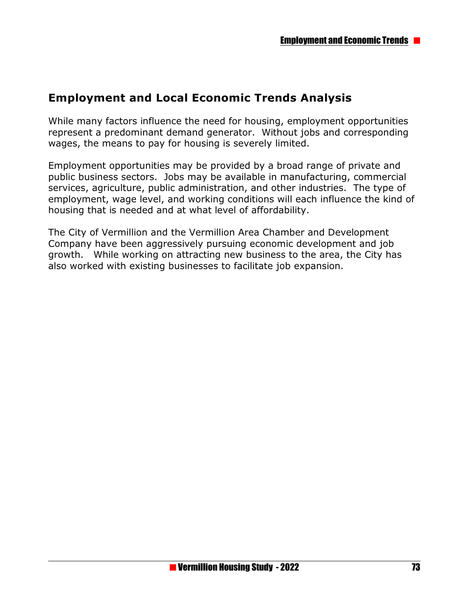## **Employment and Local Economic Trends Analysis**

While many factors influence the need for housing, employment opportunities represent a predominant demand generator. Without jobs and corresponding wages, the means to pay for housing is severely limited.

Employment opportunities may be provided by a broad range of private and public business sectors. Jobs may be available in manufacturing, commercial services, agriculture, public administration, and other industries. The type of employment, wage level, and working conditions will each influence the kind of housing that is needed and at what level of affordability.

The City of Vermillion and the Vermillion Area Chamber and Development Company have been aggressively pursuing economic development and job growth. While working on attracting new business to the area, the City has also worked with existing businesses to facilitate job expansion.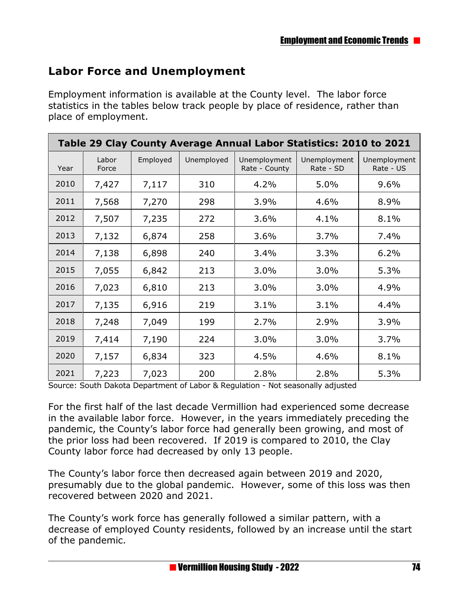## **Labor Force and Unemployment**

Employment information is available at the County level. The labor force statistics in the tables below track people by place of residence, rather than place of employment.

| Table 29 Clay County Average Annual Labor Statistics: 2010 to 2021 |                |          |            |                               |                           |                           |
|--------------------------------------------------------------------|----------------|----------|------------|-------------------------------|---------------------------|---------------------------|
| Year                                                               | Labor<br>Force | Employed | Unemployed | Unemployment<br>Rate - County | Unemployment<br>Rate - SD | Unemployment<br>Rate - US |
| 2010                                                               | 7,427          | 7,117    | 310        | 4.2%                          | 5.0%                      | 9.6%                      |
| 2011                                                               | 7,568          | 7,270    | 298        | 3.9%                          | 4.6%                      | 8.9%                      |
| 2012                                                               | 7,507          | 7,235    | 272        | 3.6%                          | 4.1%                      | 8.1%                      |
| 2013                                                               | 7,132          | 6,874    | 258        | 3.6%                          | 3.7%                      | 7.4%                      |
| 2014                                                               | 7,138          | 6,898    | 240        | 3.4%                          | 3.3%                      | 6.2%                      |
| 2015                                                               | 7,055          | 6,842    | 213        | 3.0%                          | 3.0%                      | 5.3%                      |
| 2016                                                               | 7,023          | 6,810    | 213        | 3.0%                          | 3.0%                      | 4.9%                      |
| 2017                                                               | 7,135          | 6,916    | 219        | 3.1%                          | 3.1%                      | 4.4%                      |
| 2018                                                               | 7,248          | 7,049    | 199        | 2.7%                          | 2.9%                      | 3.9%                      |
| 2019                                                               | 7,414          | 7,190    | 224        | 3.0%                          | 3.0%                      | 3.7%                      |
| 2020                                                               | 7,157          | 6,834    | 323        | 4.5%                          | 4.6%                      | 8.1%                      |
| 2021                                                               | 7,223          | 7,023    | 200        | 2.8%                          | 2.8%                      | 5.3%                      |

Source: South Dakota Department of Labor & Regulation - Not seasonally adjusted

For the first half of the last decade Vermillion had experienced some decrease in the available labor force. However, in the years immediately preceding the pandemic, the County's labor force had generally been growing, and most of the prior loss had been recovered. If 2019 is compared to 2010, the Clay County labor force had decreased by only 13 people.

The County's labor force then decreased again between 2019 and 2020, presumably due to the global pandemic. However, some of this loss was then recovered between 2020 and 2021.

The County's work force has generally followed a similar pattern, with a decrease of employed County residents, followed by an increase until the start of the pandemic.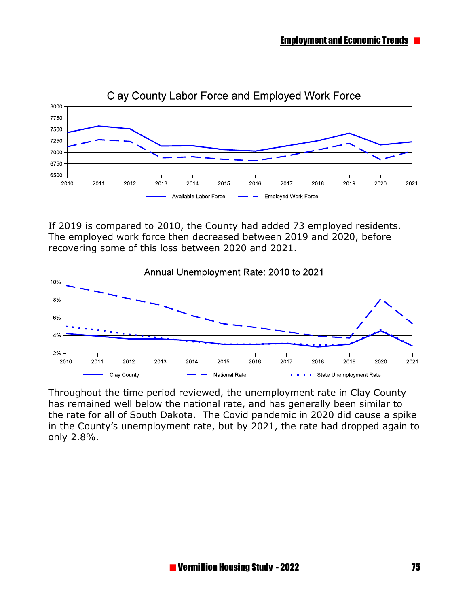

#### Clay County Labor Force and Employed Work Force

If 2019 is compared to 2010, the County had added 73 employed residents. The employed work force then decreased between 2019 and 2020, before recovering some of this loss between 2020 and 2021.



Throughout the time period reviewed, the unemployment rate in Clay County has remained well below the national rate, and has generally been similar to the rate for all of South Dakota. The Covid pandemic in 2020 did cause a spike in the County's unemployment rate, but by 2021, the rate had dropped again to only 2.8%.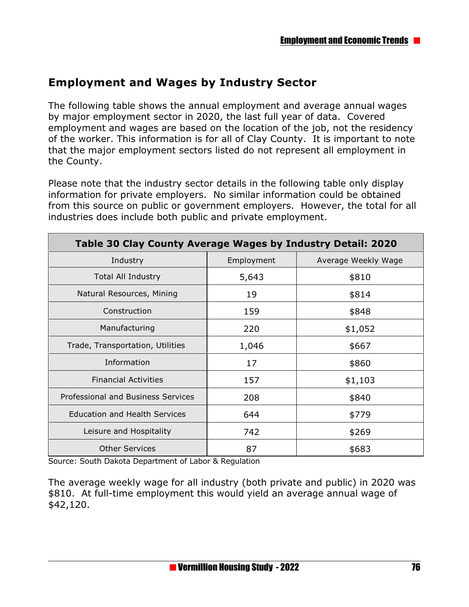## **Employment and Wages by Industry Sector**

The following table shows the annual employment and average annual wages by major employment sector in 2020, the last full year of data. Covered employment and wages are based on the location of the job, not the residency of the worker. This information is for all of Clay County. It is important to note that the major employment sectors listed do not represent all employment in the County.

Please note that the industry sector details in the following table only display information for private employers. No similar information could be obtained from this source on public or government employers. However, the total for all industries does include both public and private employment.

| Table 30 Clay County Average Wages by Industry Detail: 2020 |            |                     |  |  |
|-------------------------------------------------------------|------------|---------------------|--|--|
| Industry                                                    | Employment | Average Weekly Wage |  |  |
| <b>Total All Industry</b>                                   | 5,643      | \$810               |  |  |
| Natural Resources, Mining                                   | 19         | \$814               |  |  |
| Construction                                                | 159        | \$848               |  |  |
| Manufacturing                                               | 220        | \$1,052             |  |  |
| Trade, Transportation, Utilities                            | 1,046      | \$667               |  |  |
| Information                                                 | 17         | \$860               |  |  |
| <b>Financial Activities</b>                                 | 157        | \$1,103             |  |  |
| Professional and Business Services                          | 208        | \$840               |  |  |
| <b>Education and Health Services</b>                        | 644        | \$779               |  |  |
| Leisure and Hospitality                                     | 742        | \$269               |  |  |
| <b>Other Services</b>                                       | 87         | \$683               |  |  |

Source: South Dakota Department of Labor & Regulation

The average weekly wage for all industry (both private and public) in 2020 was \$810. At full-time employment this would yield an average annual wage of \$42,120.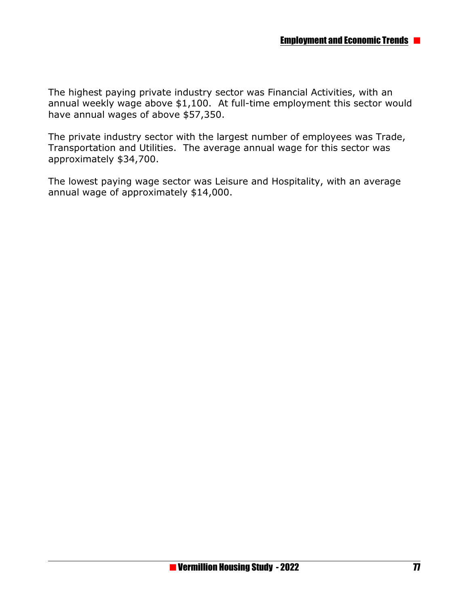The highest paying private industry sector was Financial Activities, with an annual weekly wage above \$1,100. At full-time employment this sector would have annual wages of above \$57,350.

The private industry sector with the largest number of employees was Trade, Transportation and Utilities. The average annual wage for this sector was approximately \$34,700.

The lowest paying wage sector was Leisure and Hospitality, with an average annual wage of approximately \$14,000.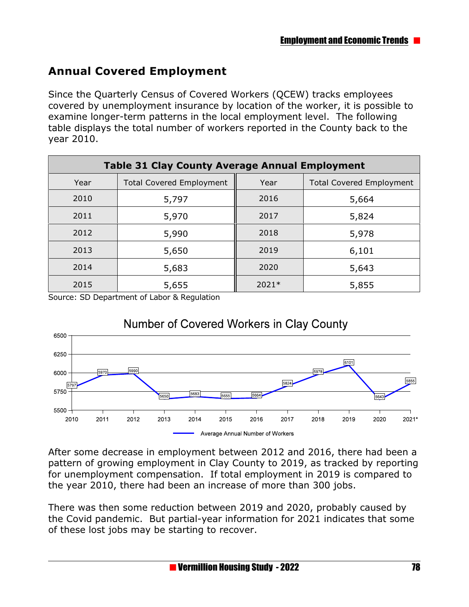## **Annual Covered Employment**

Since the Quarterly Census of Covered Workers (QCEW) tracks employees covered by unemployment insurance by location of the worker, it is possible to examine longer-term patterns in the local employment level. The following table displays the total number of workers reported in the County back to the year 2010.

| <b>Table 31 Clay County Average Annual Employment</b> |                                 |         |                                 |  |
|-------------------------------------------------------|---------------------------------|---------|---------------------------------|--|
| Year                                                  | <b>Total Covered Employment</b> | Year    | <b>Total Covered Employment</b> |  |
| 2010                                                  | 5,797                           | 2016    | 5,664                           |  |
| 2011                                                  | 5,970                           | 2017    | 5,824                           |  |
| 2012                                                  | 5,990                           | 2018    | 5,978                           |  |
| 2013                                                  | 5,650                           | 2019    | 6,101                           |  |
| 2014                                                  | 5,683                           | 2020    | 5,643                           |  |
| 2015                                                  | 5,655                           | $2021*$ | 5,855                           |  |

Source: SD Department of Labor & Regulation



#### After some decrease in employment between 2012 and 2016, there had been a pattern of growing employment in Clay County to 2019, as tracked by reporting for unemployment compensation. If total employment in 2019 is compared to the year 2010, there had been an increase of more than 300 jobs.

There was then some reduction between 2019 and 2020, probably caused by the Covid pandemic. But partial-year information for 2021 indicates that some of these lost jobs may be starting to recover.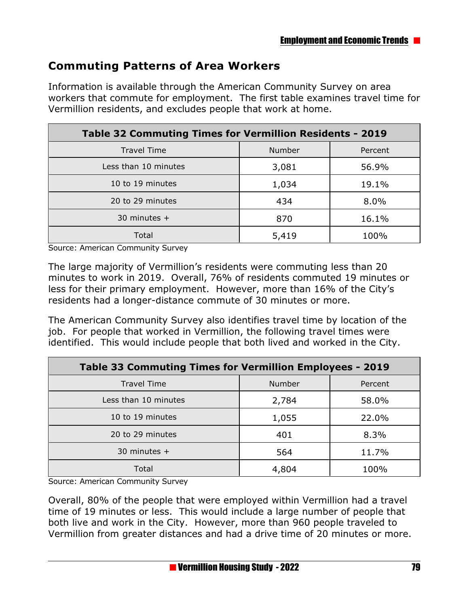## **Commuting Patterns of Area Workers**

Information is available through the American Community Survey on area workers that commute for employment. The first table examines travel time for Vermillion residents, and excludes people that work at home.

| Table 32 Commuting Times for Vermillion Residents - 2019 |        |         |  |
|----------------------------------------------------------|--------|---------|--|
| <b>Travel Time</b>                                       | Number | Percent |  |
| Less than 10 minutes                                     | 3,081  | 56.9%   |  |
| 10 to 19 minutes                                         | 1,034  | 19.1%   |  |
| 20 to 29 minutes                                         | 434    | 8.0%    |  |
| 30 minutes $+$                                           | 870    | 16.1%   |  |
| Total                                                    | 5,419  | 100%    |  |

Source: American Community Survey

The large majority of Vermillion's residents were commuting less than 20 minutes to work in 2019. Overall, 76% of residents commuted 19 minutes or less for their primary employment. However, more than 16% of the City's residents had a longer-distance commute of 30 minutes or more.

The American Community Survey also identifies travel time by location of the job. For people that worked in Vermillion, the following travel times were identified. This would include people that both lived and worked in the City.

| Table 33 Commuting Times for Vermillion Employees - 2019 |               |         |  |
|----------------------------------------------------------|---------------|---------|--|
| <b>Travel Time</b>                                       | <b>Number</b> | Percent |  |
| Less than 10 minutes                                     | 2,784         | 58.0%   |  |
| 10 to 19 minutes                                         | 1,055         | 22.0%   |  |
| 20 to 29 minutes                                         | 401           | 8.3%    |  |
| 30 minutes $+$                                           | 564           | 11.7%   |  |
| Total                                                    | 4,804         | 100%    |  |

Source: American Community Survey

Overall, 80% of the people that were employed within Vermillion had a travel time of 19 minutes or less. This would include a large number of people that both live and work in the City. However, more than 960 people traveled to Vermillion from greater distances and had a drive time of 20 minutes or more.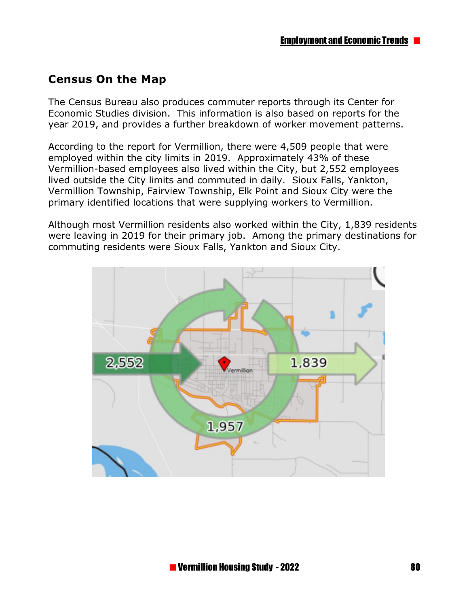## **Census On the Map**

The Census Bureau also produces commuter reports through its Center for Economic Studies division. This information is also based on reports for the year 2019, and provides a further breakdown of worker movement patterns.

According to the report for Vermillion, there were 4,509 people that were employed within the city limits in 2019. Approximately 43% of these Vermillion-based employees also lived within the City, but 2,552 employees lived outside the City limits and commuted in daily. Sioux Falls, Yankton, Vermillion Township, Fairview Township, Elk Point and Sioux City were the primary identified locations that were supplying workers to Vermillion.

Although most Vermillion residents also worked within the City, 1,839 residents were leaving in 2019 for their primary job. Among the primary destinations for commuting residents were Sioux Falls, Yankton and Sioux City.

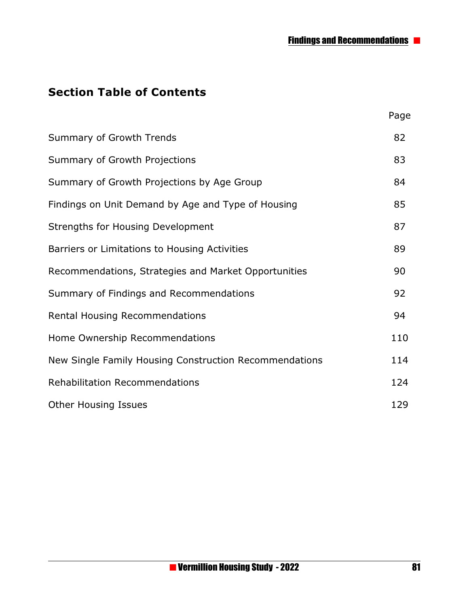Page

## **Section Table of Contents**

| Summary of Growth Trends                               | 82  |
|--------------------------------------------------------|-----|
| Summary of Growth Projections                          | 83  |
| Summary of Growth Projections by Age Group             | 84  |
| Findings on Unit Demand by Age and Type of Housing     | 85  |
| Strengths for Housing Development                      | 87  |
| Barriers or Limitations to Housing Activities          | 89  |
| Recommendations, Strategies and Market Opportunities   | 90  |
| Summary of Findings and Recommendations                | 92  |
| <b>Rental Housing Recommendations</b>                  | 94  |
| Home Ownership Recommendations                         | 110 |
| New Single Family Housing Construction Recommendations | 114 |
| <b>Rehabilitation Recommendations</b>                  | 124 |
| <b>Other Housing Issues</b>                            | 129 |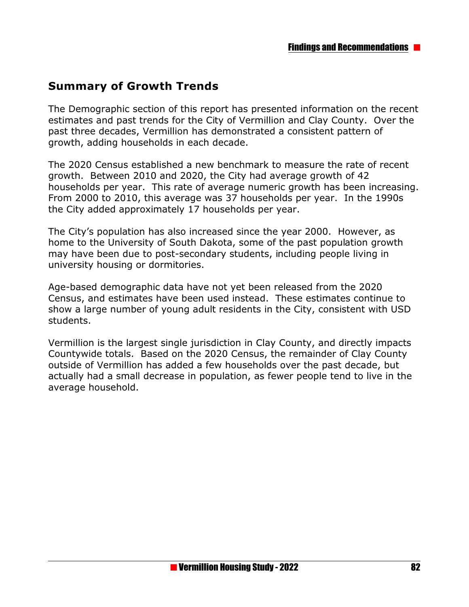## **Summary of Growth Trends**

The Demographic section of this report has presented information on the recent estimates and past trends for the City of Vermillion and Clay County. Over the past three decades, Vermillion has demonstrated a consistent pattern of growth, adding households in each decade.

The 2020 Census established a new benchmark to measure the rate of recent growth. Between 2010 and 2020, the City had average growth of 42 households per year. This rate of average numeric growth has been increasing. From 2000 to 2010, this average was 37 households per year. In the 1990s the City added approximately 17 households per year.

The City's population has also increased since the year 2000. However, as home to the University of South Dakota, some of the past population growth may have been due to post-secondary students, including people living in university housing or dormitories.

Age-based demographic data have not yet been released from the 2020 Census, and estimates have been used instead. These estimates continue to show a large number of young adult residents in the City, consistent with USD students.

Vermillion is the largest single jurisdiction in Clay County, and directly impacts Countywide totals. Based on the 2020 Census, the remainder of Clay County outside of Vermillion has added a few households over the past decade, but actually had a small decrease in population, as fewer people tend to live in the average household.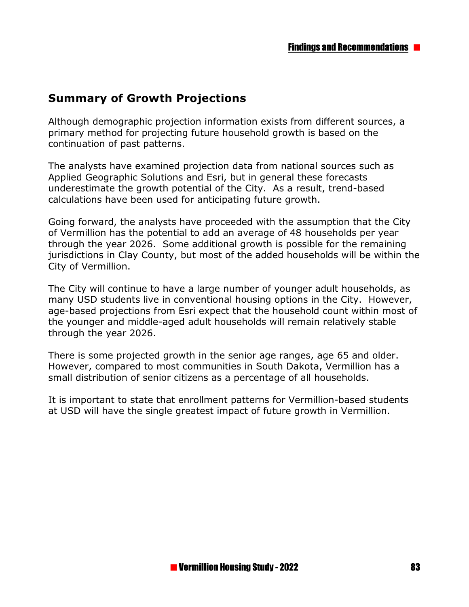## **Summary of Growth Projections**

Although demographic projection information exists from different sources, a primary method for projecting future household growth is based on the continuation of past patterns.

The analysts have examined projection data from national sources such as Applied Geographic Solutions and Esri, but in general these forecasts underestimate the growth potential of the City. As a result, trend-based calculations have been used for anticipating future growth.

Going forward, the analysts have proceeded with the assumption that the City of Vermillion has the potential to add an average of 48 households per year through the year 2026. Some additional growth is possible for the remaining jurisdictions in Clay County, but most of the added households will be within the City of Vermillion.

The City will continue to have a large number of younger adult households, as many USD students live in conventional housing options in the City. However, age-based projections from Esri expect that the household count within most of the younger and middle-aged adult households will remain relatively stable through the year 2026.

There is some projected growth in the senior age ranges, age 65 and older. However, compared to most communities in South Dakota, Vermillion has a small distribution of senior citizens as a percentage of all households.

It is important to state that enrollment patterns for Vermillion-based students at USD will have the single greatest impact of future growth in Vermillion.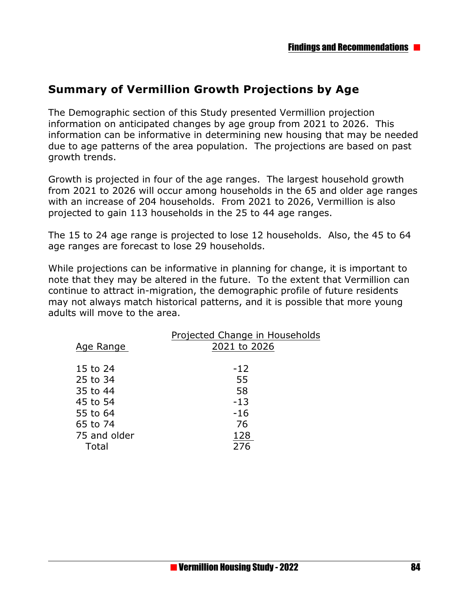## **Summary of Vermillion Growth Projections by Age**

The Demographic section of this Study presented Vermillion projection information on anticipated changes by age group from 2021 to 2026. This information can be informative in determining new housing that may be needed due to age patterns of the area population. The projections are based on past growth trends.

Growth is projected in four of the age ranges. The largest household growth from 2021 to 2026 will occur among households in the 65 and older age ranges with an increase of 204 households. From 2021 to 2026, Vermillion is also projected to gain 113 households in the 25 to 44 age ranges.

The 15 to 24 age range is projected to lose 12 households. Also, the 45 to 64 age ranges are forecast to lose 29 households.

While projections can be informative in planning for change, it is important to note that they may be altered in the future. To the extent that Vermillion can continue to attract in-migration, the demographic profile of future residents may not always match historical patterns, and it is possible that more young adults will move to the area.

|              | Projected Change in Households |
|--------------|--------------------------------|
| Age Range    | 2021 to 2026                   |
|              |                                |
| 15 to 24     | $-12$                          |
| 25 to 34     | 55                             |
| 35 to 44     | 58                             |
| 45 to 54     | $-13$                          |
| 55 to 64     | $-16$                          |
| 65 to 74     | 76                             |
| 75 and older | 128                            |
| Total        | 276                            |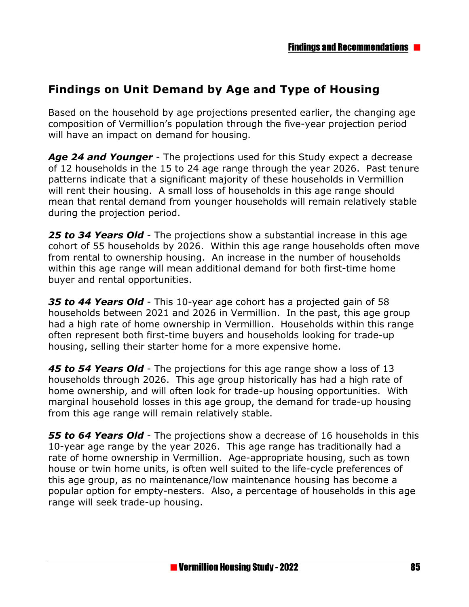## **Findings on Unit Demand by Age and Type of Housing**

Based on the household by age projections presented earlier, the changing age composition of Vermillion's population through the five-year projection period will have an impact on demand for housing.

*Age 24 and Younger* - The projections used for this Study expect a decrease of 12 households in the 15 to 24 age range through the year 2026. Past tenure patterns indicate that a significant majority of these households in Vermillion will rent their housing. A small loss of households in this age range should mean that rental demand from younger households will remain relatively stable during the projection period.

*25 to 34 Years Old* - The projections show a substantial increase in this age cohort of 55 households by 2026. Within this age range households often move from rental to ownership housing. An increase in the number of households within this age range will mean additional demand for both first-time home buyer and rental opportunities.

*35 to 44 Years Old* - This 10-year age cohort has a projected gain of 58 households between 2021 and 2026 in Vermillion. In the past, this age group had a high rate of home ownership in Vermillion. Households within this range often represent both first-time buyers and households looking for trade-up housing, selling their starter home for a more expensive home.

*45 to 54 Years Old* - The projections for this age range show a loss of 13 households through 2026. This age group historically has had a high rate of home ownership, and will often look for trade-up housing opportunities. With marginal household losses in this age group, the demand for trade-up housing from this age range will remain relatively stable.

*55 to 64 Years Old* - The projections show a decrease of 16 households in this 10-year age range by the year 2026. This age range has traditionally had a rate of home ownership in Vermillion. Age-appropriate housing, such as town house or twin home units, is often well suited to the life-cycle preferences of this age group, as no maintenance/low maintenance housing has become a popular option for empty-nesters. Also, a percentage of households in this age range will seek trade-up housing.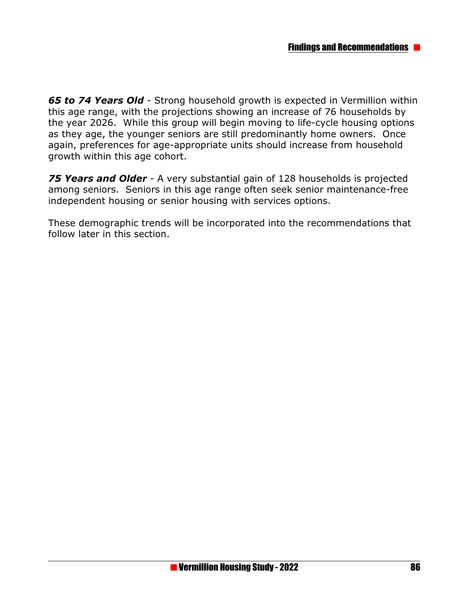*65 to 74 Years Old* - Strong household growth is expected in Vermillion within this age range, with the projections showing an increase of 76 households by the year 2026. While this group will begin moving to life-cycle housing options as they age, the younger seniors are still predominantly home owners. Once again, preferences for age-appropriate units should increase from household growth within this age cohort.

*75 Years and Older* - A very substantial gain of 128 households is projected among seniors. Seniors in this age range often seek senior maintenance-free independent housing or senior housing with services options.

These demographic trends will be incorporated into the recommendations that follow later in this section.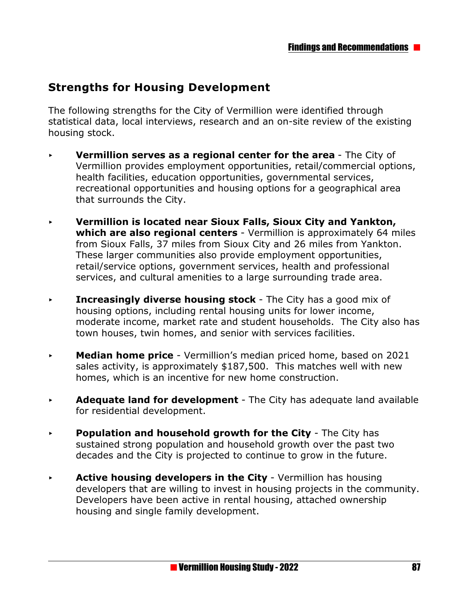## **Strengths for Housing Development**

The following strengths for the City of Vermillion were identified through statistical data, local interviews, research and an on-site review of the existing housing stock.

- **Vermillion serves as a regional center for the area The City of** Vermillion provides employment opportunities, retail/commercial options, health facilities, education opportunities, governmental services, recreational opportunities and housing options for a geographical area that surrounds the City.
- < **Vermillion is located near Sioux Falls, Sioux City and Yankton, which are also regional centers** - Vermillion is approximately 64 miles from Sioux Falls, 37 miles from Sioux City and 26 miles from Yankton. These larger communities also provide employment opportunities, retail/service options, government services, health and professional services, and cultural amenities to a large surrounding trade area.
- **Increasingly diverse housing stock** The City has a good mix of housing options, including rental housing units for lower income, moderate income, market rate and student households. The City also has town houses, twin homes, and senior with services facilities.
- **Median home price** Vermillion's median priced home, based on 2021 sales activity, is approximately \$187,500. This matches well with new homes, which is an incentive for new home construction.
- **Adequate land for development** The City has adequate land available for residential development.
- **Population and household growth for the City The City has** sustained strong population and household growth over the past two decades and the City is projected to continue to grow in the future.
- **Active housing developers in the City** Vermillion has housing developers that are willing to invest in housing projects in the community. Developers have been active in rental housing, attached ownership housing and single family development.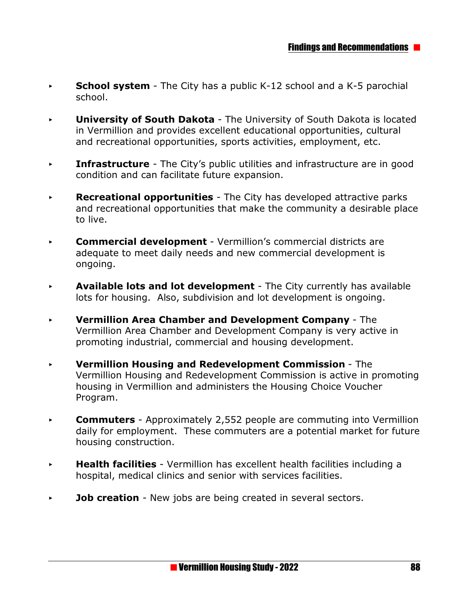- **School system** The City has a public K-12 school and a K-5 parochial school.
- < **University of South Dakota**  The University of South Dakota is located in Vermillion and provides excellent educational opportunities, cultural and recreational opportunities, sports activities, employment, etc.
- **Infrastructure** The City's public utilities and infrastructure are in good condition and can facilitate future expansion.
- **Recreational opportunities** The City has developed attractive parks and recreational opportunities that make the community a desirable place to live.
- **Commercial development** Vermillion's commercial districts are adequate to meet daily needs and new commercial development is ongoing.
- < **Available lots and lot development** The City currently has available lots for housing. Also, subdivision and lot development is ongoing.
- < **Vermillion Area Chamber and Development Company**  The Vermillion Area Chamber and Development Company is very active in promoting industrial, commercial and housing development.
- < **Vermillion Housing and Redevelopment Commission**  The Vermillion Housing and Redevelopment Commission is active in promoting housing in Vermillion and administers the Housing Choice Voucher Program.
- **Commuters** Approximately 2,552 people are commuting into Vermillion daily for employment. These commuters are a potential market for future housing construction.
- **Health facilities** Vermillion has excellent health facilities including a hospital, medical clinics and senior with services facilities.
- **Job creation** New jobs are being created in several sectors.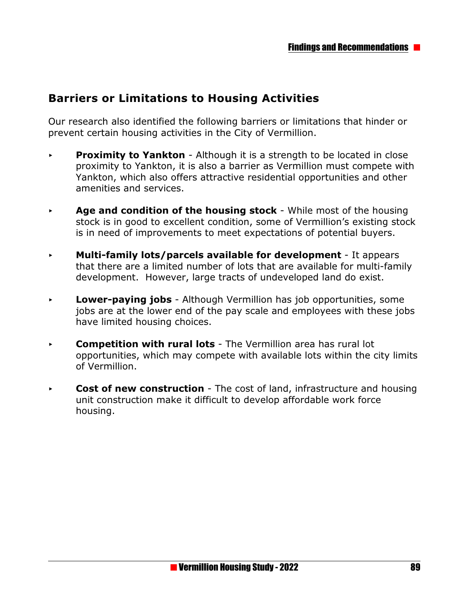## **Barriers or Limitations to Housing Activities**

Our research also identified the following barriers or limitations that hinder or prevent certain housing activities in the City of Vermillion.

- **Proximity to Yankton** Although it is a strength to be located in close proximity to Yankton, it is also a barrier as Vermillion must compete with Yankton, which also offers attractive residential opportunities and other amenities and services.
- **Age and condition of the housing stock** While most of the housing stock is in good to excellent condition, some of Vermillion's existing stock is in need of improvements to meet expectations of potential buyers.
- < **Multi-family lots/parcels available for development** It appears that there are a limited number of lots that are available for multi-family development. However, large tracts of undeveloped land do exist.
- **Lower-paying jobs** Although Vermillion has job opportunities, some jobs are at the lower end of the pay scale and employees with these jobs have limited housing choices.
- **Competition with rural lots** The Vermillion area has rural lot opportunities, which may compete with available lots within the city limits of Vermillion.
- **Cost of new construction** The cost of land, infrastructure and housing unit construction make it difficult to develop affordable work force housing.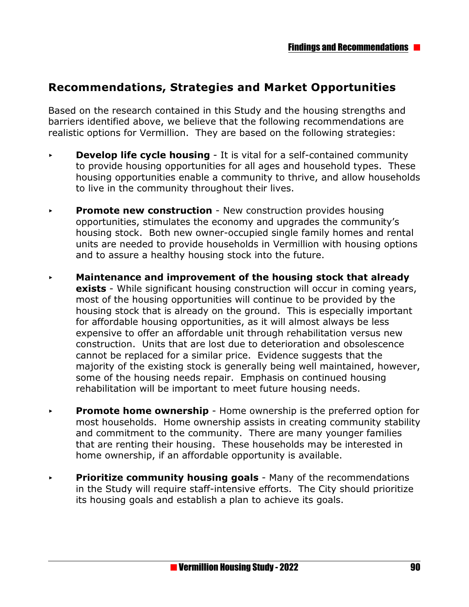## **Recommendations, Strategies and Market Opportunities**

Based on the research contained in this Study and the housing strengths and barriers identified above, we believe that the following recommendations are realistic options for Vermillion. They are based on the following strategies:

- **Develop life cycle housing** It is vital for a self-contained community to provide housing opportunities for all ages and household types. These housing opportunities enable a community to thrive, and allow households to live in the community throughout their lives.
- **Promote new construction** New construction provides housing opportunities, stimulates the economy and upgrades the community's housing stock. Both new owner-occupied single family homes and rental units are needed to provide households in Vermillion with housing options and to assure a healthy housing stock into the future.
- < **Maintenance and improvement of the housing stock that already exists** - While significant housing construction will occur in coming years, most of the housing opportunities will continue to be provided by the housing stock that is already on the ground. This is especially important for affordable housing opportunities, as it will almost always be less expensive to offer an affordable unit through rehabilitation versus new construction. Units that are lost due to deterioration and obsolescence cannot be replaced for a similar price. Evidence suggests that the majority of the existing stock is generally being well maintained, however, some of the housing needs repair. Emphasis on continued housing rehabilitation will be important to meet future housing needs.
- **Promote home ownership** Home ownership is the preferred option for most households. Home ownership assists in creating community stability and commitment to the community. There are many younger families that are renting their housing. These households may be interested in home ownership, if an affordable opportunity is available.
- **Prioritize community housing goals** Many of the recommendations in the Study will require staff-intensive efforts. The City should prioritize its housing goals and establish a plan to achieve its goals.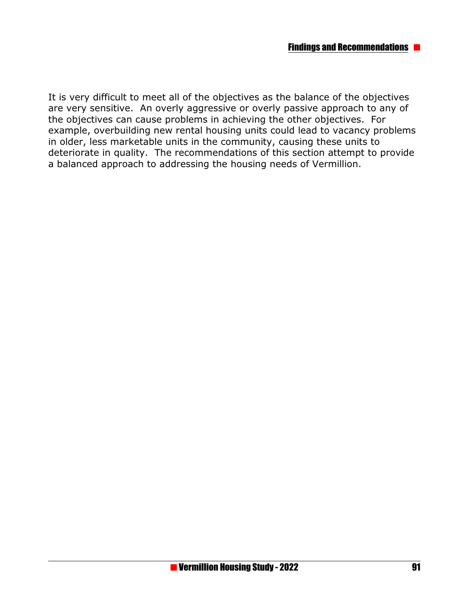It is very difficult to meet all of the objectives as the balance of the objectives are very sensitive. An overly aggressive or overly passive approach to any of the objectives can cause problems in achieving the other objectives. For example, overbuilding new rental housing units could lead to vacancy problems in older, less marketable units in the community, causing these units to deteriorate in quality. The recommendations of this section attempt to provide a balanced approach to addressing the housing needs of Vermillion.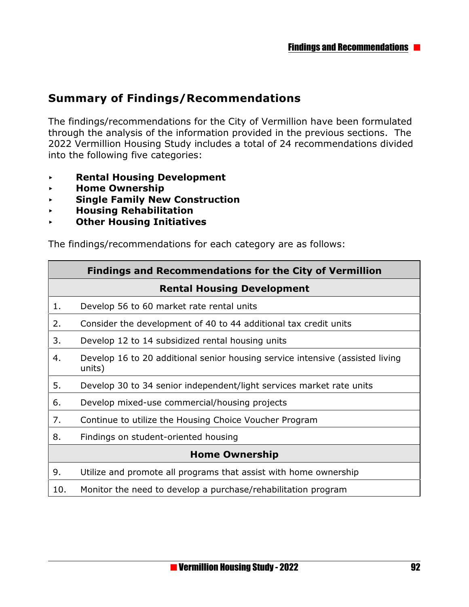## **Summary of Findings/Recommendations**

The findings/recommendations for the City of Vermillion have been formulated through the analysis of the information provided in the previous sections. The 2022 Vermillion Housing Study includes a total of 24 recommendations divided into the following five categories:

- < **Rental Housing Development**
- < **Home Ownership**
- < **Single Family New Construction**
- < **Housing Rehabilitation**
- < **Other Housing Initiatives**

The findings/recommendations for each category are as follows:

|                       | <b>Findings and Recommendations for the City of Vermillion</b>                          |  |  |  |
|-----------------------|-----------------------------------------------------------------------------------------|--|--|--|
|                       | <b>Rental Housing Development</b>                                                       |  |  |  |
| 1.                    | Develop 56 to 60 market rate rental units                                               |  |  |  |
| 2.                    | Consider the development of 40 to 44 additional tax credit units                        |  |  |  |
| 3.                    | Develop 12 to 14 subsidized rental housing units                                        |  |  |  |
| 4.                    | Develop 16 to 20 additional senior housing service intensive (assisted living<br>units) |  |  |  |
| 5.                    | Develop 30 to 34 senior independent/light services market rate units                    |  |  |  |
| 6.                    | Develop mixed-use commercial/housing projects                                           |  |  |  |
| 7.                    | Continue to utilize the Housing Choice Voucher Program                                  |  |  |  |
| 8.                    | Findings on student-oriented housing                                                    |  |  |  |
| <b>Home Ownership</b> |                                                                                         |  |  |  |
| 9.                    | Utilize and promote all programs that assist with home ownership                        |  |  |  |
| 10.                   | Monitor the need to develop a purchase/rehabilitation program                           |  |  |  |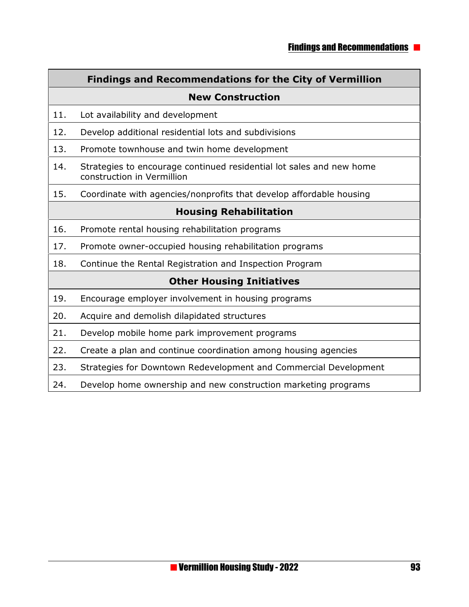#### **Findings and Recommendations for the City of Vermillion**

#### **New Construction**

- 11. Lot availability and development
- 12. Develop additional residential lots and subdivisions
- 13. Promote townhouse and twin home development
- 14. Strategies to encourage continued residential lot sales and new home construction in Vermillion
- 15. Coordinate with agencies/nonprofits that develop affordable housing

#### **Housing Rehabilitation**

- 16. Promote rental housing rehabilitation programs
- 17. Promote owner-occupied housing rehabilitation programs
- 18. Continue the Rental Registration and Inspection Program

#### **Other Housing Initiatives**

- 19. Encourage employer involvement in housing programs
- 20. Acquire and demolish dilapidated structures
- 21. Develop mobile home park improvement programs
- 22. Create a plan and continue coordination among housing agencies
- 23. Strategies for Downtown Redevelopment and Commercial Development
- 24. Develop home ownership and new construction marketing programs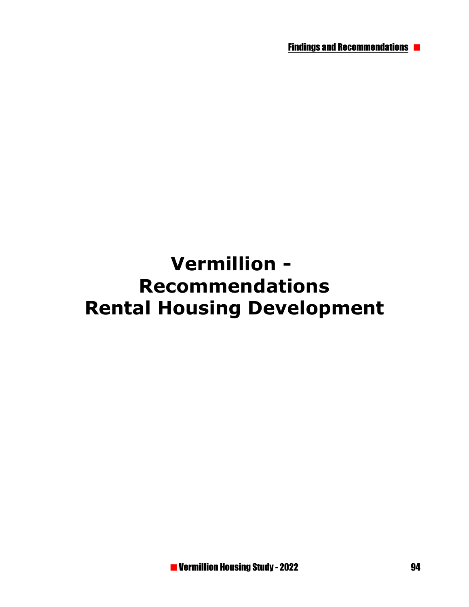Findings and Recommendations

# **Vermillion - Recommendations Rental Housing Development**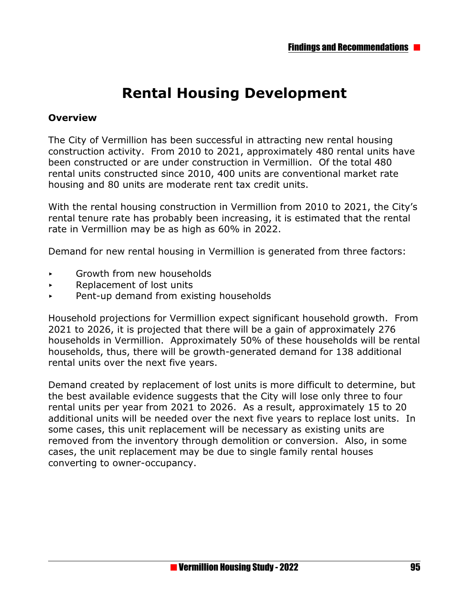## **Rental Housing Development**

#### **Overview**

The City of Vermillion has been successful in attracting new rental housing construction activity. From 2010 to 2021, approximately 480 rental units have been constructed or are under construction in Vermillion. Of the total 480 rental units constructed since 2010, 400 units are conventional market rate housing and 80 units are moderate rent tax credit units.

With the rental housing construction in Vermillion from 2010 to 2021, the City's rental tenure rate has probably been increasing, it is estimated that the rental rate in Vermillion may be as high as 60% in 2022.

Demand for new rental housing in Vermillion is generated from three factors:

- **EXECUTE:** Growth from new households
- < Replacement of lost units
- $\rightarrow$  Pent-up demand from existing households

Household projections for Vermillion expect significant household growth. From 2021 to 2026, it is projected that there will be a gain of approximately 276 households in Vermillion. Approximately 50% of these households will be rental households, thus, there will be growth-generated demand for 138 additional rental units over the next five years.

Demand created by replacement of lost units is more difficult to determine, but the best available evidence suggests that the City will lose only three to four rental units per year from 2021 to 2026. As a result, approximately 15 to 20 additional units will be needed over the next five years to replace lost units. In some cases, this unit replacement will be necessary as existing units are removed from the inventory through demolition or conversion. Also, in some cases, the unit replacement may be due to single family rental houses converting to owner-occupancy.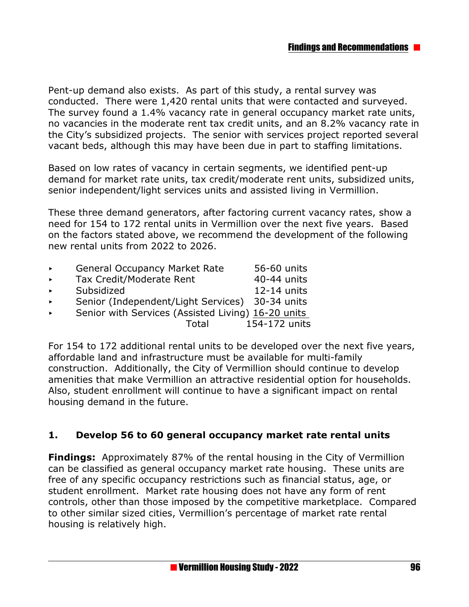Pent-up demand also exists. As part of this study, a rental survey was conducted. There were 1,420 rental units that were contacted and surveyed. The survey found a 1.4% vacancy rate in general occupancy market rate units, no vacancies in the moderate rent tax credit units, and an 8.2% vacancy rate in the City's subsidized projects. The senior with services project reported several vacant beds, although this may have been due in part to staffing limitations.

Based on low rates of vacancy in certain segments, we identified pent-up demand for market rate units, tax credit/moderate rent units, subsidized units, senior independent/light services units and assisted living in Vermillion.

These three demand generators, after factoring current vacancy rates, show a need for 154 to 172 rental units in Vermillion over the next five years. Based on the factors stated above, we recommend the development of the following new rental units from 2022 to 2026.

| $\blacktriangleright$ | <b>General Occupancy Market Rate</b>               | 56-60 units   |
|-----------------------|----------------------------------------------------|---------------|
| $\blacktriangleright$ | Tax Credit/Moderate Rent                           | 40-44 units   |
| $\blacktriangleright$ | Subsidized                                         | 12-14 units   |
| $\blacktriangleright$ | Senior (Independent/Light Services) 30-34 units    |               |
| $\blacktriangleright$ | Senior with Services (Assisted Living) 16-20 units |               |
|                       | Total                                              | 154-172 units |
|                       |                                                    |               |

For 154 to 172 additional rental units to be developed over the next five years, affordable land and infrastructure must be available for multi-family construction. Additionally, the City of Vermillion should continue to develop amenities that make Vermillion an attractive residential option for households. Also, student enrollment will continue to have a significant impact on rental housing demand in the future.

#### **1. Develop 56 to 60 general occupancy market rate rental units**

**Findings:** Approximately 87% of the rental housing in the City of Vermillion can be classified as general occupancy market rate housing. These units are free of any specific occupancy restrictions such as financial status, age, or student enrollment. Market rate housing does not have any form of rent controls, other than those imposed by the competitive marketplace. Compared to other similar sized cities, Vermillion's percentage of market rate rental housing is relatively high.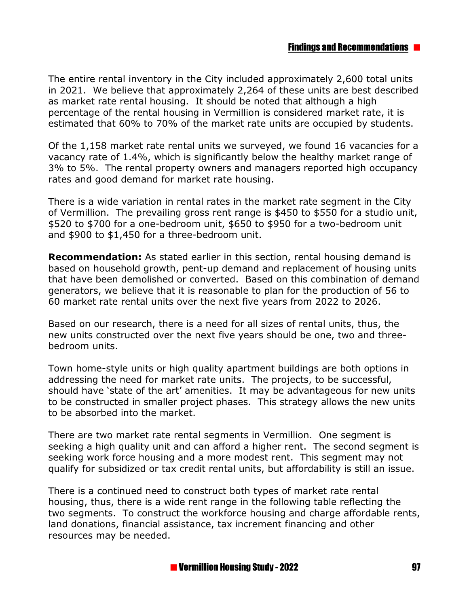The entire rental inventory in the City included approximately 2,600 total units in 2021. We believe that approximately 2,264 of these units are best described as market rate rental housing. It should be noted that although a high percentage of the rental housing in Vermillion is considered market rate, it is estimated that 60% to 70% of the market rate units are occupied by students.

Of the 1,158 market rate rental units we surveyed, we found 16 vacancies for a vacancy rate of 1.4%, which is significantly below the healthy market range of 3% to 5%. The rental property owners and managers reported high occupancy rates and good demand for market rate housing.

There is a wide variation in rental rates in the market rate segment in the City of Vermillion. The prevailing gross rent range is \$450 to \$550 for a studio unit, \$520 to \$700 for a one-bedroom unit, \$650 to \$950 for a two-bedroom unit and \$900 to \$1,450 for a three-bedroom unit.

**Recommendation:** As stated earlier in this section, rental housing demand is based on household growth, pent-up demand and replacement of housing units that have been demolished or converted. Based on this combination of demand generators, we believe that it is reasonable to plan for the production of 56 to 60 market rate rental units over the next five years from 2022 to 2026.

Based on our research, there is a need for all sizes of rental units, thus, the new units constructed over the next five years should be one, two and threebedroom units.

Town home-style units or high quality apartment buildings are both options in addressing the need for market rate units. The projects, to be successful, should have 'state of the art' amenities. It may be advantageous for new units to be constructed in smaller project phases. This strategy allows the new units to be absorbed into the market.

There are two market rate rental segments in Vermillion. One segment is seeking a high quality unit and can afford a higher rent. The second segment is seeking work force housing and a more modest rent. This segment may not qualify for subsidized or tax credit rental units, but affordability is still an issue.

There is a continued need to construct both types of market rate rental housing, thus, there is a wide rent range in the following table reflecting the two segments. To construct the workforce housing and charge affordable rents, land donations, financial assistance, tax increment financing and other resources may be needed.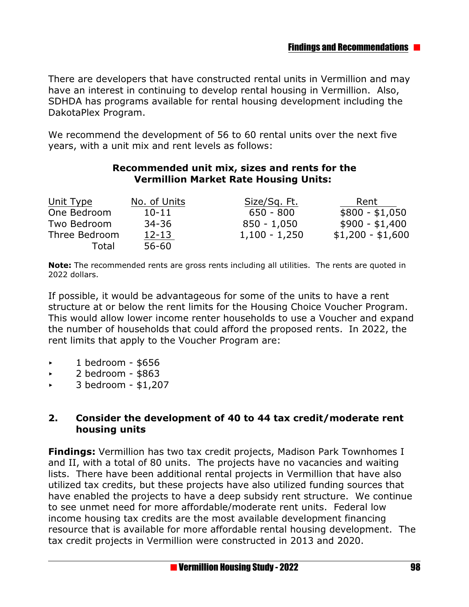There are developers that have constructed rental units in Vermillion and may have an interest in continuing to develop rental housing in Vermillion. Also, SDHDA has programs available for rental housing development including the DakotaPlex Program.

We recommend the development of 56 to 60 rental units over the next five years, with a unit mix and rent levels as follows:

#### **Recommended unit mix, sizes and rents for the Vermillion Market Rate Housing Units:**

| Unit Type     | No. of Units | Size/Sq. Ft.    | Rent              |
|---------------|--------------|-----------------|-------------------|
| One Bedroom   | $10 - 11$    | $650 - 800$     | $$800 - $1,050$   |
| Two Bedroom   | $34 - 36$    | $850 - 1,050$   | $$900 - $1,400$   |
| Three Bedroom | $12 - 13$    | $1,100 - 1,250$ | $$1,200 - $1,600$ |
| Total         | $56 - 60$    |                 |                   |

**Note:** The recommended rents are gross rents including all utilities. The rents are quoted in 2022 dollars.

If possible, it would be advantageous for some of the units to have a rent structure at or below the rent limits for the Housing Choice Voucher Program. This would allow lower income renter households to use a Voucher and expand the number of households that could afford the proposed rents.In 2022, the rent limits that apply to the Voucher Program are:

- $\cdot$  1 bedroom \$656
- $\sim 2$  bedroom \$863
- $\sim$  3 bedroom \$1,207

#### **2. Consider the development of 40 to 44 tax credit/moderate rent housing units**

**Findings:** Vermillion has two tax credit projects, Madison Park Townhomes I and II, with a total of 80 units. The projects have no vacancies and waiting lists. There have been additional rental projects in Vermillion that have also utilized tax credits, but these projects have also utilized funding sources that have enabled the projects to have a deep subsidy rent structure. We continue to see unmet need for more affordable/moderate rent units. Federal low income housing tax credits are the most available development financing resource that is available for more affordable rental housing development. The tax credit projects in Vermillion were constructed in 2013 and 2020.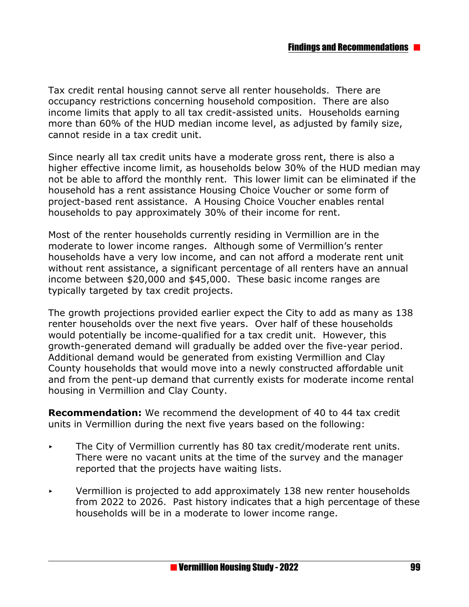Tax credit rental housing cannot serve all renter households. There are occupancy restrictions concerning household composition. There are also income limits that apply to all tax credit-assisted units. Households earning more than 60% of the HUD median income level, as adjusted by family size, cannot reside in a tax credit unit.

Since nearly all tax credit units have a moderate gross rent, there is also a higher effective income limit, as households below 30% of the HUD median may not be able to afford the monthly rent. This lower limit can be eliminated if the household has a rent assistance Housing Choice Voucher or some form of project-based rent assistance. A Housing Choice Voucher enables rental households to pay approximately 30% of their income for rent.

Most of the renter households currently residing in Vermillion are in the moderate to lower income ranges. Although some of Vermillion's renter households have a very low income, and can not afford a moderate rent unit without rent assistance, a significant percentage of all renters have an annual income between \$20,000 and \$45,000. These basic income ranges are typically targeted by tax credit projects.

The growth projections provided earlier expect the City to add as many as 138 renter households over the next five years. Over half of these households would potentially be income-qualified for a tax credit unit. However, this growth-generated demand will gradually be added over the five-year period. Additional demand would be generated from existing Vermillion and Clay County households that would move into a newly constructed affordable unit and from the pent-up demand that currently exists for moderate income rental housing in Vermillion and Clay County.

**Recommendation:** We recommend the development of 40 to 44 tax credit units in Vermillion during the next five years based on the following:

- $\triangleright$  The City of Vermillion currently has 80 tax credit/moderate rent units. There were no vacant units at the time of the survey and the manager reported that the projects have waiting lists.
- $\triangleright$  Vermillion is projected to add approximately 138 new renter households from 2022 to 2026. Past history indicates that a high percentage of these households will be in a moderate to lower income range.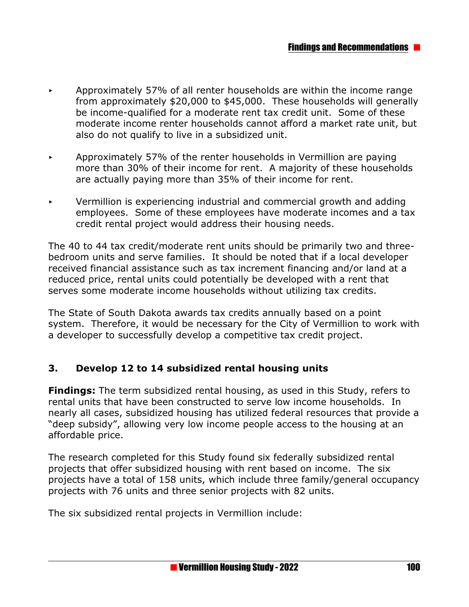- < Approximately 57% of all renter households are within the income range from approximately \$20,000 to \$45,000. These households will generally be income-qualified for a moderate rent tax credit unit. Some of these moderate income renter households cannot afford a market rate unit, but also do not qualify to live in a subsidized unit.
- $\rightarrow$  Approximately 57% of the renter households in Vermillion are paying more than 30% of their income for rent. A majority of these households are actually paying more than 35% of their income for rent.
- $\triangleright$  Vermillion is experiencing industrial and commercial growth and adding employees. Some of these employees have moderate incomes and a tax credit rental project would address their housing needs.

The 40 to 44 tax credit/moderate rent units should be primarily two and threebedroom units and serve families. It should be noted that if a local developer received financial assistance such as tax increment financing and/or land at a reduced price, rental units could potentially be developed with a rent that serves some moderate income households without utilizing tax credits.

The State of South Dakota awards tax credits annually based on a point system. Therefore, it would be necessary for the City of Vermillion to work with a developer to successfully develop a competitive tax credit project.

#### **3. Develop 12 to 14 subsidized rental housing units**

**Findings:** The term subsidized rental housing, as used in this Study, refers to rental units that have been constructed to serve low income households. In nearly all cases, subsidized housing has utilized federal resources that provide a "deep subsidy", allowing very low income people access to the housing at an affordable price.

The research completed for this Study found six federally subsidized rental projects that offer subsidized housing with rent based on income. The six projects have a total of 158 units, which include three family/general occupancy projects with 76 units and three senior projects with 82 units.

The six subsidized rental projects in Vermillion include: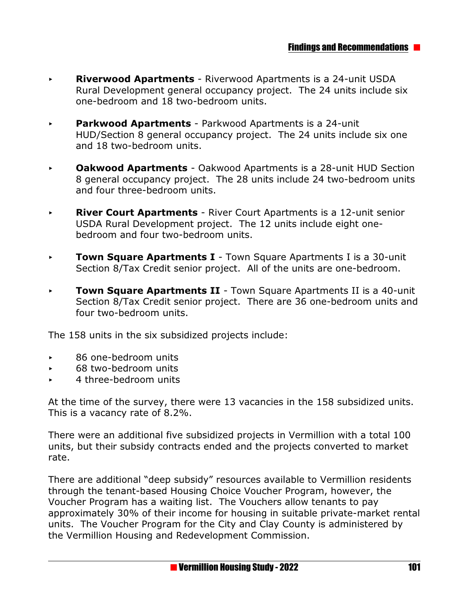- **Riverwood Apartments** Riverwood Apartments is a 24-unit USDA Rural Development general occupancy project. The 24 units include six one-bedroom and 18 two-bedroom units.
- < **Parkwood Apartments**  Parkwood Apartments is a 24-unit HUD/Section 8 general occupancy project. The 24 units include six one and 18 two-bedroom units.
- **Dakwood Apartments** Oakwood Apartments is a 28-unit HUD Section 8 general occupancy project. The 28 units include 24 two-bedroom units and four three-bedroom units.
- **River Court Apartments** River Court Apartments is a 12-unit senior USDA Rural Development project. The 12 units include eight onebedroom and four two-bedroom units.
- **Town Square Apartments I** Town Square Apartments I is a 30-unit Section 8/Tax Credit senior project. All of the units are one-bedroom.
- **Town Square Apartments II** Town Square Apartments II is a 40-unit Section 8/Tax Credit senior project. There are 36 one-bedroom units and four two-bedroom units.

The 158 units in the six subsidized projects include:

- ▶ 86 one-bedroom units
- ▶ 68 two-bedroom units
- < 4 three-bedroom units

At the time of the survey, there were 13 vacancies in the 158 subsidized units. This is a vacancy rate of 8.2%.

There were an additional five subsidized projects in Vermillion with a total 100 units, but their subsidy contracts ended and the projects converted to market rate.

There are additional "deep subsidy" resources available to Vermillion residents through the tenant-based Housing Choice Voucher Program, however, the Voucher Program has a waiting list. The Vouchers allow tenants to pay approximately 30% of their income for housing in suitable private-market rental units. The Voucher Program for the City and Clay County is administered by the Vermillion Housing and Redevelopment Commission.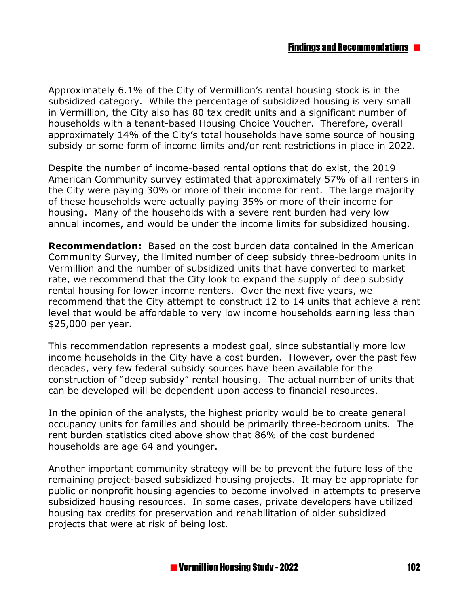Approximately 6.1% of the City of Vermillion's rental housing stock is in the subsidized category. While the percentage of subsidized housing is very small in Vermillion, the City also has 80 tax credit units and a significant number of households with a tenant-based Housing Choice Voucher. Therefore, overall approximately 14% of the City's total households have some source of housing subsidy or some form of income limits and/or rent restrictions in place in 2022.

Despite the number of income-based rental options that do exist, the 2019 American Community survey estimated that approximately 57% of all renters in the City were paying 30% or more of their income for rent. The large majority of these households were actually paying 35% or more of their income for housing. Many of the households with a severe rent burden had very low annual incomes, and would be under the income limits for subsidized housing.

**Recommendation:** Based on the cost burden data contained in the American Community Survey, the limited number of deep subsidy three-bedroom units in Vermillion and the number of subsidized units that have converted to market rate, we recommend that the City look to expand the supply of deep subsidy rental housing for lower income renters. Over the next five years, we recommend that the City attempt to construct 12 to 14 units that achieve a rent level that would be affordable to very low income households earning less than \$25,000 per year.

This recommendation represents a modest goal, since substantially more low income households in the City have a cost burden. However, over the past few decades, very few federal subsidy sources have been available for the construction of "deep subsidy" rental housing. The actual number of units that can be developed will be dependent upon access to financial resources.

In the opinion of the analysts, the highest priority would be to create general occupancy units for families and should be primarily three-bedroom units. The rent burden statistics cited above show that 86% of the cost burdened households are age 64 and younger.

Another important community strategy will be to prevent the future loss of the remaining project-based subsidized housing projects. It may be appropriate for public or nonprofit housing agencies to become involved in attempts to preserve subsidized housing resources. In some cases, private developers have utilized housing tax credits for preservation and rehabilitation of older subsidized projects that were at risk of being lost.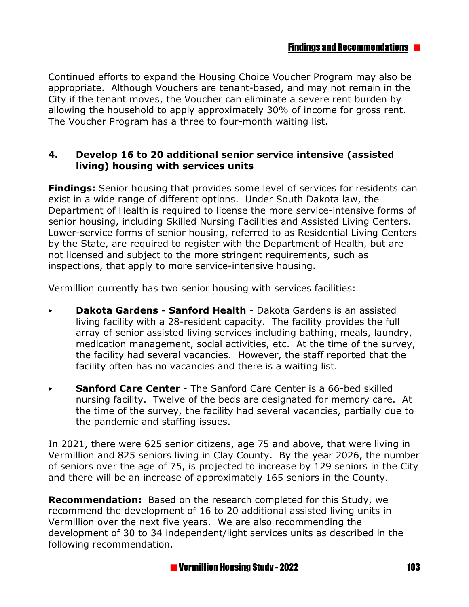Continued efforts to expand the Housing Choice Voucher Program may also be appropriate. Although Vouchers are tenant-based, and may not remain in the City if the tenant moves, the Voucher can eliminate a severe rent burden by allowing the household to apply approximately 30% of income for gross rent. The Voucher Program has a three to four-month waiting list.

#### **4. Develop 16 to 20 additional senior service intensive (assisted living) housing with services units**

**Findings:** Senior housing that provides some level of services for residents can exist in a wide range of different options. Under South Dakota law, the Department of Health is required to license the more service-intensive forms of senior housing, including Skilled Nursing Facilities and Assisted Living Centers. Lower-service forms of senior housing, referred to as Residential Living Centers by the State, are required to register with the Department of Health, but are not licensed and subject to the more stringent requirements, such as inspections, that apply to more service-intensive housing.

Vermillion currently has two senior housing with services facilities:

- < **Dakota Gardens Sanford Health**  Dakota Gardens is an assisted living facility with a 28-resident capacity. The facility provides the full array of senior assisted living services including bathing, meals, laundry, medication management, social activities, etc. At the time of the survey, the facility had several vacancies. However, the staff reported that the facility often has no vacancies and there is a waiting list.
- **Sanford Care Center** The Sanford Care Center is a 66-bed skilled nursing facility. Twelve of the beds are designated for memory care. At the time of the survey, the facility had several vacancies, partially due to the pandemic and staffing issues.

In 2021, there were 625 senior citizens, age 75 and above, that were living in Vermillion and 825 seniors living in Clay County. By the year 2026, the number of seniors over the age of 75, is projected to increase by 129 seniors in the City and there will be an increase of approximately 165 seniors in the County.

**Recommendation:** Based on the research completed for this Study, we recommend the development of 16 to 20 additional assisted living units in Vermillion over the next five years. We are also recommending the development of 30 to 34 independent/light services units as described in the following recommendation.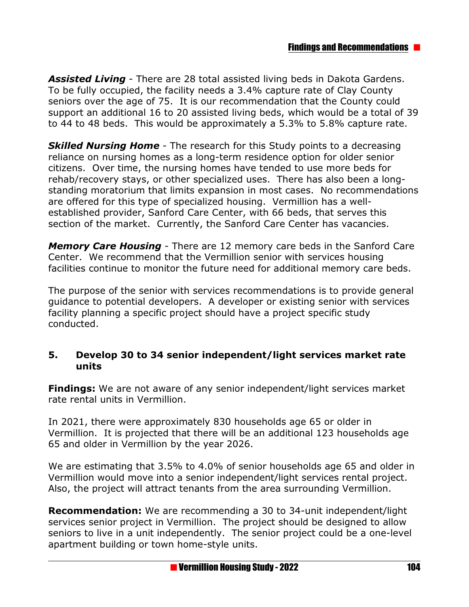*Assisted Living* - There are 28 total assisted living beds in Dakota Gardens. To be fully occupied, the facility needs a 3.4% capture rate of Clay County seniors over the age of 75. It is our recommendation that the County could support an additional 16 to 20 assisted living beds, which would be a total of 39 to 44 to 48 beds. This would be approximately a 5.3% to 5.8% capture rate.

**Skilled Nursing Home** - The research for this Study points to a decreasing reliance on nursing homes as a long-term residence option for older senior citizens. Over time, the nursing homes have tended to use more beds for rehab/recovery stays, or other specialized uses. There has also been a longstanding moratorium that limits expansion in most cases. No recommendations are offered for this type of specialized housing. Vermillion has a wellestablished provider, Sanford Care Center, with 66 beds, that serves this section of the market. Currently, the Sanford Care Center has vacancies.

*Memory Care Housing* - There are 12 memory care beds in the Sanford Care Center. We recommend that the Vermillion senior with services housing facilities continue to monitor the future need for additional memory care beds.

The purpose of the senior with services recommendations is to provide general guidance to potential developers. A developer or existing senior with services facility planning a specific project should have a project specific study conducted.

#### **5. Develop 30 to 34 senior independent/light services market rate units**

**Findings:** We are not aware of any senior independent/light services market rate rental units in Vermillion.

In 2021, there were approximately 830 households age 65 or older in Vermillion. It is projected that there will be an additional 123 households age 65 and older in Vermillion by the year 2026.

We are estimating that 3.5% to 4.0% of senior households age 65 and older in Vermillion would move into a senior independent/light services rental project. Also, the project will attract tenants from the area surrounding Vermillion.

**Recommendation:** We are recommending a 30 to 34-unit independent/light services senior project in Vermillion. The project should be designed to allow seniors to live in a unit independently. The senior project could be a one-level apartment building or town home-style units.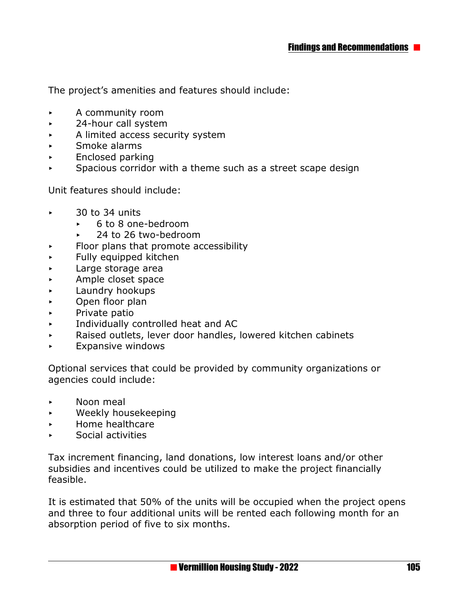The project's amenities and features should include:

- **A** community room
- **Example 24-hour call system**
- $\triangleright$  A limited access security system
- **EXECUTE:** Smoke alarms
- **Enclosed parking**
- $\triangleright$  Spacious corridor with a theme such as a street scape design

Unit features should include:

- $\sim$  30 to 34 units
	- ► 6 to 8 one-bedroom
	- 24 to 26 two-bedroom
- $\triangleright$  Floor plans that promote accessibility
- $\blacktriangleright$  Fully equipped kitchen
- < Large storage area
- **Ample closet space**
- **EXECUTE:** Laundry hookups
- **Den floor plan**
- **EXECUTE:** Private patio
- < Individually controlled heat and AC
- $\triangleright$  Raised outlets, lever door handles, lowered kitchen cabinets
- **Expansive windows**

Optional services that could be provided by community organizations or agencies could include:

- < Noon meal
- < Weekly housekeeping
- < Home healthcare
- < Social activities

Tax increment financing, land donations, low interest loans and/or other subsidies and incentives could be utilized to make the project financially feasible.

It is estimated that 50% of the units will be occupied when the project opens and three to four additional units will be rented each following month for an absorption period of five to six months.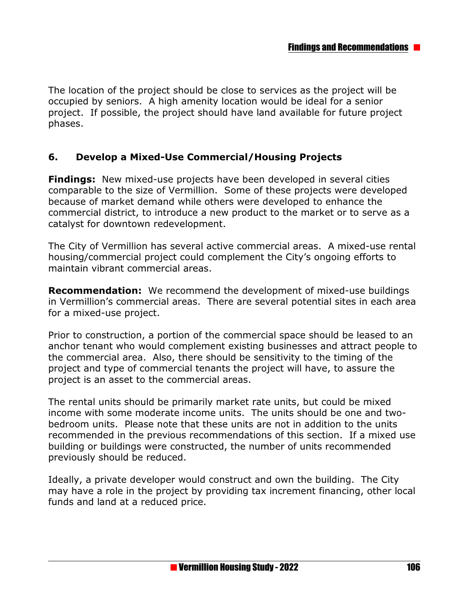The location of the project should be close to services as the project will be occupied by seniors. A high amenity location would be ideal for a senior project. If possible, the project should have land available for future project phases.

#### **6. Develop a Mixed-Use Commercial/Housing Projects**

**Findings:** New mixed-use projects have been developed in several cities comparable to the size of Vermillion. Some of these projects were developed because of market demand while others were developed to enhance the commercial district, to introduce a new product to the market or to serve as a catalyst for downtown redevelopment.

The City of Vermillion has several active commercial areas. A mixed-use rental housing/commercial project could complement the City's ongoing efforts to maintain vibrant commercial areas.

**Recommendation:** We recommend the development of mixed-use buildings in Vermillion's commercial areas. There are several potential sites in each area for a mixed-use project.

Prior to construction, a portion of the commercial space should be leased to an anchor tenant who would complement existing businesses and attract people to the commercial area. Also, there should be sensitivity to the timing of the project and type of commercial tenants the project will have, to assure the project is an asset to the commercial areas.

The rental units should be primarily market rate units, but could be mixed income with some moderate income units. The units should be one and twobedroom units. Please note that these units are not in addition to the units recommended in the previous recommendations of this section. If a mixed use building or buildings were constructed, the number of units recommended previously should be reduced.

Ideally, a private developer would construct and own the building. The City may have a role in the project by providing tax increment financing, other local funds and land at a reduced price.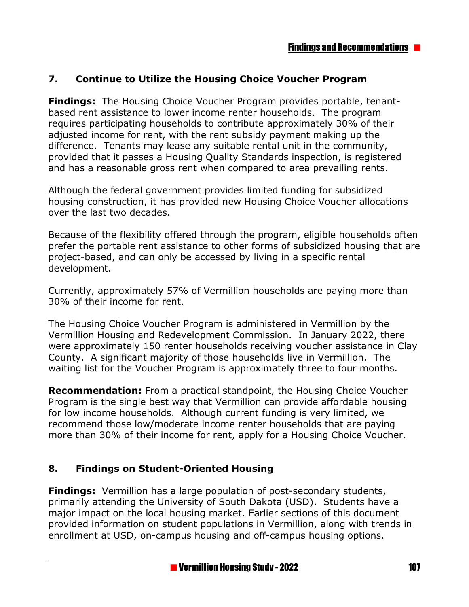#### **7. Continue to Utilize the Housing Choice Voucher Program**

**Findings:** The Housing Choice Voucher Program provides portable, tenantbased rent assistance to lower income renter households. The program requires participating households to contribute approximately 30% of their adjusted income for rent, with the rent subsidy payment making up the difference. Tenants may lease any suitable rental unit in the community, provided that it passes a Housing Quality Standards inspection, is registered and has a reasonable gross rent when compared to area prevailing rents.

Although the federal government provides limited funding for subsidized housing construction, it has provided new Housing Choice Voucher allocations over the last two decades.

Because of the flexibility offered through the program, eligible households often prefer the portable rent assistance to other forms of subsidized housing that are project-based, and can only be accessed by living in a specific rental development.

Currently, approximately 57% of Vermillion households are paying more than 30% of their income for rent.

The Housing Choice Voucher Program is administered in Vermillion by the Vermillion Housing and Redevelopment Commission. In January 2022, there were approximately 150 renter households receiving voucher assistance in Clay County. A significant majority of those households live in Vermillion. The waiting list for the Voucher Program is approximately three to four months.

**Recommendation:** From a practical standpoint, the Housing Choice Voucher Program is the single best way that Vermillion can provide affordable housing for low income households. Although current funding is very limited, we recommend those low/moderate income renter households that are paying more than 30% of their income for rent, apply for a Housing Choice Voucher.

#### **8. Findings on Student-Oriented Housing**

**Findings:** Vermillion has a large population of post-secondary students, primarily attending the University of South Dakota (USD). Students have a major impact on the local housing market. Earlier sections of this document provided information on student populations in Vermillion, along with trends in enrollment at USD, on-campus housing and off-campus housing options.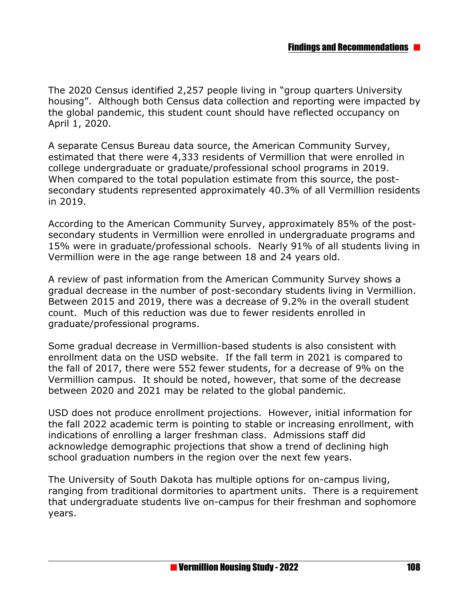The 2020 Census identified 2,257 people living in "group quarters University housing". Although both Census data collection and reporting were impacted by the global pandemic, this student count should have reflected occupancy on April 1, 2020.

A separate Census Bureau data source, the American Community Survey, estimated that there were 4,333 residents of Vermillion that were enrolled in college undergraduate or graduate/professional school programs in 2019. When compared to the total population estimate from this source, the postsecondary students represented approximately 40.3% of all Vermillion residents in 2019.

According to the American Community Survey, approximately 85% of the postsecondary students in Vermillion were enrolled in undergraduate programs and 15% were in graduate/professional schools. Nearly 91% of all students living in Vermillion were in the age range between 18 and 24 years old.

A review of past information from the American Community Survey shows a gradual decrease in the number of post-secondary students living in Vermillion. Between 2015 and 2019, there was a decrease of 9.2% in the overall student count. Much of this reduction was due to fewer residents enrolled in graduate/professional programs.

Some gradual decrease in Vermillion-based students is also consistent with enrollment data on the USD website. If the fall term in 2021 is compared to the fall of 2017, there were 552 fewer students, for a decrease of 9% on the Vermillion campus. It should be noted, however, that some of the decrease between 2020 and 2021 may be related to the global pandemic.

USD does not produce enrollment projections. However, initial information for the fall 2022 academic term is pointing to stable or increasing enrollment, with indications of enrolling a larger freshman class. Admissions staff did acknowledge demographic projections that show a trend of declining high school graduation numbers in the region over the next few years.

The University of South Dakota has multiple options for on-campus living, ranging from traditional dormitories to apartment units. There is a requirement that undergraduate students live on-campus for their freshman and sophomore years.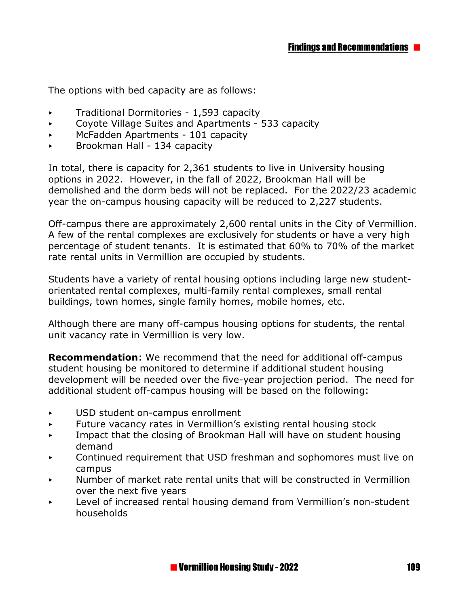The options with bed capacity are as follows:

- $\triangleright$  Traditional Dormitories 1,593 capacity
- $\sim$  Coyote Village Suites and Apartments 533 capacity
- **McFadden Apartments 101 capacity**
- < Brookman Hall 134 capacity

In total, there is capacity for 2,361 students to live in University housing options in 2022. However, in the fall of 2022, Brookman Hall will be demolished and the dorm beds will not be replaced. For the 2022/23 academic year the on-campus housing capacity will be reduced to 2,227 students.

Off-campus there are approximately 2,600 rental units in the City of Vermillion. A few of the rental complexes are exclusively for students or have a very high percentage of student tenants. It is estimated that 60% to 70% of the market rate rental units in Vermillion are occupied by students.

Students have a variety of rental housing options including large new studentorientated rental complexes, multi-family rental complexes, small rental buildings, town homes, single family homes, mobile homes, etc.

Although there are many off-campus housing options for students, the rental unit vacancy rate in Vermillion is very low.

**Recommendation**: We recommend that the need for additional off-campus student housing be monitored to determine if additional student housing development will be needed over the five-year projection period. The need for additional student off-campus housing will be based on the following:

- < USD student on-campus enrollment
- $\triangleright$  Future vacancy rates in Vermillion's existing rental housing stock
- $\overline{\phantom{a}}$  Impact that the closing of Brookman Hall will have on student housing demand
- < Continued requirement that USD freshman and sophomores must live on campus
- Number of market rate rental units that will be constructed in Vermillion over the next five years
- **Example 2** Level of increased rental housing demand from Vermillion's non-student households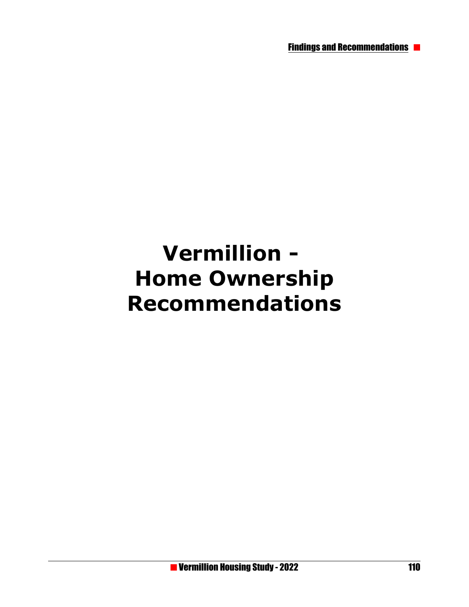Findings and Recommendations

# **Vermillion - Home Ownership Recommendations**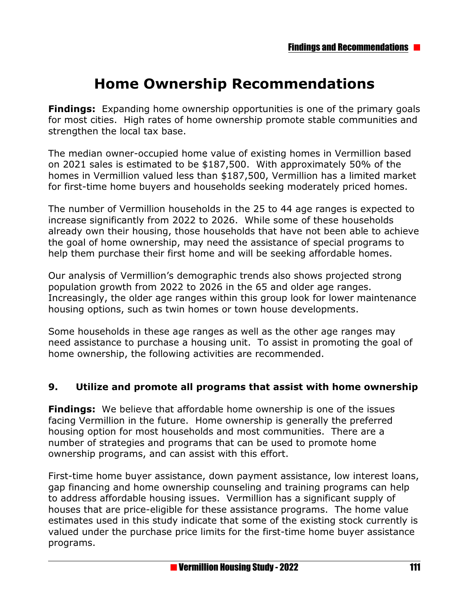# **Home Ownership Recommendations**

**Findings:** Expanding home ownership opportunities is one of the primary goals for most cities. High rates of home ownership promote stable communities and strengthen the local tax base.

The median owner-occupied home value of existing homes in Vermillion based on 2021 sales is estimated to be \$187,500. With approximately 50% of the homes in Vermillion valued less than \$187,500, Vermillion has a limited market for first-time home buyers and households seeking moderately priced homes.

The number of Vermillion households in the 25 to 44 age ranges is expected to increase significantly from 2022 to 2026. While some of these households already own their housing, those households that have not been able to achieve the goal of home ownership, may need the assistance of special programs to help them purchase their first home and will be seeking affordable homes.

Our analysis of Vermillion's demographic trends also shows projected strong population growth from 2022 to 2026 in the 65 and older age ranges. Increasingly, the older age ranges within this group look for lower maintenance housing options, such as twin homes or town house developments.

Some households in these age ranges as well as the other age ranges may need assistance to purchase a housing unit. To assist in promoting the goal of home ownership, the following activities are recommended.

#### **9. Utilize and promote all programs that assist with home ownership**

**Findings:** We believe that affordable home ownership is one of the issues facing Vermillion in the future. Home ownership is generally the preferred housing option for most households and most communities. There are a number of strategies and programs that can be used to promote home ownership programs, and can assist with this effort.

First-time home buyer assistance, down payment assistance, low interest loans, gap financing and home ownership counseling and training programs can help to address affordable housing issues. Vermillion has a significant supply of houses that are price-eligible for these assistance programs. The home value estimates used in this study indicate that some of the existing stock currently is valued under the purchase price limits for the first-time home buyer assistance programs.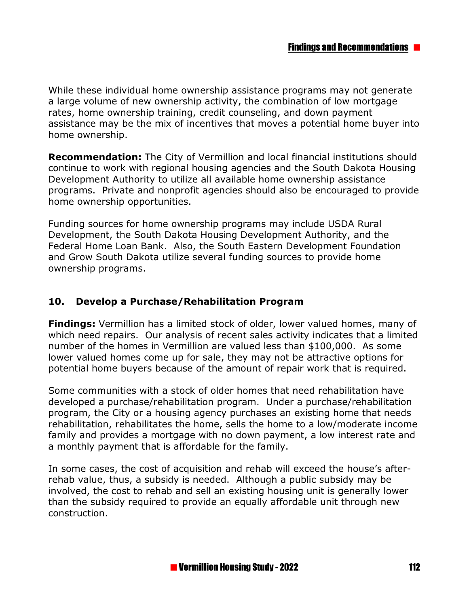While these individual home ownership assistance programs may not generate a large volume of new ownership activity, the combination of low mortgage rates, home ownership training, credit counseling, and down payment assistance may be the mix of incentives that moves a potential home buyer into home ownership.

**Recommendation:** The City of Vermillion and local financial institutions should continue to work with regional housing agencies and the South Dakota Housing Development Authority to utilize all available home ownership assistance programs. Private and nonprofit agencies should also be encouraged to provide home ownership opportunities.

Funding sources for home ownership programs may include USDA Rural Development, the South Dakota Housing Development Authority, and the Federal Home Loan Bank. Also, the South Eastern Development Foundation and Grow South Dakota utilize several funding sources to provide home ownership programs.

## **10. Develop a Purchase/Rehabilitation Program**

**Findings:** Vermillion has a limited stock of older, lower valued homes, many of which need repairs. Our analysis of recent sales activity indicates that a limited number of the homes in Vermillion are valued less than \$100,000. As some lower valued homes come up for sale, they may not be attractive options for potential home buyers because of the amount of repair work that is required.

Some communities with a stock of older homes that need rehabilitation have developed a purchase/rehabilitation program. Under a purchase/rehabilitation program, the City or a housing agency purchases an existing home that needs rehabilitation, rehabilitates the home, sells the home to a low/moderate income family and provides a mortgage with no down payment, a low interest rate and a monthly payment that is affordable for the family.

In some cases, the cost of acquisition and rehab will exceed the house's afterrehab value, thus, a subsidy is needed. Although a public subsidy may be involved, the cost to rehab and sell an existing housing unit is generally lower than the subsidy required to provide an equally affordable unit through new construction.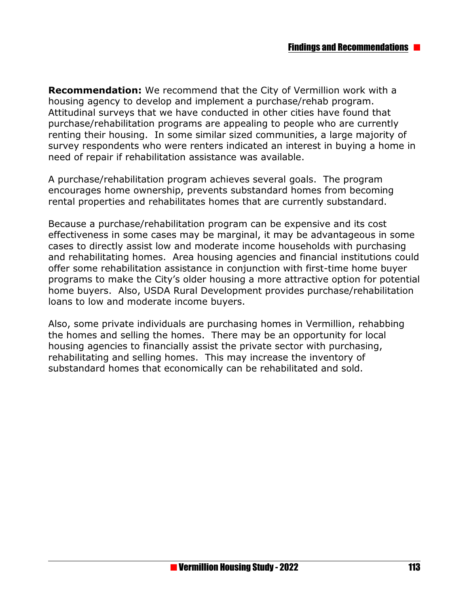**Recommendation:** We recommend that the City of Vermillion work with a housing agency to develop and implement a purchase/rehab program. Attitudinal surveys that we have conducted in other cities have found that purchase/rehabilitation programs are appealing to people who are currently renting their housing. In some similar sized communities, a large majority of survey respondents who were renters indicated an interest in buying a home in need of repair if rehabilitation assistance was available.

A purchase/rehabilitation program achieves several goals. The program encourages home ownership, prevents substandard homes from becoming rental properties and rehabilitates homes that are currently substandard.

Because a purchase/rehabilitation program can be expensive and its cost effectiveness in some cases may be marginal, it may be advantageous in some cases to directly assist low and moderate income households with purchasing and rehabilitating homes. Area housing agencies and financial institutions could offer some rehabilitation assistance in conjunction with first-time home buyer programs to make the City's older housing a more attractive option for potential home buyers. Also, USDA Rural Development provides purchase/rehabilitation loans to low and moderate income buyers.

Also, some private individuals are purchasing homes in Vermillion, rehabbing the homes and selling the homes. There may be an opportunity for local housing agencies to financially assist the private sector with purchasing, rehabilitating and selling homes. This may increase the inventory of substandard homes that economically can be rehabilitated and sold.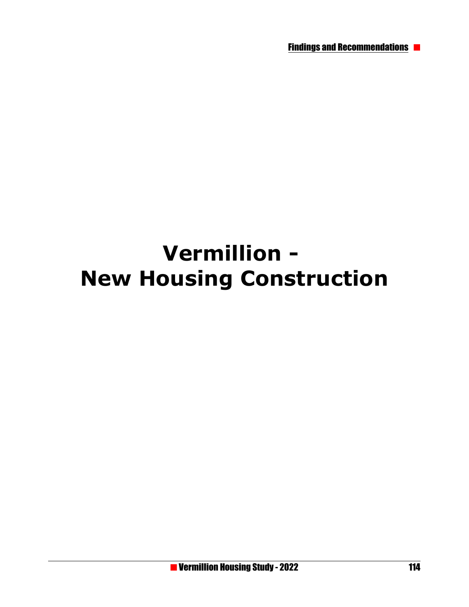Findings and Recommendations

# **Vermillion - New Housing Construction**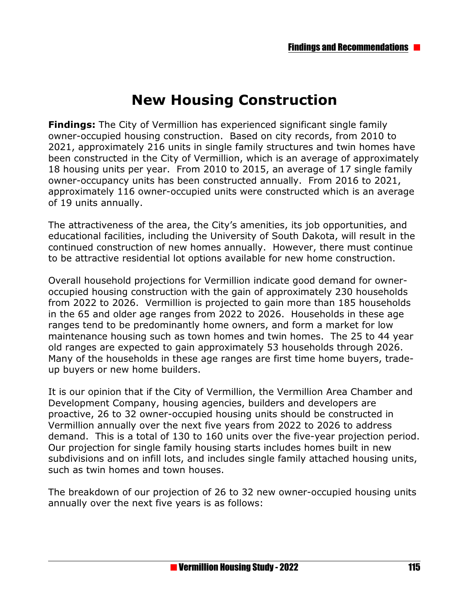# **New Housing Construction**

**Findings:** The City of Vermillion has experienced significant single family owner-occupied housing construction. Based on city records, from 2010 to 2021, approximately 216 units in single family structures and twin homes have been constructed in the City of Vermillion, which is an average of approximately 18 housing units per year. From 2010 to 2015, an average of 17 single family owner-occupancy units has been constructed annually. From 2016 to 2021, approximately 116 owner-occupied units were constructed which is an average of 19 units annually.

The attractiveness of the area, the City's amenities, its job opportunities, and educational facilities, including the University of South Dakota, will result in the continued construction of new homes annually. However, there must continue to be attractive residential lot options available for new home construction.

Overall household projections for Vermillion indicate good demand for owneroccupied housing construction with the gain of approximately 230 households from 2022 to 2026. Vermillion is projected to gain more than 185 households in the 65 and older age ranges from 2022 to 2026. Households in these age ranges tend to be predominantly home owners, and form a market for low maintenance housing such as town homes and twin homes. The 25 to 44 year old ranges are expected to gain approximately 53 households through 2026. Many of the households in these age ranges are first time home buyers, tradeup buyers or new home builders.

It is our opinion that if the City of Vermillion, the Vermillion Area Chamber and Development Company, housing agencies, builders and developers are proactive, 26 to 32 owner-occupied housing units should be constructed in Vermillion annually over the next five years from 2022 to 2026 to address demand. This is a total of 130 to 160 units over the five-year projection period. Our projection for single family housing starts includes homes built in new subdivisions and on infill lots, and includes single family attached housing units, such as twin homes and town houses.

The breakdown of our projection of 26 to 32 new owner-occupied housing units annually over the next five years is as follows: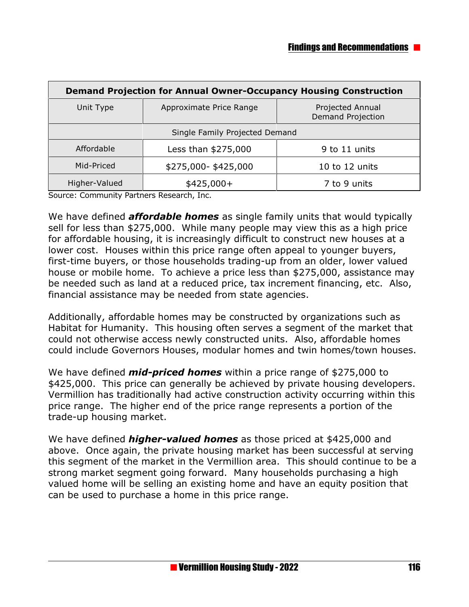| <b>Demand Projection for Annual Owner-Occupancy Housing Construction</b> |                         |                                       |
|--------------------------------------------------------------------------|-------------------------|---------------------------------------|
| Unit Type                                                                | Approximate Price Range | Projected Annual<br>Demand Projection |
| Single Family Projected Demand                                           |                         |                                       |
| Affordable                                                               | Less than \$275,000     | 9 to 11 units                         |
| Mid-Priced                                                               | \$275,000-\$425,000     | 10 to 12 units                        |
| Higher-Valued                                                            | $$425,000+$             | 7 to 9 units                          |

Source: Community Partners Research, Inc.

We have defined *affordable homes* as single family units that would typically sell for less than \$275,000. While many people may view this as a high price for affordable housing, it is increasingly difficult to construct new houses at a lower cost. Houses within this price range often appeal to younger buyers, first-time buyers, or those households trading-up from an older, lower valued house or mobile home. To achieve a price less than \$275,000, assistance may be needed such as land at a reduced price, tax increment financing, etc. Also, financial assistance may be needed from state agencies.

Additionally, affordable homes may be constructed by organizations such as Habitat for Humanity. This housing often serves a segment of the market that could not otherwise access newly constructed units. Also, affordable homes could include Governors Houses, modular homes and twin homes/town houses.

We have defined *mid-priced homes* within a price range of \$275,000 to \$425,000. This price can generally be achieved by private housing developers. Vermillion has traditionally had active construction activity occurring within this price range. The higher end of the price range represents a portion of the trade-up housing market.

We have defined *higher-valued homes* as those priced at \$425,000 and above. Once again, the private housing market has been successful at serving this segment of the market in the Vermillion area. This should continue to be a strong market segment going forward. Many households purchasing a high valued home will be selling an existing home and have an equity position that can be used to purchase a home in this price range.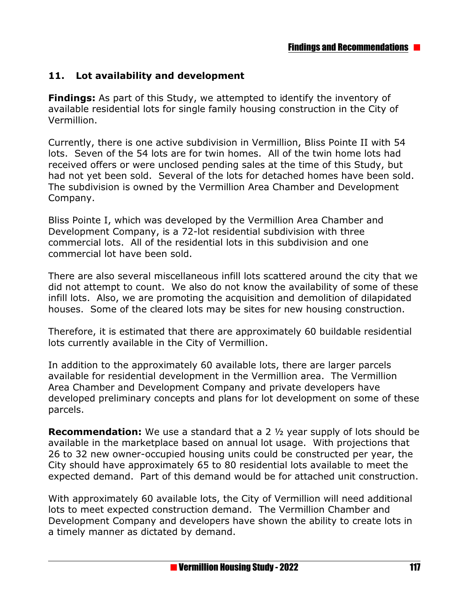## **11. Lot availability and development**

**Findings:** As part of this Study, we attempted to identify the inventory of available residential lots for single family housing construction in the City of Vermillion.

Currently, there is one active subdivision in Vermillion, Bliss Pointe II with 54 lots. Seven of the 54 lots are for twin homes. All of the twin home lots had received offers or were unclosed pending sales at the time of this Study, but had not yet been sold. Several of the lots for detached homes have been sold. The subdivision is owned by the Vermillion Area Chamber and Development Company.

Bliss Pointe I, which was developed by the Vermillion Area Chamber and Development Company, is a 72-lot residential subdivision with three commercial lots. All of the residential lots in this subdivision and one commercial lot have been sold.

There are also several miscellaneous infill lots scattered around the city that we did not attempt to count. We also do not know the availability of some of these infill lots. Also, we are promoting the acquisition and demolition of dilapidated houses. Some of the cleared lots may be sites for new housing construction.

Therefore, it is estimated that there are approximately 60 buildable residential lots currently available in the City of Vermillion.

In addition to the approximately 60 available lots, there are larger parcels available for residential development in the Vermillion area. The Vermillion Area Chamber and Development Company and private developers have developed preliminary concepts and plans for lot development on some of these parcels.

**Recommendation:** We use a standard that a 2 ½ year supply of lots should be available in the marketplace based on annual lot usage. With projections that 26 to 32 new owner-occupied housing units could be constructed per year, the City should have approximately 65 to 80 residential lots available to meet the expected demand. Part of this demand would be for attached unit construction.

With approximately 60 available lots, the City of Vermillion will need additional lots to meet expected construction demand. The Vermillion Chamber and Development Company and developers have shown the ability to create lots in a timely manner as dictated by demand.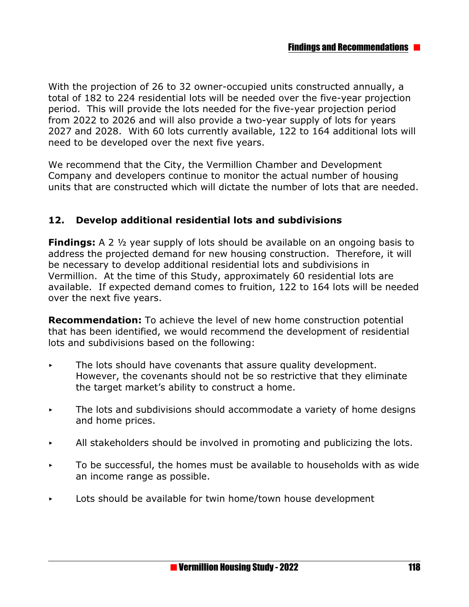With the projection of 26 to 32 owner-occupied units constructed annually, a total of 182 to 224 residential lots will be needed over the five-year projection period. This will provide the lots needed for the five-year projection period from 2022 to 2026 and will also provide a two-year supply of lots for years 2027 and 2028. With 60 lots currently available, 122 to 164 additional lots will need to be developed over the next five years.

We recommend that the City, the Vermillion Chamber and Development Company and developers continue to monitor the actual number of housing units that are constructed which will dictate the number of lots that are needed.

## **12. Develop additional residential lots and subdivisions**

**Findings:** A 2 ½ year supply of lots should be available on an ongoing basis to address the projected demand for new housing construction. Therefore, it will be necessary to develop additional residential lots and subdivisions in Vermillion. At the time of this Study, approximately 60 residential lots are available. If expected demand comes to fruition, 122 to 164 lots will be needed over the next five years.

**Recommendation:** To achieve the level of new home construction potential that has been identified, we would recommend the development of residential lots and subdivisions based on the following:

- $\triangleright$  The lots should have covenants that assure quality development. However, the covenants should not be so restrictive that they eliminate the target market's ability to construct a home.
- $\triangleright$  The lots and subdivisions should accommodate a variety of home designs and home prices.
- $\blacktriangleright$  All stakeholders should be involved in promoting and publicizing the lots.
- $\triangleright$  To be successful, the homes must be available to households with as wide an income range as possible.
- $\triangleright$  Lots should be available for twin home/town house development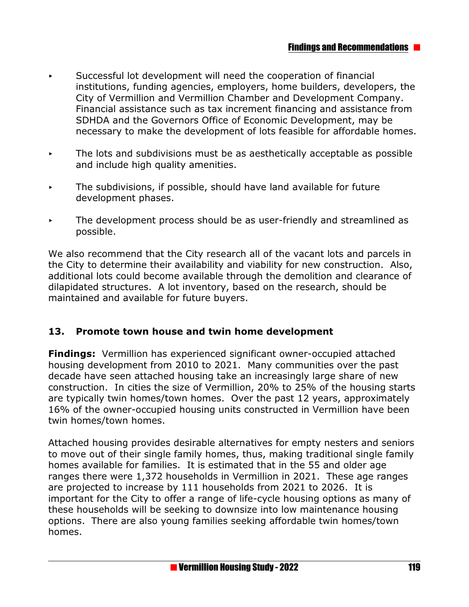- Successful lot development will need the cooperation of financial institutions, funding agencies, employers, home builders, developers, the City of Vermillion and Vermillion Chamber and Development Company. Financial assistance such as tax increment financing and assistance from SDHDA and the Governors Office of Economic Development, may be necessary to make the development of lots feasible for affordable homes.
- $\triangleright$  The lots and subdivisions must be as aesthetically acceptable as possible and include high quality amenities.
- $\triangleright$  The subdivisions, if possible, should have land available for future development phases.
- < The development process should be as user-friendly and streamlined as possible.

We also recommend that the City research all of the vacant lots and parcels in the City to determine their availability and viability for new construction. Also, additional lots could become available through the demolition and clearance of dilapidated structures. A lot inventory, based on the research, should be maintained and available for future buyers.

#### **13. Promote town house and twin home development**

**Findings:** Vermillion has experienced significant owner-occupied attached housing development from 2010 to 2021. Many communities over the past decade have seen attached housing take an increasingly large share of new construction. In cities the size of Vermillion, 20% to 25% of the housing starts are typically twin homes/town homes. Over the past 12 years, approximately 16% of the owner-occupied housing units constructed in Vermillion have been twin homes/town homes.

Attached housing provides desirable alternatives for empty nesters and seniors to move out of their single family homes, thus, making traditional single family homes available for families. It is estimated that in the 55 and older age ranges there were 1,372 households in Vermillion in 2021. These age ranges are projected to increase by 111 households from 2021 to 2026. It is important for the City to offer a range of life-cycle housing options as many of these households will be seeking to downsize into low maintenance housing options. There are also young families seeking affordable twin homes/town homes.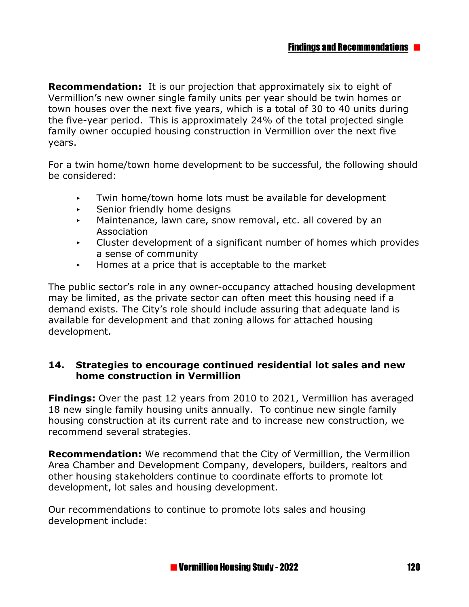**Recommendation:** It is our projection that approximately six to eight of Vermillion's new owner single family units per year should be twin homes or town houses over the next five years, which is a total of 30 to 40 units during the five-year period. This is approximately 24% of the total projected single family owner occupied housing construction in Vermillion over the next five years.

For a twin home/town home development to be successful, the following should be considered:

- $\triangleright$  Twin home/town home lots must be available for development
- $\triangleright$  Senior friendly home designs
- $\triangleright$  Maintenance, lawn care, snow removal, etc. all covered by an Association
- $\triangleright$  Cluster development of a significant number of homes which provides a sense of community
- $\blacktriangleright$  Homes at a price that is acceptable to the market

The public sector's role in any owner-occupancy attached housing development may be limited, as the private sector can often meet this housing need if a demand exists. The City's role should include assuring that adequate land is available for development and that zoning allows for attached housing development.

#### **14. Strategies to encourage continued residential lot sales and new home construction in Vermillion**

**Findings:** Over the past 12 years from 2010 to 2021, Vermillion has averaged 18 new single family housing units annually. To continue new single family housing construction at its current rate and to increase new construction, we recommend several strategies.

**Recommendation:** We recommend that the City of Vermillion, the Vermillion Area Chamber and Development Company, developers, builders, realtors and other housing stakeholders continue to coordinate efforts to promote lot development, lot sales and housing development.

Our recommendations to continue to promote lots sales and housing development include: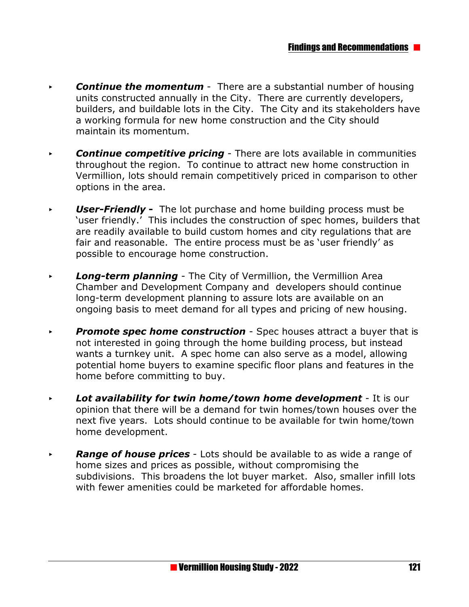- **Continue the momentum** There are a substantial number of housing units constructed annually in the City. There are currently developers, builders, and buildable lots in the City. The City and its stakeholders have a working formula for new home construction and the City should maintain its momentum.
- **Continue competitive pricing** There are lots available in communities throughout the region. To continue to attract new home construction in Vermillion, lots should remain competitively priced in comparison to other options in the area.
- *User-Friendly* The lot purchase and home building process must be 'user friendly.' This includes the construction of spec homes, builders that are readily available to build custom homes and city regulations that are fair and reasonable. The entire process must be as 'user friendly' as possible to encourage home construction.
- **Long-term planning** The City of Vermillion, the Vermillion Area Chamber and Development Company and developers should continue long-term development planning to assure lots are available on an ongoing basis to meet demand for all types and pricing of new housing.
- **Promote spec home construction** Spec houses attract a buyer that is not interested in going through the home building process, but instead wants a turnkey unit. A spec home can also serve as a model, allowing potential home buyers to examine specific floor plans and features in the home before committing to buy.
- **Lot availability for twin home/town home development** It is our opinion that there will be a demand for twin homes/town houses over the next five years. Lots should continue to be available for twin home/town home development.
- **Range of house prices** Lots should be available to as wide a range of home sizes and prices as possible, without compromising the subdivisions. This broadens the lot buyer market. Also, smaller infill lots with fewer amenities could be marketed for affordable homes.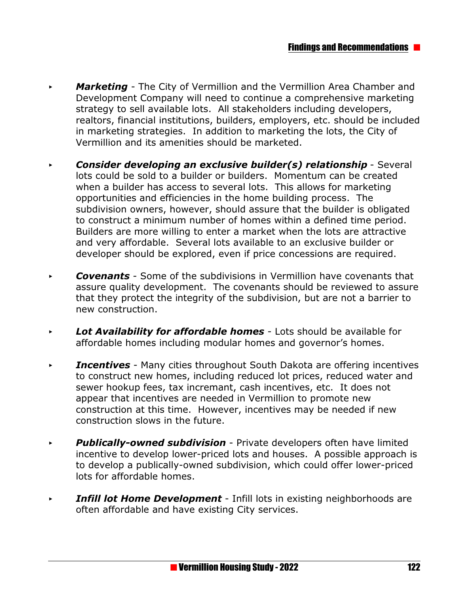- **Marketing** The City of Vermillion and the Vermillion Area Chamber and Development Company will need to continue a comprehensive marketing strategy to sell available lots. All stakeholders including developers, realtors, financial institutions, builders, employers, etc. should be included in marketing strategies. In addition to marketing the lots, the City of Vermillion and its amenities should be marketed.
- **Consider developing an exclusive builder(s) relationship Several** lots could be sold to a builder or builders. Momentum can be created when a builder has access to several lots. This allows for marketing opportunities and efficiencies in the home building process. The subdivision owners, however, should assure that the builder is obligated to construct a minimum number of homes within a defined time period. Builders are more willing to enter a market when the lots are attractive and very affordable. Several lots available to an exclusive builder or developer should be explored, even if price concessions are required.
- **Covenants** Some of the subdivisions in Vermillion have covenants that assure quality development. The covenants should be reviewed to assure that they protect the integrity of the subdivision, but are not a barrier to new construction.
- **Lot Availability for affordable homes** Lots should be available for affordable homes including modular homes and governor's homes.
- *Incentives* Many cities throughout South Dakota are offering incentives to construct new homes, including reduced lot prices, reduced water and sewer hookup fees, tax incremant, cash incentives, etc. It does not appear that incentives are needed in Vermillion to promote new construction at this time. However, incentives may be needed if new construction slows in the future.
- < *Publically-owned subdivision* Private developers often have limited incentive to develop lower-priced lots and houses. A possible approach is to develop a publically-owned subdivision, which could offer lower-priced lots for affordable homes.
- *FINFILL LOTE: Development* Infill lots in existing neighborhoods are often affordable and have existing City services.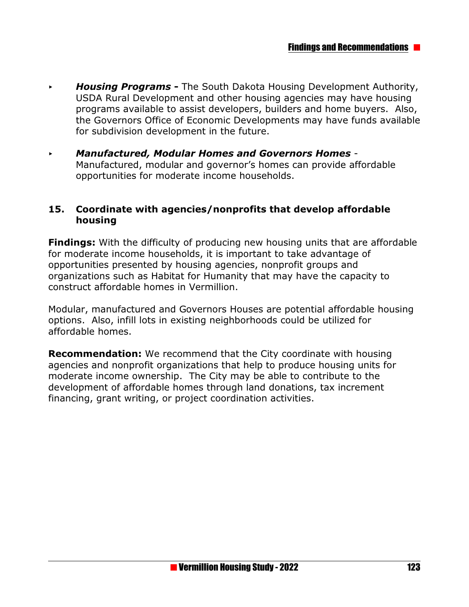- *Housing Programs The South Dakota Housing Development Authority,* USDA Rural Development and other housing agencies may have housing programs available to assist developers, builders and home buyers. Also, the Governors Office of Economic Developments may have funds available for subdivision development in the future.
- < *Manufactured, Modular Homes and Governors Homes*  Manufactured, modular and governor's homes can provide affordable opportunities for moderate income households.

#### **15. Coordinate with agencies/nonprofits that develop affordable housing**

**Findings:** With the difficulty of producing new housing units that are affordable for moderate income households, it is important to take advantage of opportunities presented by housing agencies, nonprofit groups and organizations such as Habitat for Humanity that may have the capacity to construct affordable homes in Vermillion.

Modular, manufactured and Governors Houses are potential affordable housing options. Also, infill lots in existing neighborhoods could be utilized for affordable homes.

**Recommendation:** We recommend that the City coordinate with housing agencies and nonprofit organizations that help to produce housing units for moderate income ownership. The City may be able to contribute to the development of affordable homes through land donations, tax increment financing, grant writing, or project coordination activities.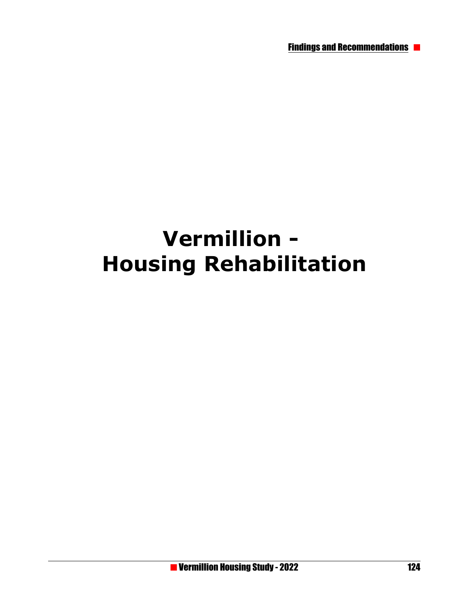Findings and Recommendations

# **Vermillion - Housing Rehabilitation**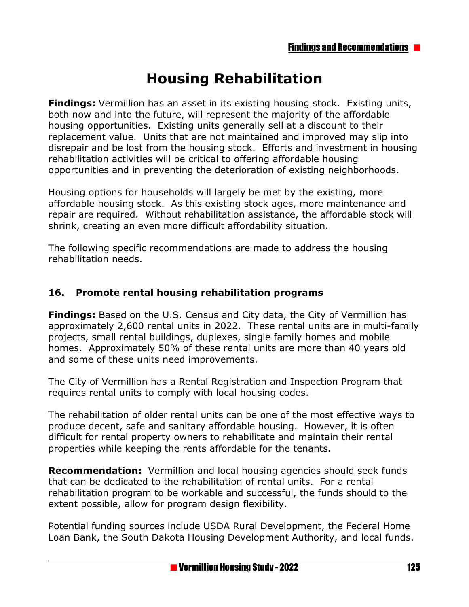# **Housing Rehabilitation**

**Findings:** Vermillion has an asset in its existing housing stock. Existing units, both now and into the future, will represent the majority of the affordable housing opportunities. Existing units generally sell at a discount to their replacement value. Units that are not maintained and improved may slip into disrepair and be lost from the housing stock. Efforts and investment in housing rehabilitation activities will be critical to offering affordable housing opportunities and in preventing the deterioration of existing neighborhoods.

Housing options for households will largely be met by the existing, more affordable housing stock. As this existing stock ages, more maintenance and repair are required. Without rehabilitation assistance, the affordable stock will shrink, creating an even more difficult affordability situation.

The following specific recommendations are made to address the housing rehabilitation needs.

## **16. Promote rental housing rehabilitation programs**

**Findings:** Based on the U.S. Census and City data, the City of Vermillion has approximately 2,600 rental units in 2022. These rental units are in multi-family projects, small rental buildings, duplexes, single family homes and mobile homes. Approximately 50% of these rental units are more than 40 years old and some of these units need improvements.

The City of Vermillion has a Rental Registration and Inspection Program that requires rental units to comply with local housing codes.

The rehabilitation of older rental units can be one of the most effective ways to produce decent, safe and sanitary affordable housing. However, it is often difficult for rental property owners to rehabilitate and maintain their rental properties while keeping the rents affordable for the tenants.

**Recommendation:** Vermillion and local housing agencies should seek funds that can be dedicated to the rehabilitation of rental units. For a rental rehabilitation program to be workable and successful, the funds should to the extent possible, allow for program design flexibility.

Potential funding sources include USDA Rural Development, the Federal Home Loan Bank, the South Dakota Housing Development Authority, and local funds.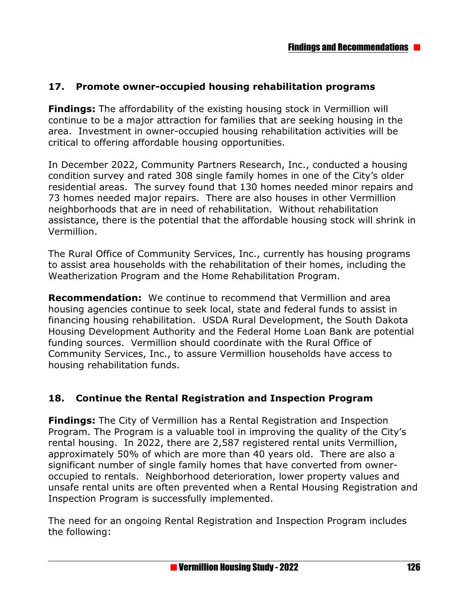## **17. Promote owner-occupied housing rehabilitation programs**

**Findings:** The affordability of the existing housing stock in Vermillion will continue to be a major attraction for families that are seeking housing in the area. Investment in owner-occupied housing rehabilitation activities will be critical to offering affordable housing opportunities.

In December 2022, Community Partners Research, Inc., conducted a housing condition survey and rated 308 single family homes in one of the City's older residential areas. The survey found that 130 homes needed minor repairs and 73 homes needed major repairs. There are also houses in other Vermillion neighborhoods that are in need of rehabilitation. Without rehabilitation assistance, there is the potential that the affordable housing stock will shrink in Vermillion.

The Rural Office of Community Services, Inc., currently has housing programs to assist area households with the rehabilitation of their homes, including the Weatherization Program and the Home Rehabilitation Program.

**Recommendation:** We continue to recommend that Vermillion and area housing agencies continue to seek local, state and federal funds to assist in financing housing rehabilitation. USDA Rural Development, the South Dakota Housing Development Authority and the Federal Home Loan Bank are potential funding sources. Vermillion should coordinate with the Rural Office of Community Services, Inc., to assure Vermillion households have access to housing rehabilitation funds.

#### **18. Continue the Rental Registration and Inspection Program**

**Findings:** The City of Vermillion has a Rental Registration and Inspection Program. The Program is a valuable tool in improving the quality of the City's rental housing. In 2022, there are 2,587 registered rental units Vermillion, approximately 50% of which are more than 40 years old. There are also a significant number of single family homes that have converted from owneroccupied to rentals. Neighborhood deterioration, lower property values and unsafe rental units are often prevented when a Rental Housing Registration and Inspection Program is successfully implemented.

The need for an ongoing Rental Registration and Inspection Program includes the following: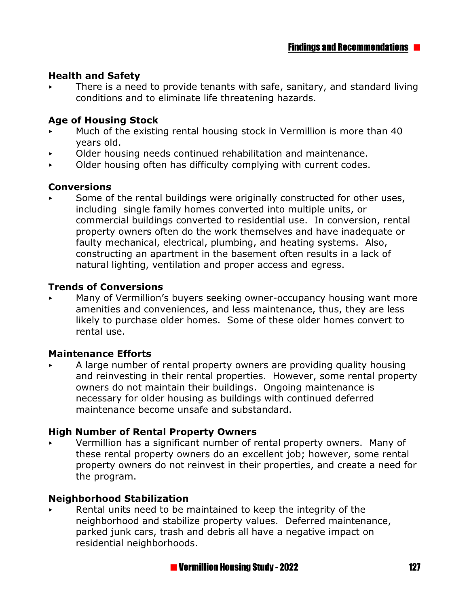#### **Health and Safety**

 $\triangleright$  There is a need to provide tenants with safe, sanitary, and standard living conditions and to eliminate life threatening hazards.

#### **Age of Housing Stock**

- Much of the existing rental housing stock in Vermillion is more than 40 years old.
- < Older housing needs continued rehabilitation and maintenance.
- $\triangleright$  Older housing often has difficulty complying with current codes.

#### **Conversions**

Some of the rental buildings were originally constructed for other uses, including single family homes converted into multiple units, or commercial buildings converted to residential use. In conversion, rental property owners often do the work themselves and have inadequate or faulty mechanical, electrical, plumbing, and heating systems. Also, constructing an apartment in the basement often results in a lack of natural lighting, ventilation and proper access and egress.

#### **Trends of Conversions**

Many of Vermillion's buyers seeking owner-occupancy housing want more amenities and conveniences, and less maintenance, thus, they are less likely to purchase older homes. Some of these older homes convert to rental use.

#### **Maintenance Efforts**

A large number of rental property owners are providing quality housing and reinvesting in their rental properties. However, some rental property owners do not maintain their buildings. Ongoing maintenance is necessary for older housing as buildings with continued deferred maintenance become unsafe and substandard.

#### **High Number of Rental Property Owners**

< Vermillion has a significant number of rental property owners. Many of these rental property owners do an excellent job; however, some rental property owners do not reinvest in their properties, and create a need for the program.

#### **Neighborhood Stabilization**

Rental units need to be maintained to keep the integrity of the neighborhood and stabilize property values. Deferred maintenance, parked junk cars, trash and debris all have a negative impact on residential neighborhoods.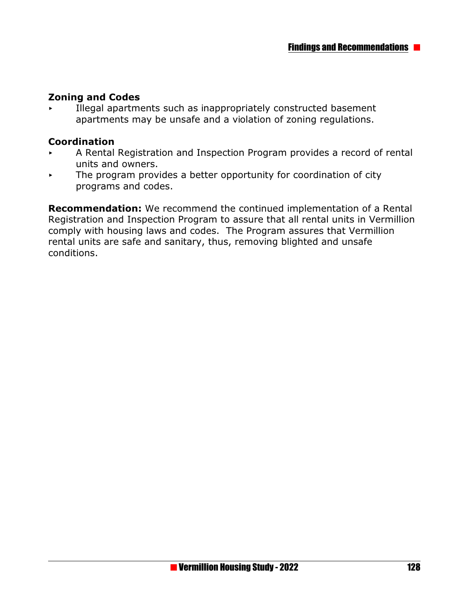### **Zoning and Codes**

< Illegal apartments such as inappropriately constructed basement apartments may be unsafe and a violation of zoning regulations.

#### **Coordination**

- < A Rental Registration and Inspection Program provides a record of rental units and owners.
- $\triangleright$  The program provides a better opportunity for coordination of city programs and codes.

**Recommendation:** We recommend the continued implementation of a Rental Registration and Inspection Program to assure that all rental units in Vermillion comply with housing laws and codes. The Program assures that Vermillion rental units are safe and sanitary, thus, removing blighted and unsafe conditions.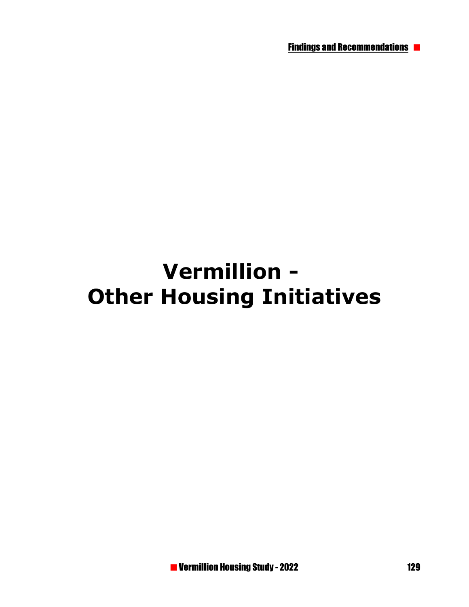Findings and Recommendations

# **Vermillion - Other Housing Initiatives**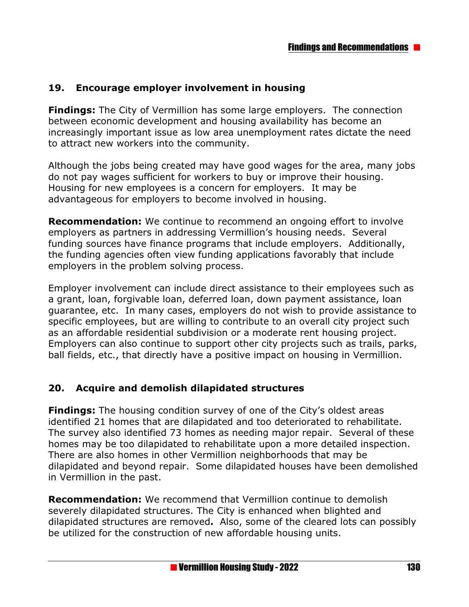### **19. Encourage employer involvement in housing**

**Findings:** The City of Vermillion has some large employers. The connection between economic development and housing availability has become an increasingly important issue as low area unemployment rates dictate the need to attract new workers into the community.

Although the jobs being created may have good wages for the area, many jobs do not pay wages sufficient for workers to buy or improve their housing. Housing for new employees is a concern for employers. It may be advantageous for employers to become involved in housing.

**Recommendation:** We continue to recommend an ongoing effort to involve employers as partners in addressing Vermillion's housing needs. Several funding sources have finance programs that include employers. Additionally, the funding agencies often view funding applications favorably that include employers in the problem solving process.

Employer involvement can include direct assistance to their employees such as a grant, loan, forgivable loan, deferred loan, down payment assistance, loan guarantee, etc. In many cases, employers do not wish to provide assistance to specific employees, but are willing to contribute to an overall city project such as an affordable residential subdivision or a moderate rent housing project. Employers can also continue to support other city projects such as trails, parks, ball fields, etc., that directly have a positive impact on housing in Vermillion.

#### **20. Acquire and demolish dilapidated structures**

**Findings:** The housing condition survey of one of the City's oldest areas identified 21 homes that are dilapidated and too deteriorated to rehabilitate. The survey also identified 73 homes as needing major repair. Several of these homes may be too dilapidated to rehabilitate upon a more detailed inspection. There are also homes in other Vermillion neighborhoods that may be dilapidated and beyond repair. Some dilapidated houses have been demolished in Vermillion in the past.

**Recommendation:** We recommend that Vermillion continue to demolish severely dilapidated structures. The City is enhanced when blighted and dilapidated structures are removed**.** Also, some of the cleared lots can possibly be utilized for the construction of new affordable housing units.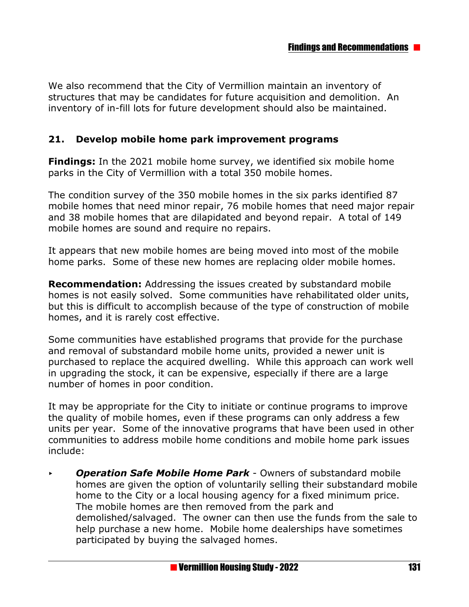We also recommend that the City of Vermillion maintain an inventory of structures that may be candidates for future acquisition and demolition. An inventory of in-fill lots for future development should also be maintained.

#### **21. Develop mobile home park improvement programs**

**Findings:** In the 2021 mobile home survey, we identified six mobile home parks in the City of Vermillion with a total 350 mobile homes.

The condition survey of the 350 mobile homes in the six parks identified 87 mobile homes that need minor repair, 76 mobile homes that need major repair and 38 mobile homes that are dilapidated and beyond repair. A total of 149 mobile homes are sound and require no repairs.

It appears that new mobile homes are being moved into most of the mobile home parks. Some of these new homes are replacing older mobile homes.

**Recommendation:** Addressing the issues created by substandard mobile homes is not easily solved. Some communities have rehabilitated older units, but this is difficult to accomplish because of the type of construction of mobile homes, and it is rarely cost effective.

Some communities have established programs that provide for the purchase and removal of substandard mobile home units, provided a newer unit is purchased to replace the acquired dwelling. While this approach can work well in upgrading the stock, it can be expensive, especially if there are a large number of homes in poor condition.

It may be appropriate for the City to initiate or continue programs to improve the quality of mobile homes, even if these programs can only address a few units per year. Some of the innovative programs that have been used in other communities to address mobile home conditions and mobile home park issues include:

< *Operation Safe Mobile Home Park* - Owners of substandard mobile homes are given the option of voluntarily selling their substandard mobile home to the City or a local housing agency for a fixed minimum price. The mobile homes are then removed from the park and demolished/salvaged. The owner can then use the funds from the sale to help purchase a new home. Mobile home dealerships have sometimes participated by buying the salvaged homes.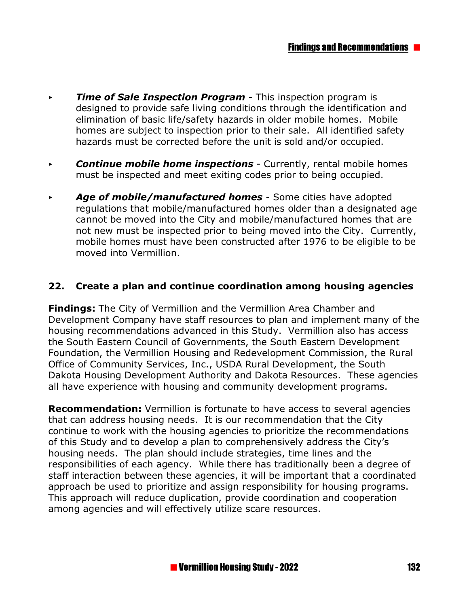- *Fime of Sale Inspection Program This inspection program is* designed to provide safe living conditions through the identification and elimination of basic life/safety hazards in older mobile homes. Mobile homes are subject to inspection prior to their sale. All identified safety hazards must be corrected before the unit is sold and/or occupied.
- **Continue mobile home inspections** Currently, rental mobile homes must be inspected and meet exiting codes prior to being occupied.
- **Age of mobile/manufactured homes** Some cities have adopted regulations that mobile/manufactured homes older than a designated age cannot be moved into the City and mobile/manufactured homes that are not new must be inspected prior to being moved into the City. Currently, mobile homes must have been constructed after 1976 to be eligible to be moved into Vermillion.

#### **22. Create a plan and continue coordination among housing agencies**

**Findings:** The City of Vermillion and the Vermillion Area Chamber and Development Company have staff resources to plan and implement many of the housing recommendations advanced in this Study. Vermillion also has access the South Eastern Council of Governments, the South Eastern Development Foundation, the Vermillion Housing and Redevelopment Commission, the Rural Office of Community Services, Inc., USDA Rural Development, the South Dakota Housing Development Authority and Dakota Resources. These agencies all have experience with housing and community development programs.

**Recommendation:** Vermillion is fortunate to have access to several agencies that can address housing needs. It is our recommendation that the City continue to work with the housing agencies to prioritize the recommendations of this Study and to develop a plan to comprehensively address the City's housing needs. The plan should include strategies, time lines and the responsibilities of each agency. While there has traditionally been a degree of staff interaction between these agencies, it will be important that a coordinated approach be used to prioritize and assign responsibility for housing programs. This approach will reduce duplication, provide coordination and cooperation among agencies and will effectively utilize scare resources.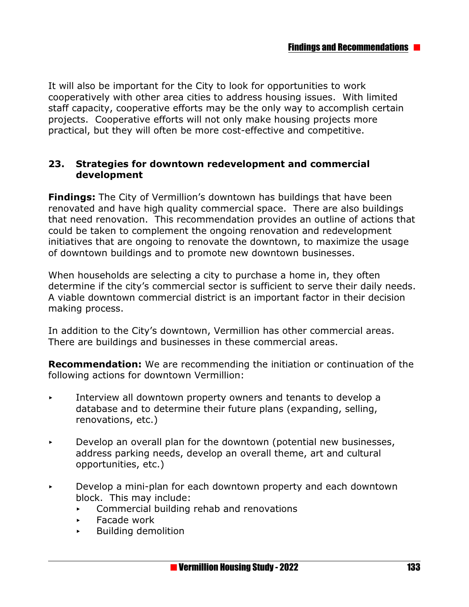It will also be important for the City to look for opportunities to work cooperatively with other area cities to address housing issues. With limited staff capacity, cooperative efforts may be the only way to accomplish certain projects. Cooperative efforts will not only make housing projects more practical, but they will often be more cost-effective and competitive.

#### **23. Strategies for downtown redevelopment and commercial development**

**Findings:** The City of Vermillion's downtown has buildings that have been renovated and have high quality commercial space. There are also buildings that need renovation. This recommendation provides an outline of actions that could be taken to complement the ongoing renovation and redevelopment initiatives that are ongoing to renovate the downtown, to maximize the usage of downtown buildings and to promote new downtown businesses.

When households are selecting a city to purchase a home in, they often determine if the city's commercial sector is sufficient to serve their daily needs. A viable downtown commercial district is an important factor in their decision making process.

In addition to the City's downtown, Vermillion has other commercial areas. There are buildings and businesses in these commercial areas.

**Recommendation:** We are recommending the initiation or continuation of the following actions for downtown Vermillion:

- $\overline{\phantom{a}}$  Interview all downtown property owners and tenants to develop a database and to determine their future plans (expanding, selling, renovations, etc.)
- $\triangleright$  Develop an overall plan for the downtown (potential new businesses, address parking needs, develop an overall theme, art and cultural opportunities, etc.)
- $\triangleright$  Develop a mini-plan for each downtown property and each downtown block. This may include:
	- $\triangleright$  Commercial building rehab and renovations
	- < Facade work
	- < Building demolition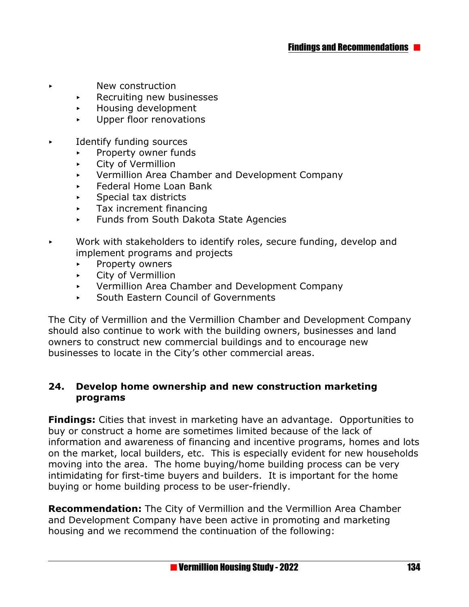- < New construction
	- $\triangleright$  Recruiting new businesses
	- < Housing development
	- Deper floor renovations
- $\blacktriangleright$  Identify funding sources
	- < Property owner funds
	- **EXECT:** City of Vermillion
	- < Vermillion Area Chamber and Development Company
	- < Federal Home Loan Bank
	- < Special tax districts
	- Tax increment financing
	- < Funds from South Dakota State Agencies
- $\triangleright$  Work with stakeholders to identify roles, secure funding, develop and implement programs and projects
	- **EXAMPLE PROPERTY OWNERS**
	- **EXECTLE City of Vermillion**
	- < Vermillion Area Chamber and Development Company
	- < South Eastern Council of Governments

The City of Vermillion and the Vermillion Chamber and Development Company should also continue to work with the building owners, businesses and land owners to construct new commercial buildings and to encourage new businesses to locate in the City's other commercial areas.

#### **24. Develop home ownership and new construction marketing programs**

**Findings:** Cities that invest in marketing have an advantage. Opportunities to buy or construct a home are sometimes limited because of the lack of information and awareness of financing and incentive programs, homes and lots on the market, local builders, etc. This is especially evident for new households moving into the area. The home buying/home building process can be very intimidating for first-time buyers and builders. It is important for the home buying or home building process to be user-friendly.

**Recommendation:** The City of Vermillion and the Vermillion Area Chamber and Development Company have been active in promoting and marketing housing and we recommend the continuation of the following: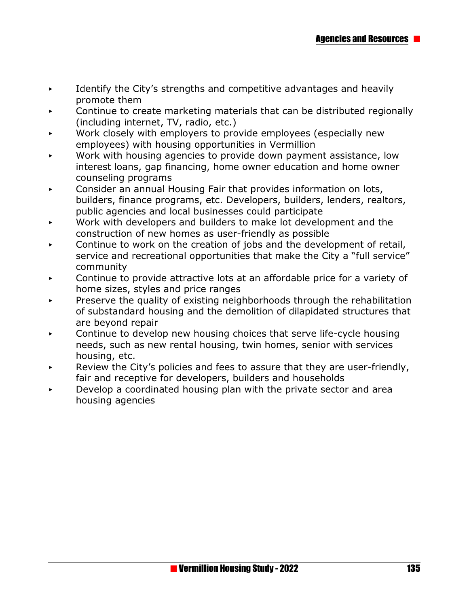- $\blacktriangleright$  Identify the City's strengths and competitive advantages and heavily promote them
- Continue to create marketing materials that can be distributed regionally (including internet, TV, radio, etc.)
- Work closely with employers to provide employees (especially new employees) with housing opportunities in Vermillion
- Work with housing agencies to provide down payment assistance, low interest loans, gap financing, home owner education and home owner counseling programs
- < Consider an annual Housing Fair that provides information on lots, builders, finance programs, etc. Developers, builders, lenders, realtors, public agencies and local businesses could participate
- $\triangleright$  Work with developers and builders to make lot development and the construction of new homes as user-friendly as possible
- < Continue to work on the creation of jobs and the development of retail, service and recreational opportunities that make the City a "full service" community
- Continue to provide attractive lots at an affordable price for a variety of home sizes, styles and price ranges
- Preserve the quality of existing neighborhoods through the rehabilitation of substandard housing and the demolition of dilapidated structures that are beyond repair
- Continue to develop new housing choices that serve life-cycle housing needs, such as new rental housing, twin homes, senior with services housing, etc.
- Review the City's policies and fees to assure that they are user-friendly, fair and receptive for developers, builders and households
- < Develop a coordinated housing plan with the private sector and area housing agencies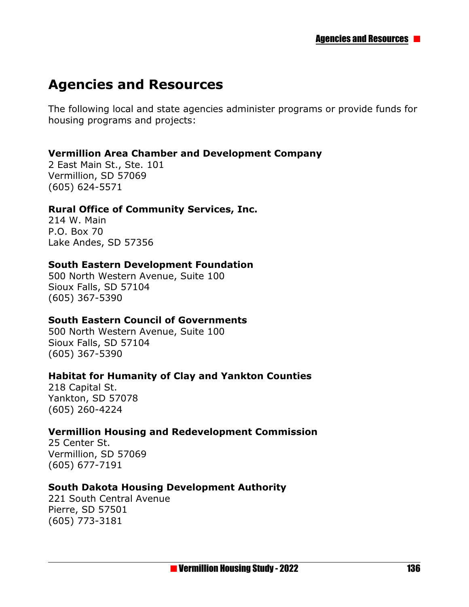# **Agencies and Resources**

The following local and state agencies administer programs or provide funds for housing programs and projects:

#### **Vermillion Area Chamber and Development Company**

2 East Main St., Ste. 101 Vermillion, SD 57069 (605) 624-5571

#### **Rural Office of Community Services, Inc.**

214 W. Main P.O. Box 70 Lake Andes, SD 57356

#### **South Eastern Development Foundation**

500 North Western Avenue, Suite 100 Sioux Falls, SD 57104 (605) 367-5390

#### **South Eastern Council of Governments**

500 North Western Avenue, Suite 100 Sioux Falls, SD 57104 (605) 367-5390

#### **Habitat for Humanity of Clay and Yankton Counties**

218 Capital St. Yankton, SD 57078 (605) 260-4224

#### **Vermillion Housing and Redevelopment Commission**

25 Center St. Vermillion, SD 57069 (605) 677-7191

#### **South Dakota Housing Development Authority**

221 South Central Avenue Pierre, SD 57501 (605) 773-3181